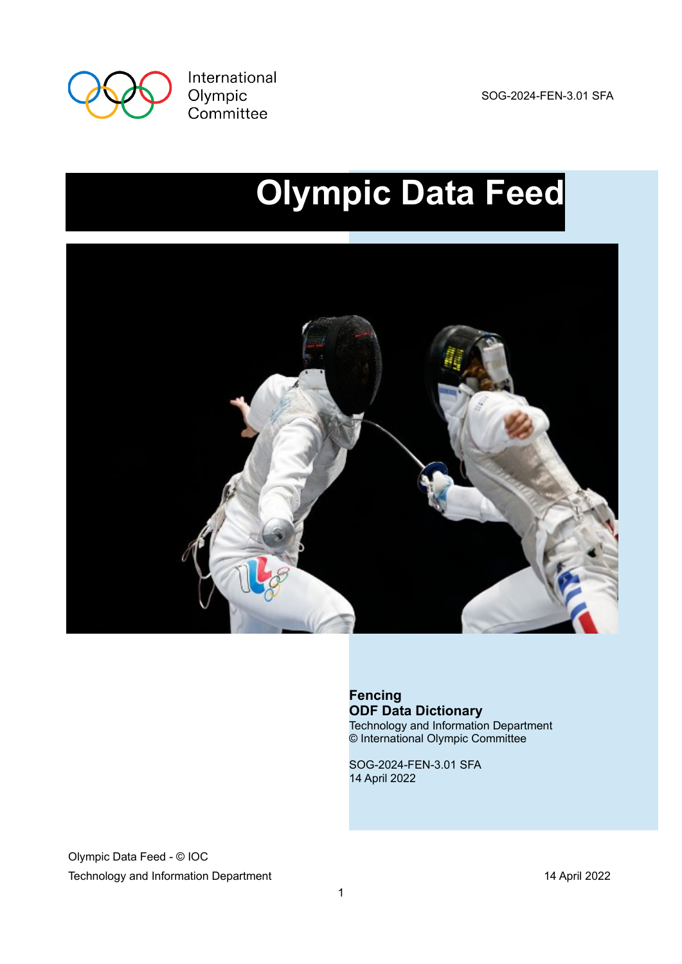

# **Olympic Data Feed**



#### **Fencing ODF Data Dictionary** Technology and Information Department

© International Olympic Committee SOG-2024-FEN-3.01 SFA

14 April 2022

Olympic Data Feed - © IOC Technology and Information Department 14 April 2022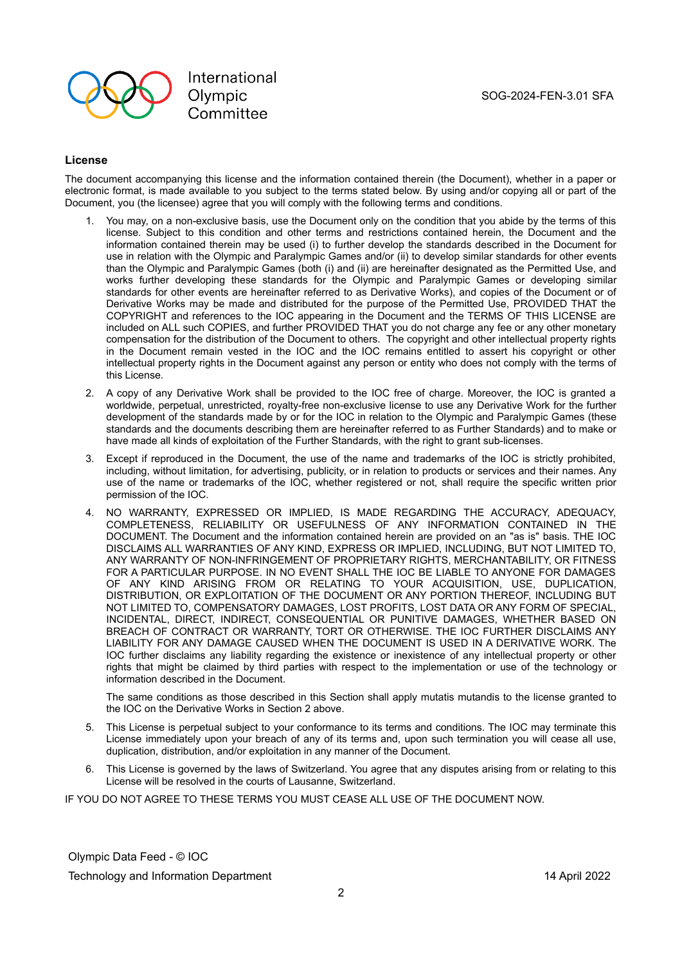

#### **License**

The document accompanying this license and the information contained therein (the Document), whether in a paper or electronic format, is made available to you subject to the terms stated below. By using and/or copying all or part of the Document, you (the licensee) agree that you will comply with the following terms and conditions.

- 1. You may, on a non-exclusive basis, use the Document only on the condition that you abide by the terms of this license. Subject to this condition and other terms and restrictions contained herein, the Document and the information contained therein may be used (i) to further develop the standards described in the Document for use in relation with the Olympic and Paralympic Games and/or (ii) to develop similar standards for other events than the Olympic and Paralympic Games (both (i) and (ii) are hereinafter designated as the Permitted Use, and works further developing these standards for the Olympic and Paralympic Games or developing similar standards for other events are hereinafter referred to as Derivative Works), and copies of the Document or of Derivative Works may be made and distributed for the purpose of the Permitted Use, PROVIDED THAT the COPYRIGHT and references to the IOC appearing in the Document and the TERMS OF THIS LICENSE are included on ALL such COPIES, and further PROVIDED THAT you do not charge any fee or any other monetary compensation for the distribution of the Document to others. The copyright and other intellectual property rights in the Document remain vested in the IOC and the IOC remains entitled to assert his copyright or other intellectual property rights in the Document against any person or entity who does not comply with the terms of this License.
- 2. A copy of any Derivative Work shall be provided to the IOC free of charge. Moreover, the IOC is granted a worldwide, perpetual, unrestricted, royalty-free non-exclusive license to use any Derivative Work for the further development of the standards made by or for the IOC in relation to the Olympic and Paralympic Games (these standards and the documents describing them are hereinafter referred to as Further Standards) and to make or have made all kinds of exploitation of the Further Standards, with the right to grant sub-licenses.
- 3. Except if reproduced in the Document, the use of the name and trademarks of the IOC is strictly prohibited, including, without limitation, for advertising, publicity, or in relation to products or services and their names. Any use of the name or trademarks of the IOC, whether registered or not, shall require the specific written prior permission of the IOC.
- 4. NO WARRANTY, EXPRESSED OR IMPLIED, IS MADE REGARDING THE ACCURACY, ADEQUACY, COMPLETENESS, RELIABILITY OR USEFULNESS OF ANY INFORMATION CONTAINED IN THE DOCUMENT. The Document and the information contained herein are provided on an "as is" basis. THE IOC DISCLAIMS ALL WARRANTIES OF ANY KIND, EXPRESS OR IMPLIED, INCLUDING, BUT NOT LIMITED TO, ANY WARRANTY OF NON-INFRINGEMENT OF PROPRIETARY RIGHTS, MERCHANTABILITY, OR FITNESS FOR A PARTICULAR PURPOSE. IN NO EVENT SHALL THE IOC BE LIABLE TO ANYONE FOR DAMAGES OF ANY KIND ARISING FROM OR RELATING TO YOUR ACQUISITION, USE, DUPLICATION, DISTRIBUTION, OR EXPLOITATION OF THE DOCUMENT OR ANY PORTION THEREOF, INCLUDING BUT NOT LIMITED TO, COMPENSATORY DAMAGES, LOST PROFITS, LOST DATA OR ANY FORM OF SPECIAL, INCIDENTAL, DIRECT, INDIRECT, CONSEQUENTIAL OR PUNITIVE DAMAGES, WHETHER BASED ON BREACH OF CONTRACT OR WARRANTY, TORT OR OTHERWISE. THE IOC FURTHER DISCLAIMS ANY LIABILITY FOR ANY DAMAGE CAUSED WHEN THE DOCUMENT IS USED IN A DERIVATIVE WORK. The IOC further disclaims any liability regarding the existence or inexistence of any intellectual property or other rights that might be claimed by third parties with respect to the implementation or use of the technology or information described in the Document.

The same conditions as those described in this Section shall apply mutatis mutandis to the license granted to the IOC on the Derivative Works in Section 2 above.

- 5. This License is perpetual subject to your conformance to its terms and conditions. The IOC may terminate this License immediately upon your breach of any of its terms and, upon such termination you will cease all use, duplication, distribution, and/or exploitation in any manner of the Document.
- 6. This License is governed by the laws of Switzerland. You agree that any disputes arising from or relating to this License will be resolved in the courts of Lausanne, Switzerland.

IF YOU DO NOT AGREE TO THESE TERMS YOU MUST CEASE ALL USE OF THE DOCUMENT NOW.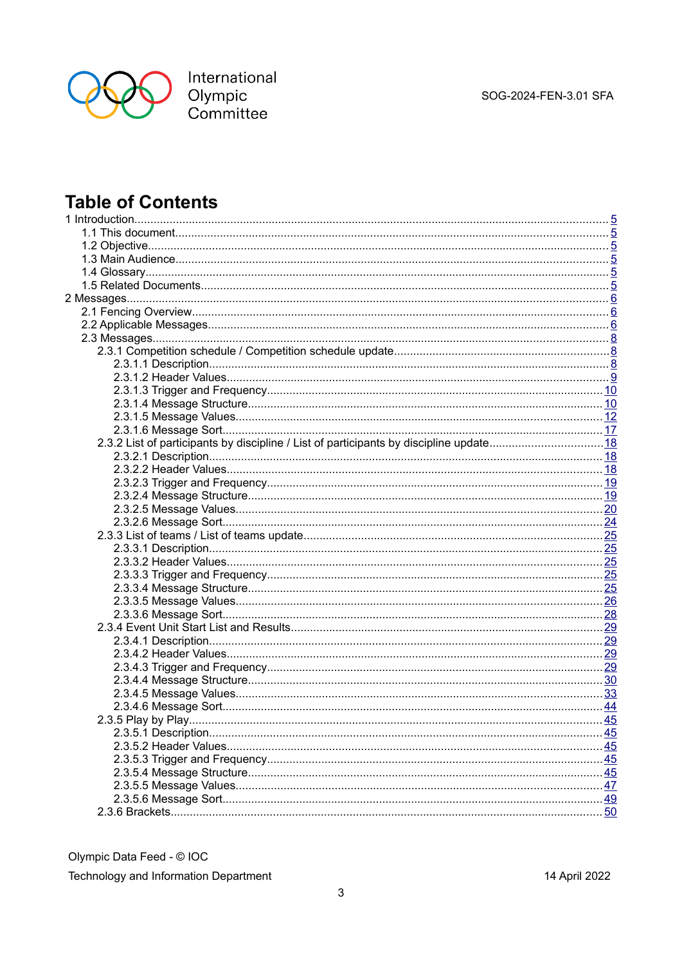

# **Table of Contents**

| 2.3.2 List of participants by discipline / List of participants by discipline update18 |  |
|----------------------------------------------------------------------------------------|--|
|                                                                                        |  |
|                                                                                        |  |
|                                                                                        |  |
|                                                                                        |  |
|                                                                                        |  |
|                                                                                        |  |
|                                                                                        |  |
|                                                                                        |  |
|                                                                                        |  |
|                                                                                        |  |
|                                                                                        |  |
|                                                                                        |  |
|                                                                                        |  |
|                                                                                        |  |
|                                                                                        |  |
|                                                                                        |  |
|                                                                                        |  |
|                                                                                        |  |
|                                                                                        |  |
|                                                                                        |  |
|                                                                                        |  |
|                                                                                        |  |
|                                                                                        |  |
|                                                                                        |  |
|                                                                                        |  |
|                                                                                        |  |
|                                                                                        |  |
|                                                                                        |  |
|                                                                                        |  |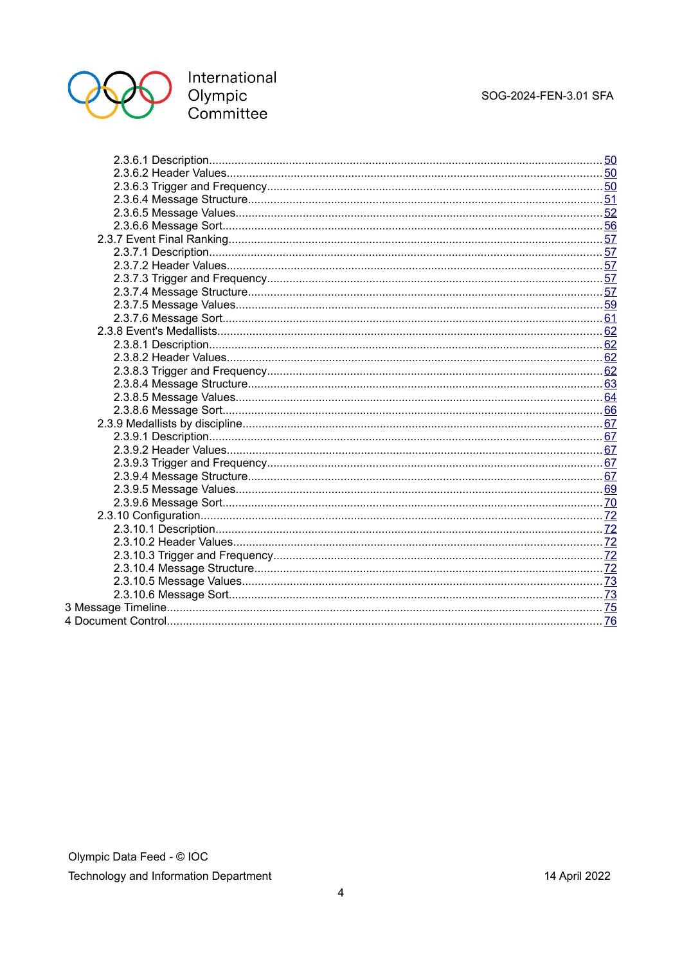

#### SOG-2024-FEN-3.01 SFA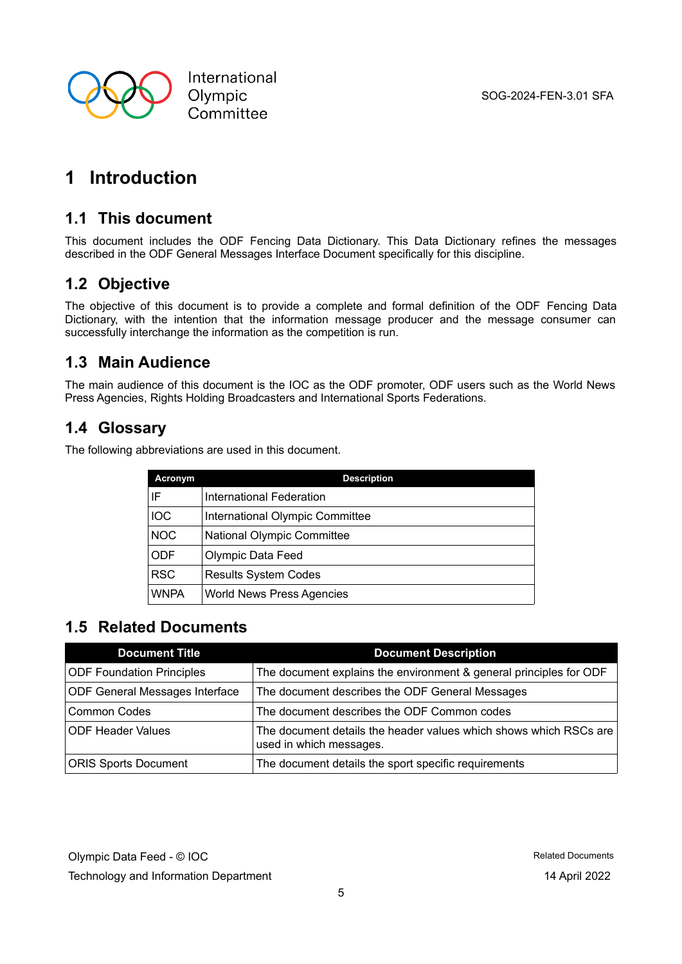SOG-2024-FEN-3.01 SFA



# <span id="page-4-5"></span>**1 Introduction**

### <span id="page-4-4"></span>**1.1 This document**

This document includes the ODF Fencing Data Dictionary. This Data Dictionary refines the messages described in the ODF General Messages Interface Document specifically for this discipline.

#### <span id="page-4-3"></span>**1.2 Objective**

The objective of this document is to provide a complete and formal definition of the ODF Fencing Data Dictionary, with the intention that the information message producer and the message consumer can successfully interchange the information as the competition is run.

# <span id="page-4-2"></span>**1.3 Main Audience**

The main audience of this document is the IOC as the ODF promoter, ODF users such as the World News Press Agencies, Rights Holding Broadcasters and International Sports Federations.

# <span id="page-4-1"></span>**1.4 Glossary**

The following abbreviations are used in this document.

| <b>Acronym</b> | <b>Description</b>                |  |  |  |  |  |
|----------------|-----------------------------------|--|--|--|--|--|
| IF             | International Federation          |  |  |  |  |  |
| <b>IOC</b>     | International Olympic Committee   |  |  |  |  |  |
| <b>NOC</b>     | <b>National Olympic Committee</b> |  |  |  |  |  |
| ODE            | Olympic Data Feed                 |  |  |  |  |  |
| <b>RSC</b>     | <b>Results System Codes</b>       |  |  |  |  |  |
| <b>WNPA</b>    | <b>World News Press Agencies</b>  |  |  |  |  |  |

#### <span id="page-4-0"></span>**1.5 Related Documents**

| <b>Document Title</b>                 | <b>Document Description</b>                                                                  |
|---------------------------------------|----------------------------------------------------------------------------------------------|
| <b>ODF Foundation Principles</b>      | The document explains the environment & general principles for ODF                           |
| <b>ODF General Messages Interface</b> | The document describes the ODF General Messages                                              |
| <b>Common Codes</b>                   | The document describes the ODF Common codes                                                  |
| <b>ODF Header Values</b>              | The document details the header values which shows which RSCs are<br>used in which messages. |
| <b>ORIS Sports Document</b>           | The document details the sport specific requirements                                         |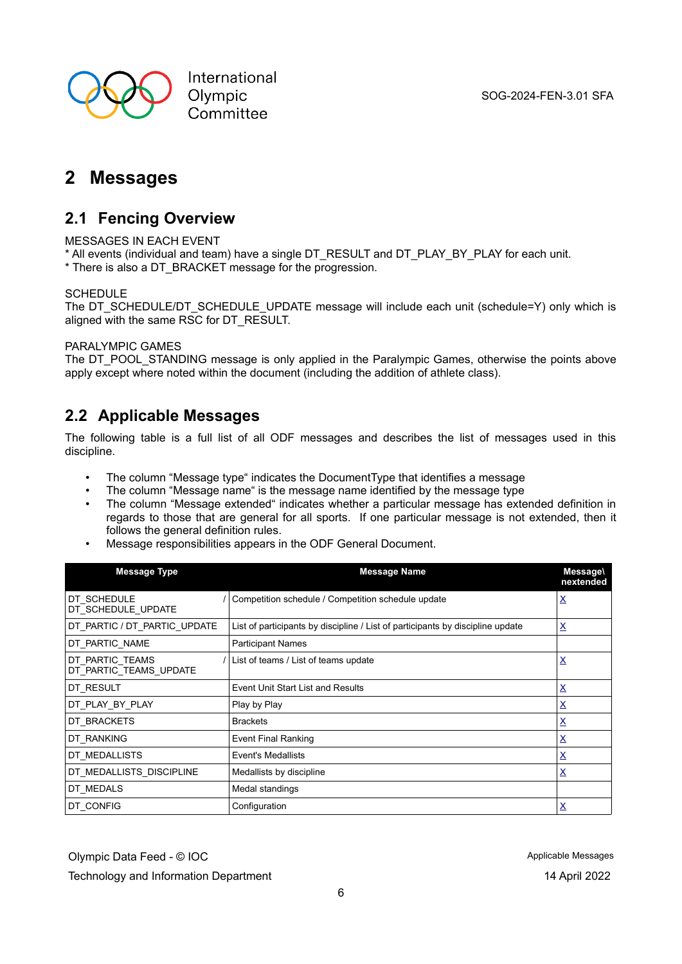



# <span id="page-5-2"></span>**2 Messages**

# <span id="page-5-1"></span>**2.1 Fencing Overview**

MESSAGES IN EACH EVENT

\* All events (individual and team) have a single DT\_RESULT and DT\_PLAY\_BY\_PLAY for each unit.

\* There is also a DT\_BRACKET message for the progression.

#### **SCHEDULE**

The DT\_SCHEDULE/DT\_SCHEDULE\_UPDATE message will include each unit (schedule=Y) only which is aligned with the same RSC for DT\_RESULT.

#### PARALYMPIC GAMES

The DT\_POOL\_STANDING message is only applied in the Paralympic Games, otherwise the points above apply except where noted within the document (including the addition of athlete class).

# <span id="page-5-0"></span>**2.2 Applicable Messages**

The following table is a full list of all ODF messages and describes the list of messages used in this discipline.

- The column "Message type" indicates the DocumentType that identifies a message
- The column "Message name" is the message name identified by the message type
- The column "Message extended" indicates whether a particular message has extended definition in regards to those that are general for all sports. If one particular message is not extended, then it follows the general definition rules.
- Message responsibilities appears in the ODF General Document.

| <b>Message Type</b>                       | <b>Message Name</b>                                                            | Message\<br>nextended    |
|-------------------------------------------|--------------------------------------------------------------------------------|--------------------------|
| DT SCHEDULE<br>DT SCHEDULE UPDATE         | Competition schedule / Competition schedule update                             | $\underline{X}$          |
| DT PARTIC / DT PARTIC UPDATE              | List of participants by discipline / List of participants by discipline update | $\underline{X}$          |
| DT PARTIC NAME                            | <b>Participant Names</b>                                                       |                          |
| DT_PARTIC_TEAMS<br>DT PARTIC TEAMS UPDATE | List of teams / List of teams update                                           | $\underline{X}$          |
| DT RESULT                                 | <b>Event Unit Start List and Results</b>                                       | $\overline{\mathsf{X}}$  |
| DT PLAY BY PLAY                           | Play by Play                                                                   | $\underline{X}$          |
| DT BRACKETS                               | <b>Brackets</b>                                                                | X                        |
| DT RANKING                                | <b>Event Final Ranking</b>                                                     | $\overline{\mathsf{X}}$  |
| DT MEDALLISTS                             | <b>Event's Medallists</b>                                                      | $\underline{\mathsf{X}}$ |
| DT MEDALLISTS DISCIPLINE                  | Medallists by discipline                                                       | $\overline{\mathsf{x}}$  |
| DT MEDALS                                 | Medal standings                                                                |                          |
| DT CONFIG                                 | Configuration                                                                  | $\overline{\mathsf{x}}$  |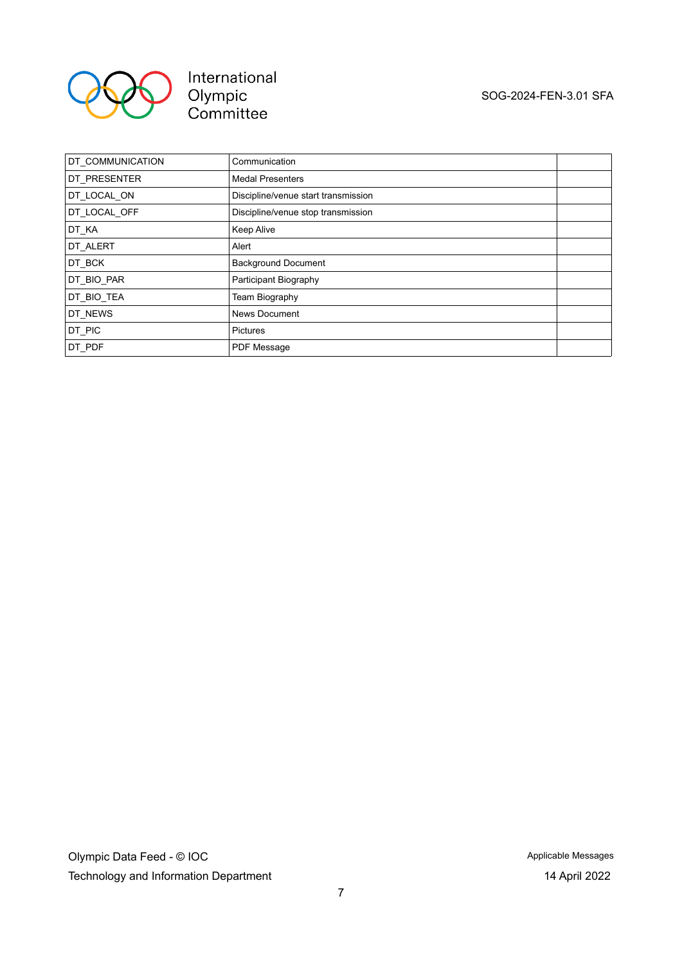

#### SOG-2024-FEN-3.01 SFA

| DT COMMUNICATION | Communication                       |  |
|------------------|-------------------------------------|--|
| DT PRESENTER     | <b>Medal Presenters</b>             |  |
| DT_LOCAL_ON      | Discipline/venue start transmission |  |
| DT LOCAL OFF     | Discipline/venue stop transmission  |  |
| DT KA            | <b>Keep Alive</b>                   |  |
| DT ALERT         | Alert                               |  |
| DT_BCK           | <b>Background Document</b>          |  |
| DT BIO PAR       | Participant Biography               |  |
| DT BIO TEA       | Team Biography                      |  |
| DT NEWS          | <b>News Document</b>                |  |
| DT_PIC           | <b>Pictures</b>                     |  |
| DT_PDF           | PDF Message                         |  |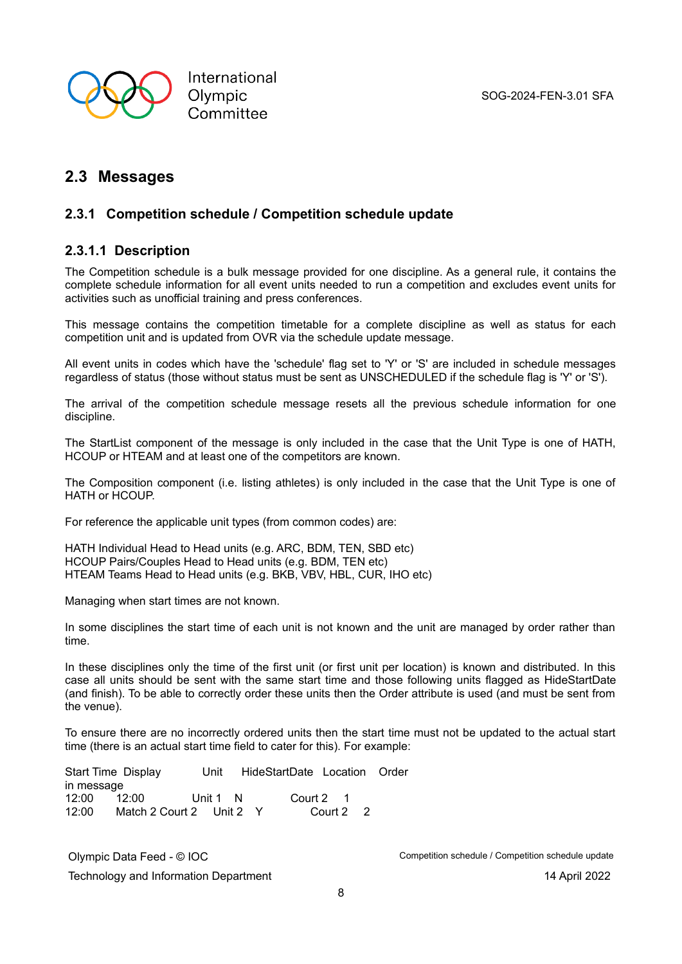



### <span id="page-7-2"></span>**2.3 Messages**

#### <span id="page-7-1"></span>**2.3.1 Competition schedule / Competition schedule update**

#### <span id="page-7-0"></span>**2.3.1.1 Description**

The Competition schedule is a bulk message provided for one discipline. As a general rule, it contains the complete schedule information for all event units needed to run a competition and excludes event units for activities such as unofficial training and press conferences.

This message contains the competition timetable for a complete discipline as well as status for each competition unit and is updated from OVR via the schedule update message.

All event units in codes which have the 'schedule' flag set to 'Y' or 'S' are included in schedule messages regardless of status (those without status must be sent as UNSCHEDULED if the schedule flag is 'Y' or 'S').

The arrival of the competition schedule message resets all the previous schedule information for one discipline.

The StartList component of the message is only included in the case that the Unit Type is one of HATH, HCOUP or HTEAM and at least one of the competitors are known.

The Composition component (i.e. listing athletes) is only included in the case that the Unit Type is one of HATH or HCOUP.

For reference the applicable unit types (from common codes) are:

HATH Individual Head to Head units (e.g. ARC, BDM, TEN, SBD etc) HCOUP Pairs/Couples Head to Head units (e.g. BDM, TEN etc) HTEAM Teams Head to Head units (e.g. BKB, VBV, HBL, CUR, IHO etc)

Managing when start times are not known.

In some disciplines the start time of each unit is not known and the unit are managed by order rather than time.

In these disciplines only the time of the first unit (or first unit per location) is known and distributed. In this case all units should be sent with the same start time and those following units flagged as HideStartDate (and finish). To be able to correctly order these units then the Order attribute is used (and must be sent from the venue).

To ensure there are no incorrectly ordered units then the start time must not be updated to the actual start time (there is an actual start time field to cater for this). For example:

|            | Start Time Display     |          | Unit | HideStartDate Location Order |           |           |  |
|------------|------------------------|----------|------|------------------------------|-----------|-----------|--|
| in message |                        |          |      |                              |           |           |  |
| 12:00      | 12:00                  | Unit 1 N |      |                              | Court 2 1 |           |  |
| 12:00      | Match 2 Court 2 Unit 2 |          |      |                              |           | Court 2 2 |  |

Olympic Data Feed - © IOC COMPETITION Competition schedule / Competition schedule update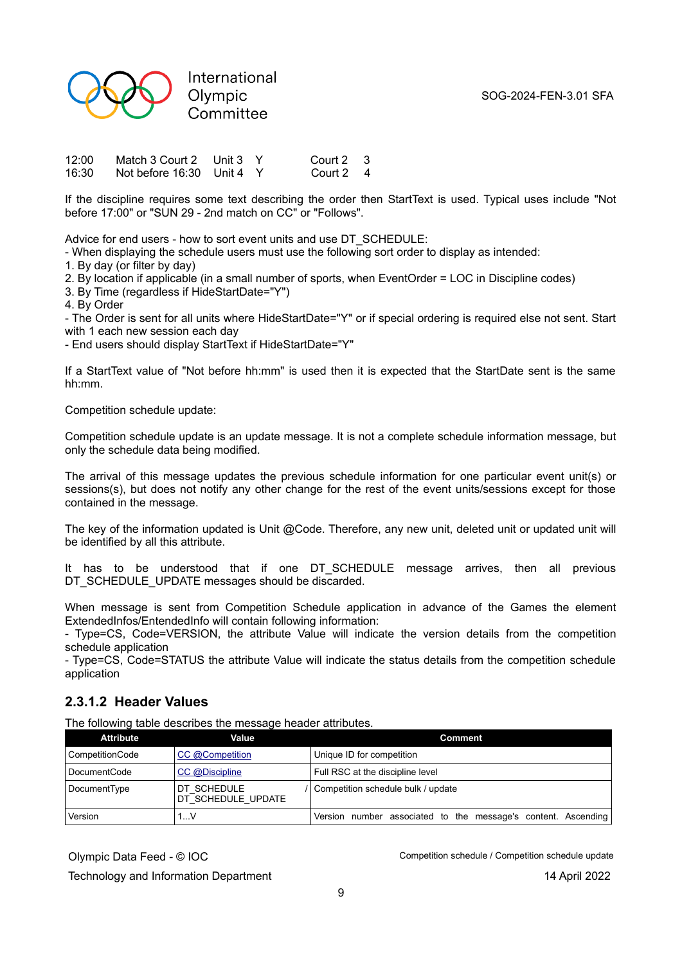

| 12:00 | Match 3 Court 2 Unit 3      |  | Court 2 3         |  |
|-------|-----------------------------|--|-------------------|--|
| 16:30 | Not before $16:30$ Unit 4 Y |  | Court $2 \quad 4$ |  |

If the discipline requires some text describing the order then StartText is used. Typical uses include "Not before 17:00" or "SUN 29 - 2nd match on CC" or "Follows".

Advice for end users - how to sort event units and use DT\_SCHEDULE:

- When displaying the schedule users must use the following sort order to display as intended:

1. By day (or filter by day)

2. By location if applicable (in a small number of sports, when EventOrder = LOC in Discipline codes)

- 3. By Time (regardless if HideStartDate="Y")
- 4. By Order

- The Order is sent for all units where HideStartDate="Y" or if special ordering is required else not sent. Start with 1 each new session each day

- End users should display StartText if HideStartDate="Y"

If a StartText value of "Not before hh:mm" is used then it is expected that the StartDate sent is the same hh:mm.

Competition schedule update:

Competition schedule update is an update message. It is not a complete schedule information message, but only the schedule data being modified.

The arrival of this message updates the previous schedule information for one particular event unit(s) or sessions(s), but does not notify any other change for the rest of the event units/sessions except for those contained in the message.

The key of the information updated is Unit @Code. Therefore, any new unit, deleted unit or updated unit will be identified by all this attribute.

It has to be understood that if one DT\_SCHEDULE message arrives, then all previous DT\_SCHEDULE\_UPDATE messages should be discarded.

When message is sent from Competition Schedule application in advance of the Games the element ExtendedInfos/EntendedInfo will contain following information:

- Type=CS, Code=VERSION, the attribute Value will indicate the version details from the competition schedule application

- Type=CS, Code=STATUS the attribute Value will indicate the status details from the competition schedule application

#### <span id="page-8-0"></span>**2.3.1.2 Header Values**

The following table describes the message header attributes.

| <b>Attribute</b>       | Value                             | Comment                                                       |
|------------------------|-----------------------------------|---------------------------------------------------------------|
| <b>CompetitionCode</b> | CC @Competition                   | Unique ID for competition                                     |
| DocumentCode           | CC @Discipline                    | Full RSC at the discipline level                              |
| DocumentType           | DT SCHEDULE<br>DT SCHEDULE UPDATE | Competition schedule bulk / update                            |
| Version                | 1V                                | Version number associated to the message's content. Ascending |

Technology and Information Department 14 April 2022

Olympic Data Feed - © IOC COMPETED SCOMPETION SCHEDULE Competition schedule / Competition schedule update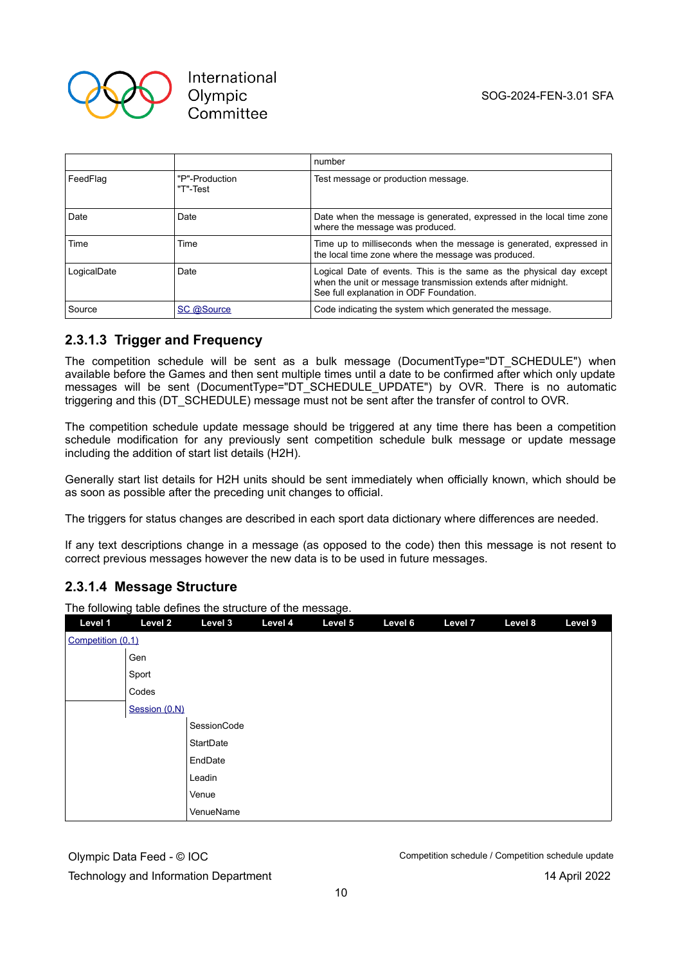

|             |                            | number                                                                                                                                                                          |
|-------------|----------------------------|---------------------------------------------------------------------------------------------------------------------------------------------------------------------------------|
| FeedFlag    | "P"-Production<br>"T"-Test | Test message or production message.                                                                                                                                             |
| Date        | Date                       | Date when the message is generated, expressed in the local time zone<br>where the message was produced.                                                                         |
| Time        | Time                       | Time up to milliseconds when the message is generated, expressed in<br>the local time zone where the message was produced.                                                      |
| LogicalDate | Date                       | Logical Date of events. This is the same as the physical day except<br>when the unit or message transmission extends after midnight.<br>See full explanation in ODF Foundation. |
| Source      | SC @Source                 | Code indicating the system which generated the message.                                                                                                                         |

#### <span id="page-9-1"></span>**2.3.1.3 Trigger and Frequency**

The competition schedule will be sent as a bulk message (DocumentType="DT SCHEDULE") when available before the Games and then sent multiple times until a date to be confirmed after which only update messages will be sent (DocumentType="DT SCHEDULE UPDATE") by OVR. There is no automatic triggering and this (DT\_SCHEDULE) message must not be sent after the transfer of control to OVR.

The competition schedule update message should be triggered at any time there has been a competition schedule modification for any previously sent competition schedule bulk message or update message including the addition of start list details (H2H).

Generally start list details for H2H units should be sent immediately when officially known, which should be as soon as possible after the preceding unit changes to official.

The triggers for status changes are described in each sport data dictionary where differences are needed.

If any text descriptions change in a message (as opposed to the code) then this message is not resent to correct previous messages however the new data is to be used in future messages.

#### <span id="page-9-0"></span>**2.3.1.4 Message Structure**

The following table defines the structure of the message.

| Level 1           | Level 2       | Level 3     | Level 4 | Level 5 | Level 6 | Level 7 | Level 8 | Level 9 |
|-------------------|---------------|-------------|---------|---------|---------|---------|---------|---------|
| Competition (0,1) |               |             |         |         |         |         |         |         |
|                   | Gen           |             |         |         |         |         |         |         |
|                   | Sport         |             |         |         |         |         |         |         |
|                   | Codes         |             |         |         |         |         |         |         |
|                   | Session (0,N) |             |         |         |         |         |         |         |
|                   |               | SessionCode |         |         |         |         |         |         |
|                   |               | StartDate   |         |         |         |         |         |         |
|                   |               | EndDate     |         |         |         |         |         |         |
|                   |               | Leadin      |         |         |         |         |         |         |
|                   |               | Venue       |         |         |         |         |         |         |
|                   |               | VenueName   |         |         |         |         |         |         |

Olympic Data Feed - © IOC COMPETED SCOMPETION SCHEDULE Competition schedule / Competition schedule update Technology and Information Department 14 April 2022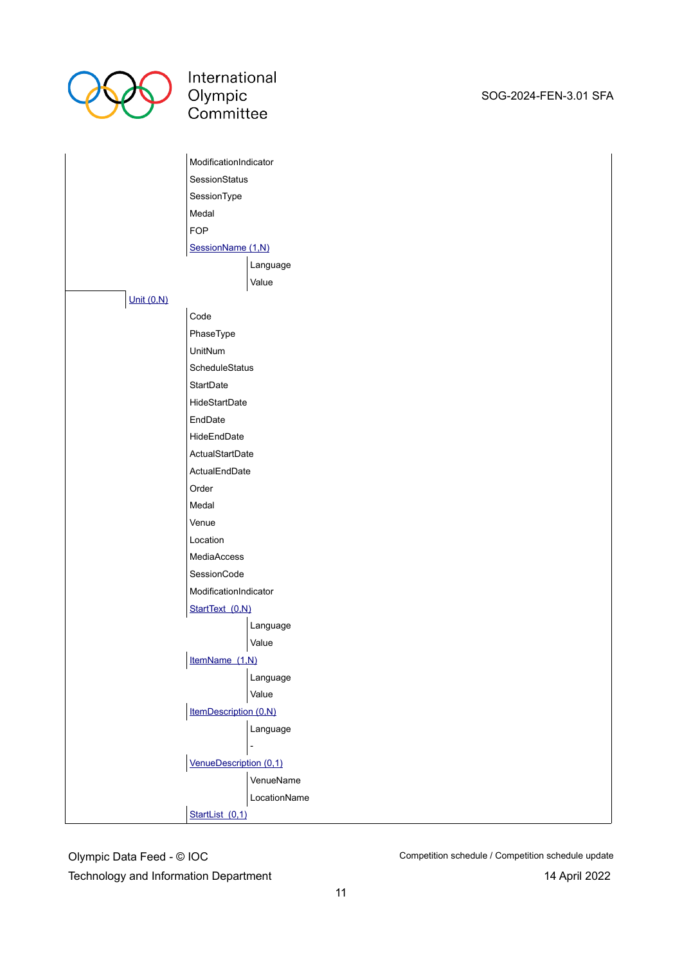

#### SOG-2024-FEN-3.01 SFA

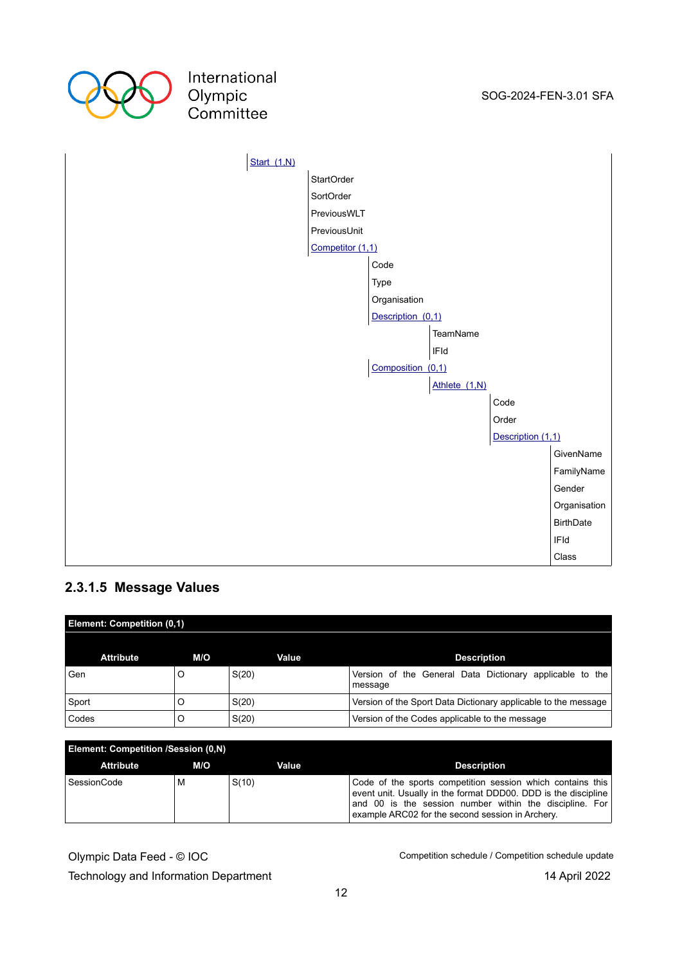



#### <span id="page-11-0"></span>**2.3.1.5 Message Values**

<span id="page-11-2"></span>

| Element: Competition (0,1) |     |       |                                                                     |  |  |  |  |
|----------------------------|-----|-------|---------------------------------------------------------------------|--|--|--|--|
| <b>Attribute</b>           | M/O | Value | <b>Description</b>                                                  |  |  |  |  |
| Gen                        |     | S(20) | Version of the General Data Dictionary applicable to the<br>message |  |  |  |  |
| Sport                      |     | S(20) | Version of the Sport Data Dictionary applicable to the message      |  |  |  |  |
| Codes                      |     | S(20) | Version of the Codes applicable to the message                      |  |  |  |  |

<span id="page-11-1"></span>

| <b>Element: Competition /Session (0,N)</b> |     |       |                                                                                                                                                                                                                                             |
|--------------------------------------------|-----|-------|---------------------------------------------------------------------------------------------------------------------------------------------------------------------------------------------------------------------------------------------|
| <b>Attribute</b>                           | M/O | Value | <b>Description</b>                                                                                                                                                                                                                          |
| SessionCode                                | м   | S(10) | Code of the sports competition session which contains this<br>event unit. Usually in the format DDD00. DDD is the discipline<br>and 00 is the session number within the discipline. For<br>example ARC02 for the second session in Archery. |

Technology and Information Department 14 April 2022

Olympic Data Feed - © IOC COM Competition schedule / Competition schedule update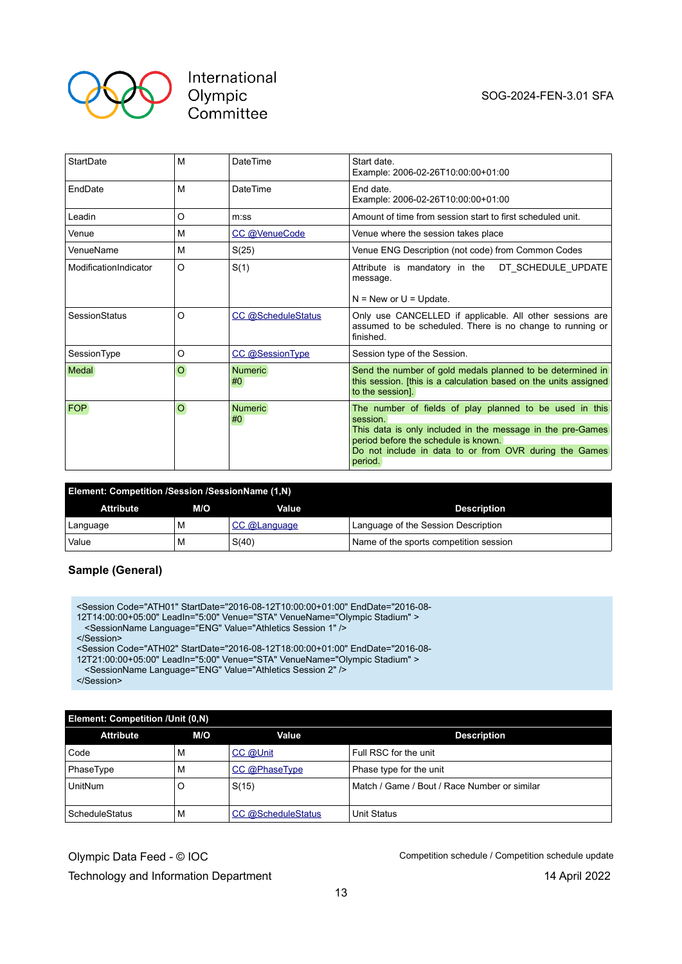

#### SOG-2024-FEN-3.01 SFA

| StartDate             | M       | <b>DateTime</b>      | Start date.<br>Example: 2006-02-26T10:00:00+01:00                                                                                                                                                                                              |
|-----------------------|---------|----------------------|------------------------------------------------------------------------------------------------------------------------------------------------------------------------------------------------------------------------------------------------|
| EndDate               | M       | <b>DateTime</b>      | End date.<br>Example: 2006-02-26T10:00:00+01:00                                                                                                                                                                                                |
| Leadin                | O       | m:ss                 | Amount of time from session start to first scheduled unit.                                                                                                                                                                                     |
| Venue                 | м       | CC @VenueCode        | Venue where the session takes place                                                                                                                                                                                                            |
| VenueName             | м       | S(25)                | Venue ENG Description (not code) from Common Codes                                                                                                                                                                                             |
| ModificationIndicator | O       | S(1)                 | Attribute is mandatory in the<br>DT SCHEDULE UPDATE<br>message.                                                                                                                                                                                |
|                       |         |                      | $N = New$ or $U = Update$ .                                                                                                                                                                                                                    |
| SessionStatus         | O       | CC @ScheduleStatus   | Only use CANCELLED if applicable. All other sessions are<br>assumed to be scheduled. There is no change to running or<br>finished.                                                                                                             |
| SessionType           | O       | CC @SessionType      | Session type of the Session.                                                                                                                                                                                                                   |
| <b>Medal</b>          | $\circ$ | <b>Numeric</b><br>#0 | Send the number of gold medals planned to be determined in<br>this session. [this is a calculation based on the units assigned<br>to the session].                                                                                             |
| <b>FOP</b>            | $\circ$ | <b>Numeric</b><br>#0 | The number of fields of play planned to be used in this<br>session.<br>This data is only included in the message in the pre-Games<br>period before the schedule is known.<br>Do not include in data to or from OVR during the Games<br>period. |

<span id="page-12-1"></span>

| <b>Element: Competition /Session /SessionName (1,N)</b> |     |              |                                        |
|---------------------------------------------------------|-----|--------------|----------------------------------------|
| <b>Attribute</b>                                        | M/O | Value        | <b>Description</b>                     |
| Language                                                | M   | CC @Language | Language of the Session Description    |
| Value                                                   | M   | S(40)        | Name of the sports competition session |

#### **Sample (General)**

<Session Code="ATH01" StartDate="2016-08-12T10:00:00+01:00" EndDate="2016-08-

- 12T14:00:00+05:00" LeadIn="5:00" Venue="STA" VenueName="Olympic Stadium" >
- <SessionName Language="ENG" Value="Athletics Session 1" />
- </Session>

<Session Code="ATH02" StartDate="2016-08-12T18:00:00+01:00" EndDate="2016-08-

- 12T21:00:00+05:00" LeadIn="5:00" Venue="STA" VenueName="Olympic Stadium" >
- <SessionName Language="ENG" Value="Athletics Session 2" />

</Session>

<span id="page-12-0"></span>

| <b>Element: Competition / Unit (0,N)</b> |     |                    |                                              |
|------------------------------------------|-----|--------------------|----------------------------------------------|
| <b>Attribute</b>                         | M/O | Value              | <b>Description</b>                           |
| Code                                     | м   | CC @Unit           | Full RSC for the unit                        |
| PhaseType                                | м   | CC @PhaseType      | Phase type for the unit                      |
| <b>UnitNum</b>                           | O   | S(15)              | Match / Game / Bout / Race Number or similar |
| ScheduleStatus                           | M   | CC @ScheduleStatus | <b>Unit Status</b>                           |

#### Olympic Data Feed - © IOC COMPUTE: Competition schedule / Competition schedule update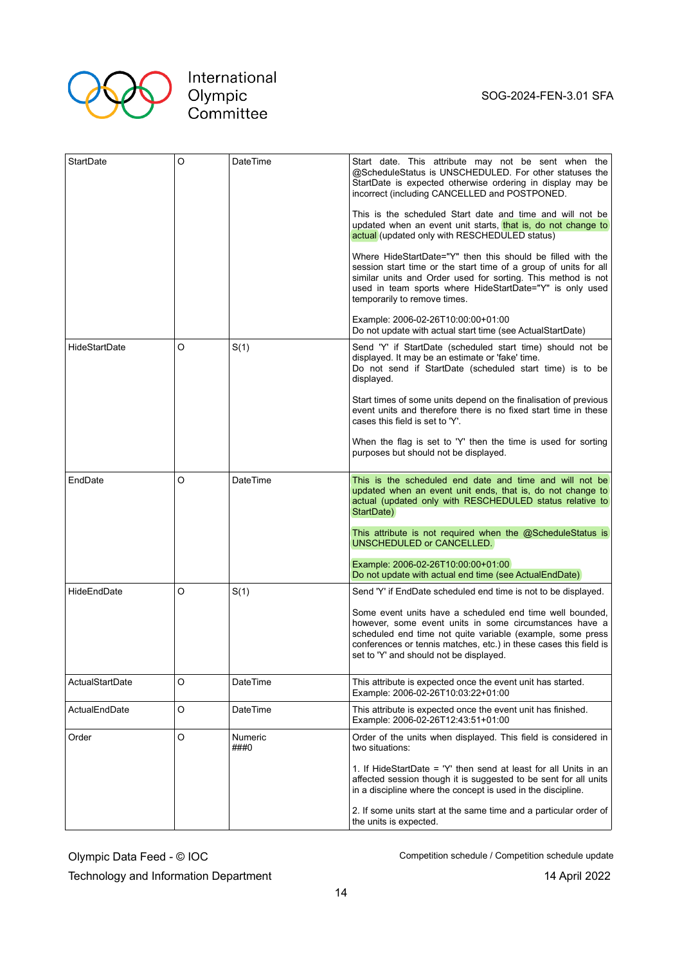

#### SOG-2024-FEN-3.01 SFA

| <b>StartDate</b> | O | <b>DateTime</b>        | Start date. This attribute may not be sent when the<br>@ScheduleStatus is UNSCHEDULED. For other statuses the<br>StartDate is expected otherwise ordering in display may be<br>incorrect (including CANCELLED and POSTPONED.<br>This is the scheduled Start date and time and will not be        |
|------------------|---|------------------------|--------------------------------------------------------------------------------------------------------------------------------------------------------------------------------------------------------------------------------------------------------------------------------------------------|
|                  |   |                        | updated when an event unit starts, that is, do not change to<br>actual (updated only with RESCHEDULED status)                                                                                                                                                                                    |
|                  |   |                        | Where HideStartDate="Y" then this should be filled with the<br>session start time or the start time of a group of units for all<br>similar units and Order used for sorting. This method is not<br>used in team sports where HideStartDate="Y" is only used<br>temporarily to remove times.      |
|                  |   |                        | Example: 2006-02-26T10:00:00+01:00<br>Do not update with actual start time (see ActualStartDate)                                                                                                                                                                                                 |
| HideStartDate    | O | S(1)                   | Send 'Y' if StartDate (scheduled start time) should not be<br>displayed. It may be an estimate or 'fake' time.<br>Do not send if StartDate (scheduled start time) is to be<br>displayed.                                                                                                         |
|                  |   |                        | Start times of some units depend on the finalisation of previous<br>event units and therefore there is no fixed start time in these<br>cases this field is set to 'Y'.                                                                                                                           |
|                  |   |                        | When the flag is set to 'Y' then the time is used for sorting<br>purposes but should not be displayed.                                                                                                                                                                                           |
| EndDate          | O | <b>DateTime</b>        | This is the scheduled end date and time and will not be<br>updated when an event unit ends, that is, do not change to<br>actual (updated only with RESCHEDULED status relative to<br>StartDate)                                                                                                  |
|                  |   |                        | This attribute is not required when the @ScheduleStatus is<br>UNSCHEDULED or CANCELLED.                                                                                                                                                                                                          |
|                  |   |                        | Example: 2006-02-26T10:00:00+01:00<br>Do not update with actual end time (see ActualEndDate)                                                                                                                                                                                                     |
| HideEndDate      | O | S(1)                   | Send 'Y' if EndDate scheduled end time is not to be displayed.                                                                                                                                                                                                                                   |
|                  |   |                        | Some event units have a scheduled end time well bounded,<br>however, some event units in some circumstances have a<br>scheduled end time not quite variable (example, some press<br>conferences or tennis matches, etc.) in these cases this field is<br>set to 'Y' and should not be displayed. |
| ActualStartDate  | O | DateTime               | This attribute is expected once the event unit has started.<br>Example: 2006-02-26T10:03:22+01:00                                                                                                                                                                                                |
| ActualEndDate    | O | <b>DateTime</b>        | This attribute is expected once the event unit has finished.<br>Example: 2006-02-26T12:43:51+01:00                                                                                                                                                                                               |
| Order            | O | <b>Numeric</b><br>###0 | Order of the units when displayed. This field is considered in<br>two situations:                                                                                                                                                                                                                |
|                  |   |                        | 1. If HideStartDate = 'Y' then send at least for all Units in an<br>affected session though it is suggested to be sent for all units<br>in a discipline where the concept is used in the discipline.                                                                                             |
|                  |   |                        | 2. If some units start at the same time and a particular order of<br>the units is expected.                                                                                                                                                                                                      |

Olympic Data Feed - © IOC COMPETITION Competition schedule / Competition schedule update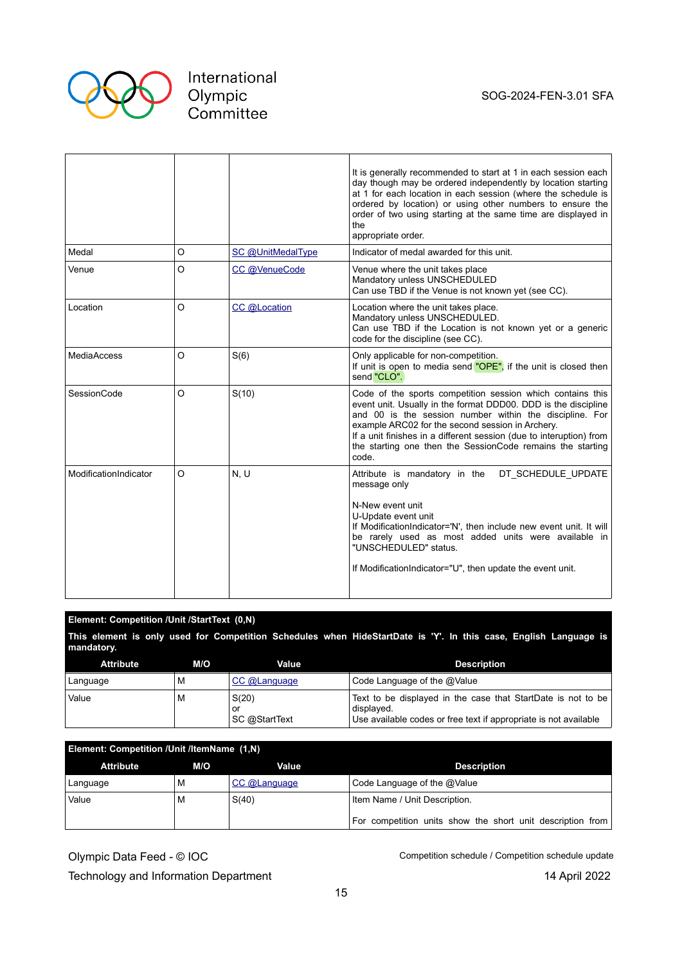

|                       |          |                   | It is generally recommended to start at 1 in each session each<br>day though may be ordered independently by location starting<br>at 1 for each location in each session (where the schedule is<br>ordered by location) or using other numbers to ensure the<br>order of two using starting at the same time are displayed in<br>the<br>appropriate order.                                |
|-----------------------|----------|-------------------|-------------------------------------------------------------------------------------------------------------------------------------------------------------------------------------------------------------------------------------------------------------------------------------------------------------------------------------------------------------------------------------------|
| Medal                 | O        | SC @UnitMedalType | Indicator of medal awarded for this unit.                                                                                                                                                                                                                                                                                                                                                 |
| Venue                 | $\circ$  | CC @VenueCode     | Venue where the unit takes place<br>Mandatory unless UNSCHEDULED<br>Can use TBD if the Venue is not known yet (see CC).                                                                                                                                                                                                                                                                   |
| Location              | $\circ$  | CC @Location      | Location where the unit takes place.<br>Mandatory unless UNSCHEDULED.<br>Can use TBD if the Location is not known yet or a generic<br>code for the discipline (see CC).                                                                                                                                                                                                                   |
| <b>MediaAccess</b>    | O        | S(6)              | Only applicable for non-competition.<br>If unit is open to media send "OPE", if the unit is closed then<br>send "CLO".                                                                                                                                                                                                                                                                    |
| <b>SessionCode</b>    | $\Omega$ | S(10)             | Code of the sports competition session which contains this<br>event unit. Usually in the format DDD00. DDD is the discipline<br>and 00 is the session number within the discipline. For<br>example ARC02 for the second session in Archery.<br>If a unit finishes in a different session (due to interuption) from<br>the starting one then the SessionCode remains the starting<br>code. |
| ModificationIndicator | O        | N, U              | DT SCHEDULE UPDATE<br>Attribute is mandatory in the<br>message only<br>N-New event unit<br>U-Update event unit<br>If Modification Indicator='N', then include new event unit. It will<br>be rarely used as most added units were available in<br>"UNSCHEDULED" status.<br>If Modification Indicator="U", then update the event unit.                                                      |

#### <span id="page-14-1"></span>**Element: Competition /Unit /StartText (0,N)**

**This element is only used for Competition Schedules when HideStartDate is 'Y'. In this case, English Language is mandatory.**

| Attribute | M/O | Value                        | <b>Description</b>                                                                                                                               |
|-----------|-----|------------------------------|--------------------------------------------------------------------------------------------------------------------------------------------------|
| Language  | м   | CC @Language                 | Code Language of the @Value                                                                                                                      |
| Value     | М   | S(20)<br>or<br>SC @StartText | Text to be displayed in the case that StartDate is not to be<br>' displayed.<br>Use available codes or free text if appropriate is not available |

<span id="page-14-0"></span>

| <b>Element: Competition /Unit /ItemName (1,N)</b> |     |              |                                                            |
|---------------------------------------------------|-----|--------------|------------------------------------------------------------|
| <b>Attribute</b>                                  | M/O | Value        | <b>Description</b>                                         |
| Language                                          | м   | CC @Language | Code Language of the @Value                                |
| Value                                             | M   | S(40)        | Item Name / Unit Description.                              |
|                                                   |     |              | For competition units show the short unit description from |

Olympic Data Feed - © IOC COMPUTE: Competition schedule / Competition schedule update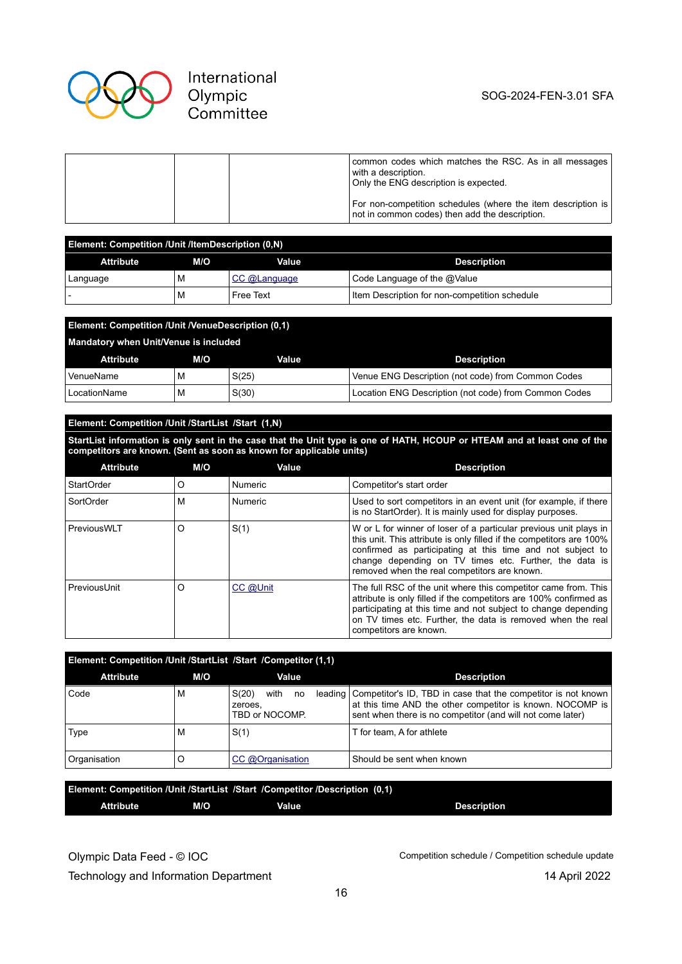

| common codes which matches the RSC. As in all messages<br>with a description.<br>Only the ENG description is expected. |
|------------------------------------------------------------------------------------------------------------------------|
| For non-competition schedules (where the item description is<br>not in common codes) then add the description.         |

<span id="page-15-1"></span>

| <b>Element: Competition /Unit /ItemDescription (0,N)</b> |     |              |                                               |
|----------------------------------------------------------|-----|--------------|-----------------------------------------------|
| <b>Attribute</b>                                         | M/O | Value        | Description                                   |
| Language                                                 | M   | CC @Language | Code Language of the @Value                   |
|                                                          | M   | Free Text    | Item Description for non-competition schedule |

<span id="page-15-0"></span>

| <b>Element: Competition /Unit /VenueDescription (0.1)</b> |     |       |                                                       |  |
|-----------------------------------------------------------|-----|-------|-------------------------------------------------------|--|
| Mandatory when Unit/Venue is included                     |     |       |                                                       |  |
| <b>Attribute</b>                                          | M/O | Value | <b>Description</b>                                    |  |
| VenueName                                                 | м   | S(25) | Venue ENG Description (not code) from Common Codes    |  |
| LocationName                                              | м   | S(30) | Location ENG Description (not code) from Common Codes |  |

#### <span id="page-15-4"></span>**Element: Competition /Unit /StartList /Start (1,N)**

**StartList information is only sent in the case that the Unit type is one of HATH, HCOUP or HTEAM and at least one of the competitors are known. (Sent as soon as known for applicable units)**

| <b>Attribute</b>  | M/O | Value          | <b>Description</b>                                                                                                                                                                                                                                                                                                |
|-------------------|-----|----------------|-------------------------------------------------------------------------------------------------------------------------------------------------------------------------------------------------------------------------------------------------------------------------------------------------------------------|
| <b>StartOrder</b> | O   | <b>Numeric</b> | Competitor's start order                                                                                                                                                                                                                                                                                          |
| SortOrder         | м   | <b>Numeric</b> | Used to sort competitors in an event unit (for example, if there<br>is no StartOrder). It is mainly used for display purposes.                                                                                                                                                                                    |
| PreviousWLT       | O   | S(1)           | W or L for winner of loser of a particular previous unit plays in<br>this unit. This attribute is only filled if the competitors are 100%<br>confirmed as participating at this time and not subject to<br>change depending on TV times etc. Further, the data is<br>removed when the real competitors are known. |
| PreviousUnit      | O   | CC @Unit       | The full RSC of the unit where this competitor came from. This<br>attribute is only filled if the competitors are 100% confirmed as<br>participating at this time and not subject to change depending<br>on TV times etc. Further, the data is removed when the real<br>competitors are known.                    |

<span id="page-15-3"></span>

| Element: Competition / Unit / Start List / Start / Competitor (1,1) |     |                                                  |                                                                                                                                                                                                  |  |  |  |  |
|---------------------------------------------------------------------|-----|--------------------------------------------------|--------------------------------------------------------------------------------------------------------------------------------------------------------------------------------------------------|--|--|--|--|
| <b>Attribute</b>                                                    | M/O | Value                                            | <b>Description</b>                                                                                                                                                                               |  |  |  |  |
| Code                                                                | M   | S(20)<br>with<br>no<br>zeroes.<br>TBD or NOCOMP. | leading Competitor's ID, TBD in case that the competitor is not known<br>at this time AND the other competitor is known. NOCOMP is<br>sent when there is no competitor (and will not come later) |  |  |  |  |
| Type                                                                | м   | S(1)                                             | T for team, A for athlete                                                                                                                                                                        |  |  |  |  |
| Organisation                                                        | O   | CC @Organisation                                 | Should be sent when known                                                                                                                                                                        |  |  |  |  |

<span id="page-15-2"></span>

| Element: Competition /Unit /StartList /Start /Competitor /Description (0.1) |     |              |                    |  |  |
|-----------------------------------------------------------------------------|-----|--------------|--------------------|--|--|
| <b>Attribute</b>                                                            | M/O | <b>Value</b> | <b>Description</b> |  |  |

Olympic Data Feed - © IOC COMPUTE: Competition schedule / Competition schedule update Technology and Information Department 14 April 2022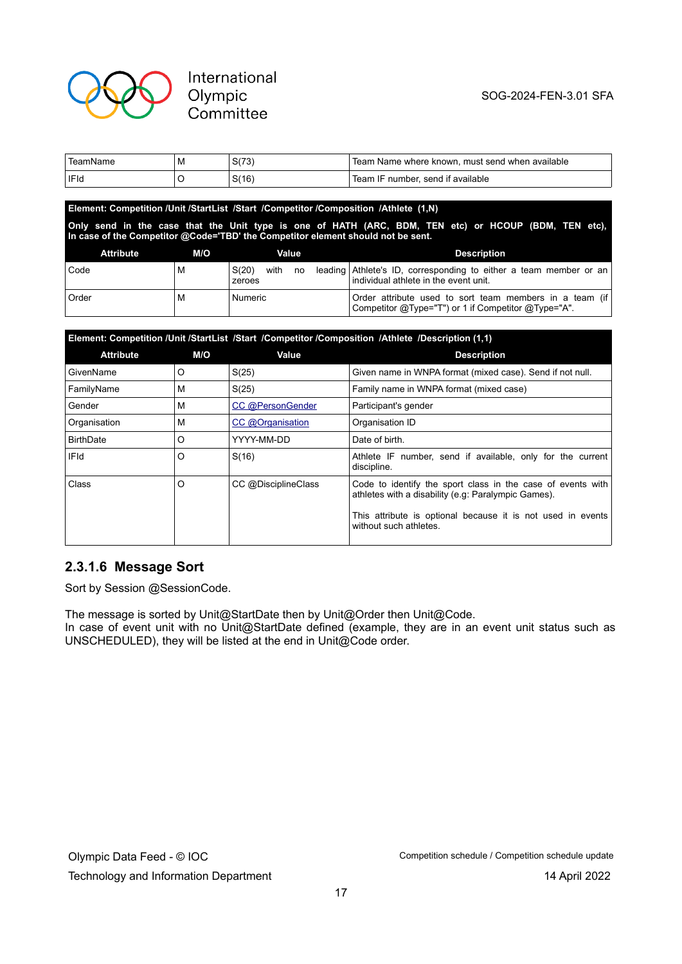

| IeamName     | M | ں ، ،ت | Team Name where known, must send when available |
|--------------|---|--------|-------------------------------------------------|
| <b>IFI</b> a |   | S(16)  | number, send if available<br>Team IF            |

<span id="page-16-2"></span>**Element: Competition /Unit /StartList /Start /Competitor /Composition /Athlete (1,N)**

**Only send in the case that the Unit type is one of HATH (ARC, BDM, TEN etc) or HCOUP (BDM, TEN etc), In case of the Competitor @Code='TBD' the Competitor element should not be sent.**

| Attribute | M/O | Value                         | Description                                                                                                     |
|-----------|-----|-------------------------------|-----------------------------------------------------------------------------------------------------------------|
| Code      | M   | S(20)<br>with<br>no<br>zeroes | leading Athlete's ID, corresponding to either a team member or an<br>individual athlete in the event unit.      |
| Order     | м   | Numeric                       | Order attribute used to sort team members in a team (if)<br>Competitor @Type="T") or 1 if Competitor @Type="A". |

<span id="page-16-1"></span>

| Element: Competition /Unit /StartList /Start /Competitor /Composition /Athlete /Description (1,1) |     |                     |                                                                                                                    |
|---------------------------------------------------------------------------------------------------|-----|---------------------|--------------------------------------------------------------------------------------------------------------------|
| <b>Attribute</b>                                                                                  | M/O | Value               | <b>Description</b>                                                                                                 |
| GivenName                                                                                         | O   | S(25)               | Given name in WNPA format (mixed case). Send if not null.                                                          |
| FamilyName                                                                                        | м   | S(25)               | Family name in WNPA format (mixed case)                                                                            |
| Gender                                                                                            | м   | CC @PersonGender    | Participant's gender                                                                                               |
| Organisation                                                                                      | м   | CC @Organisation    | Organisation ID                                                                                                    |
| <b>BirthDate</b>                                                                                  | O   | YYYY-MM-DD          | Date of birth.                                                                                                     |
| <b>IFId</b>                                                                                       | O   | S(16)               | Athlete IF number, send if available, only for the current<br>discipline.                                          |
| Class                                                                                             | O   | CC @DisciplineClass | Code to identify the sport class in the case of events with<br>athletes with a disability (e.g: Paralympic Games). |
|                                                                                                   |     |                     | This attribute is optional because it is not used in events<br>without such athletes.                              |

#### <span id="page-16-0"></span>**2.3.1.6 Message Sort**

Sort by Session @SessionCode.

The message is sorted by Unit@StartDate then by Unit@Order then Unit@Code.

In case of event unit with no Unit@StartDate defined (example, they are in an event unit status such as UNSCHEDULED), they will be listed at the end in Unit@Code order.

17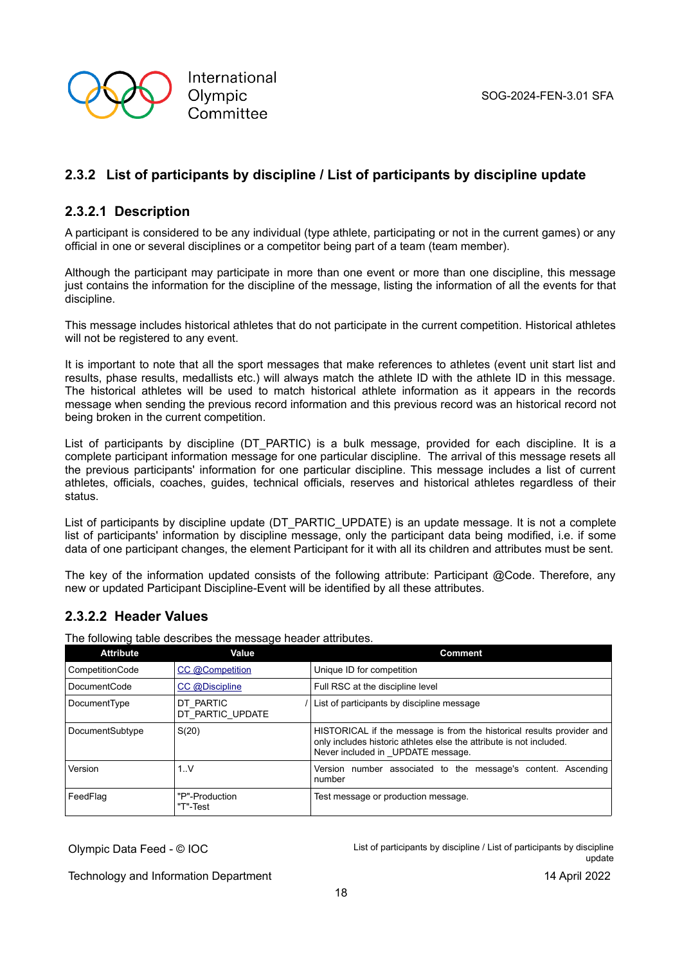

#### <span id="page-17-2"></span>**2.3.2 List of participants by discipline / List of participants by discipline update**

#### <span id="page-17-1"></span>**2.3.2.1 Description**

A participant is considered to be any individual (type athlete, participating or not in the current games) or any official in one or several disciplines or a competitor being part of a team (team member).

Although the participant may participate in more than one event or more than one discipline, this message just contains the information for the discipline of the message, listing the information of all the events for that discipline.

This message includes historical athletes that do not participate in the current competition. Historical athletes will not be registered to any event.

It is important to note that all the sport messages that make references to athletes (event unit start list and results, phase results, medallists etc.) will always match the athlete ID with the athlete ID in this message. The historical athletes will be used to match historical athlete information as it appears in the records message when sending the previous record information and this previous record was an historical record not being broken in the current competition.

List of participants by discipline (DT\_PARTIC) is a bulk message, provided for each discipline. It is a complete participant information message for one particular discipline. The arrival of this message resets all the previous participants' information for one particular discipline. This message includes a list of current athletes, officials, coaches, guides, technical officials, reserves and historical athletes regardless of their status.

List of participants by discipline update (DT\_PARTIC\_UPDATE) is an update message. It is not a complete list of participants' information by discipline message, only the participant data being modified, i.e. if some data of one participant changes, the element Participant for it with all its children and attributes must be sent.

The key of the information updated consists of the following attribute: Participant @Code. Therefore, any new or updated Participant Discipline-Event will be identified by all these attributes.

#### <span id="page-17-0"></span>**2.3.2.2 Header Values**

The following table describes the message header attributes.

| <b>Attribute</b> | Value                         | <b>Comment</b>                                                                                                                                                                    |  |  |  |
|------------------|-------------------------------|-----------------------------------------------------------------------------------------------------------------------------------------------------------------------------------|--|--|--|
| CompetitionCode  | CC @Competition               | Unique ID for competition                                                                                                                                                         |  |  |  |
| DocumentCode     | CC @Discipline                | Full RSC at the discipline level                                                                                                                                                  |  |  |  |
| DocumentType     | DT PARTIC<br>DT PARTIC UPDATE | List of participants by discipline message                                                                                                                                        |  |  |  |
| DocumentSubtype  | S(20)                         | HISTORICAL if the message is from the historical results provider and<br>only includes historic athletes else the attribute is not included.<br>Never included in UPDATE message. |  |  |  |
| Version          | 1.5V                          | Version number associated to the message's content. Ascending<br>number                                                                                                           |  |  |  |
| FeedFlag         | "P"-Production<br>"T"-Test    | Test message or production message.                                                                                                                                               |  |  |  |

Olympic Data Feed - © IOC List of participants by discipline / List of participants by discipline update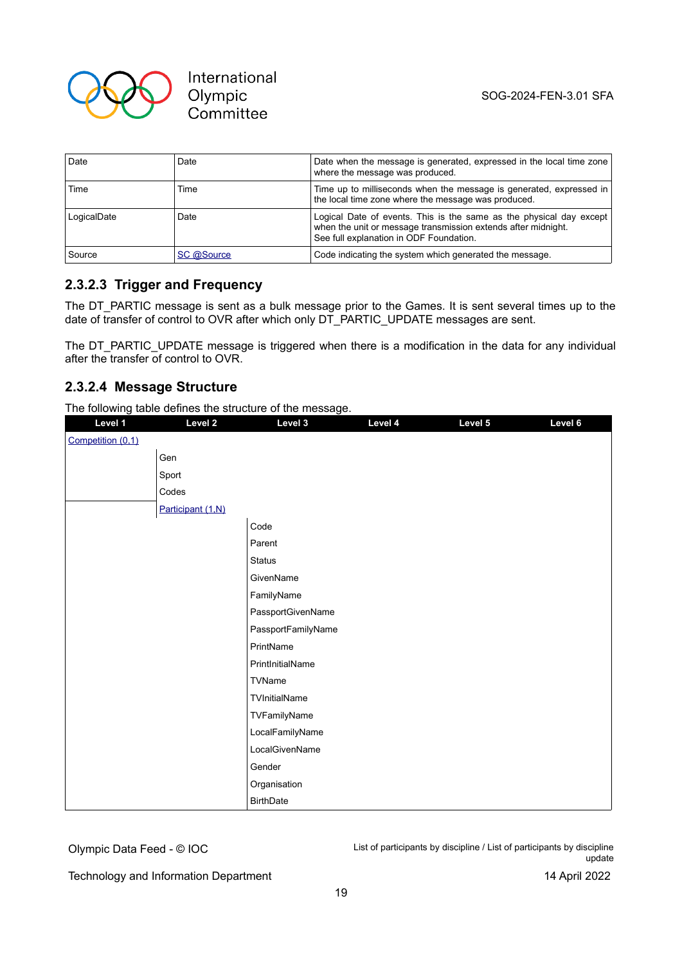

| Date        | Date       | Date when the message is generated, expressed in the local time zone<br>where the message was produced.                                                                         |
|-------------|------------|---------------------------------------------------------------------------------------------------------------------------------------------------------------------------------|
| Time        | Time       | Time up to milliseconds when the message is generated, expressed in<br>the local time zone where the message was produced.                                                      |
| LogicalDate | Date       | Logical Date of events. This is the same as the physical day except<br>when the unit or message transmission extends after midnight.<br>See full explanation in ODF Foundation. |
| Source      | SC @Source | Code indicating the system which generated the message.                                                                                                                         |

#### <span id="page-18-1"></span>**2.3.2.3 Trigger and Frequency**

The DT\_PARTIC message is sent as a bulk message prior to the Games. It is sent several times up to the date of transfer of control to OVR after which only DT\_PARTIC\_UPDATE messages are sent.

The DT\_PARTIC\_UPDATE message is triggered when there is a modification in the data for any individual after the transfer of control to OVR.

#### <span id="page-18-0"></span>**2.3.2.4 Message Structure**

The following table defines the structure of the message.

| Level 1           | Level <sub>2</sub> | Level 3            | Level 4 | Level 5 | Level 6 |
|-------------------|--------------------|--------------------|---------|---------|---------|
| Competition (0,1) |                    |                    |         |         |         |
|                   | Gen                |                    |         |         |         |
|                   | Sport              |                    |         |         |         |
|                   | Codes              |                    |         |         |         |
|                   | Participant (1,N)  |                    |         |         |         |
|                   |                    | Code               |         |         |         |
|                   |                    | Parent             |         |         |         |
|                   |                    | Status             |         |         |         |
|                   |                    | GivenName          |         |         |         |
|                   |                    | FamilyName         |         |         |         |
|                   |                    | PassportGivenName  |         |         |         |
|                   |                    | PassportFamilyName |         |         |         |
|                   |                    | PrintName          |         |         |         |
|                   |                    | PrintlnitialName   |         |         |         |
|                   |                    | TVName             |         |         |         |
|                   |                    | TVInitialName      |         |         |         |
|                   |                    | TVFamilyName       |         |         |         |
|                   |                    | LocalFamilyName    |         |         |         |
|                   |                    | LocalGivenName     |         |         |         |
|                   |                    | Gender             |         |         |         |
|                   |                    | Organisation       |         |         |         |
|                   |                    | <b>BirthDate</b>   |         |         |         |

Olympic Data Feed - © IOC **List of participants by discipline** / List of participants by discipline update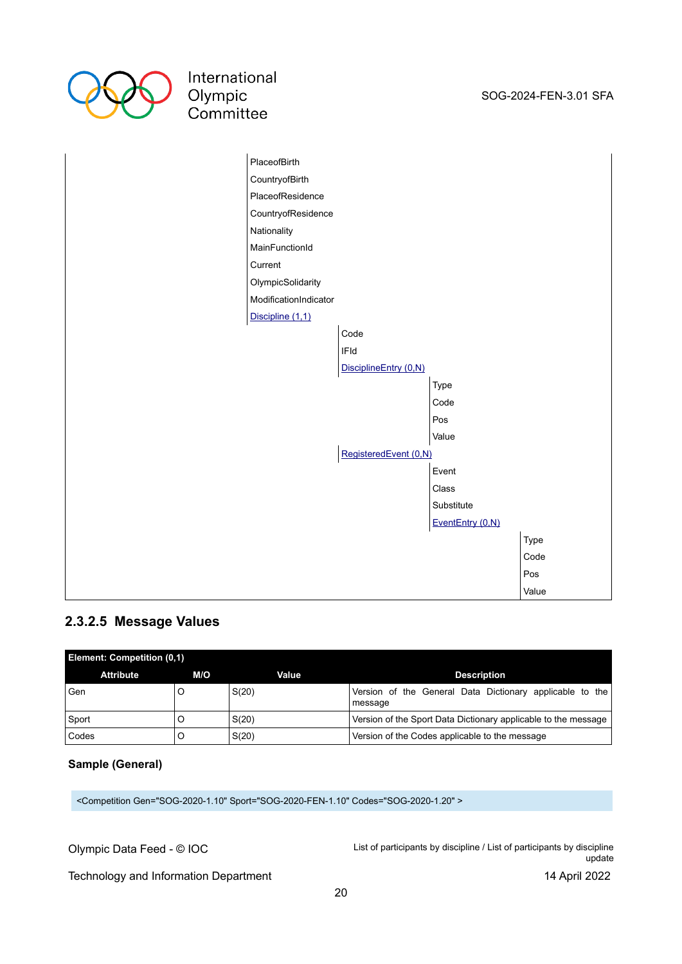

| PlaceofBirth          |                       |                  |       |
|-----------------------|-----------------------|------------------|-------|
| CountryofBirth        |                       |                  |       |
| PlaceofResidence      |                       |                  |       |
| CountryofResidence    |                       |                  |       |
| Nationality           |                       |                  |       |
| MainFunctionId        |                       |                  |       |
| Current               |                       |                  |       |
| OlympicSolidarity     |                       |                  |       |
| ModificationIndicator |                       |                  |       |
| Discipline (1,1)      |                       |                  |       |
|                       | Code                  |                  |       |
|                       | <b>IFId</b>           |                  |       |
|                       | DisciplineEntry (0,N) |                  |       |
|                       |                       | Type             |       |
|                       |                       | Code             |       |
|                       |                       | Pos              |       |
|                       |                       | Value            |       |
|                       | RegisteredEvent (0,N) |                  |       |
|                       |                       | Event            |       |
|                       |                       | Class            |       |
|                       |                       | Substitute       |       |
|                       |                       | EventEntry (0,N) |       |
|                       |                       |                  | Type  |
|                       |                       |                  | Code  |
|                       |                       |                  | Pos   |
|                       |                       |                  | Value |

#### <span id="page-19-0"></span>**2.3.2.5 Message Values**

<span id="page-19-1"></span>

| <b>Element: Competition (0,1)</b> |     |       |                                                                     |  |  |  |
|-----------------------------------|-----|-------|---------------------------------------------------------------------|--|--|--|
| <b>Attribute</b>                  | M/O | Value | <b>Description</b>                                                  |  |  |  |
| Gen                               |     | S(20) | Version of the General Data Dictionary applicable to the<br>message |  |  |  |
| Sport                             |     | S(20) | Version of the Sport Data Dictionary applicable to the message      |  |  |  |
| Codes                             |     | S(20) | Version of the Codes applicable to the message                      |  |  |  |

#### **Sample (General)**

<Competition Gen="SOG-2020-1.10" Sport="SOG-2020-FEN-1.10" Codes="SOG-2020-1.20" >

Olympic Data Feed - © IOC List of participants by discipline / List of participants by discipline update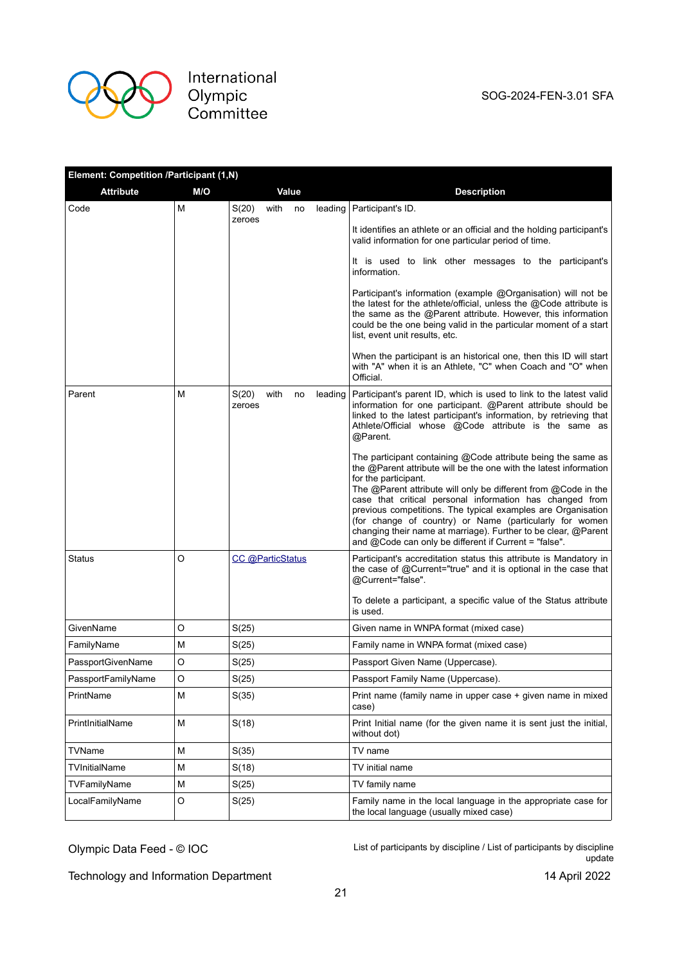

<span id="page-20-0"></span>

| <b>Element: Competition /Participant (1,N)</b> |     |                  |      |       |         |                                                                                                                                                                                                                                                                                                                                                                                                                                                                                                                                               |
|------------------------------------------------|-----|------------------|------|-------|---------|-----------------------------------------------------------------------------------------------------------------------------------------------------------------------------------------------------------------------------------------------------------------------------------------------------------------------------------------------------------------------------------------------------------------------------------------------------------------------------------------------------------------------------------------------|
| <b>Attribute</b>                               | M/O |                  |      | Value |         | <b>Description</b>                                                                                                                                                                                                                                                                                                                                                                                                                                                                                                                            |
| Code                                           | М   | S(20)<br>zeroes  | with | no    |         | leading   Participant's ID.<br>It identifies an athlete or an official and the holding participant's<br>valid information for one particular period of time.                                                                                                                                                                                                                                                                                                                                                                                  |
|                                                |     |                  |      |       |         | It is used to link other messages to the participant's<br>information.                                                                                                                                                                                                                                                                                                                                                                                                                                                                        |
|                                                |     |                  |      |       |         | Participant's information (example @Organisation) will not be<br>the latest for the athlete/official, unless the @Code attribute is<br>the same as the @Parent attribute. However, this information<br>could be the one being valid in the particular moment of a start<br>list, event unit results, etc.                                                                                                                                                                                                                                     |
|                                                |     |                  |      |       |         | When the participant is an historical one, then this ID will start<br>with "A" when it is an Athlete, "C" when Coach and "O" when<br>Official.                                                                                                                                                                                                                                                                                                                                                                                                |
| Parent                                         | М   | S(20)<br>zeroes  | with | no    | leading | Participant's parent ID, which is used to link to the latest valid<br>information for one participant. @Parent attribute should be<br>linked to the latest participant's information, by retrieving that<br>Athlete/Official whose @Code attribute is the same as<br>@Parent.                                                                                                                                                                                                                                                                 |
|                                                |     |                  |      |       |         | The participant containing @Code attribute being the same as<br>the @Parent attribute will be the one with the latest information<br>for the participant.<br>The @Parent attribute will only be different from @Code in the<br>case that critical personal information has changed from<br>previous competitions. The typical examples are Organisation<br>(for change of country) or Name (particularly for women<br>changing their name at marriage). Further to be clear, @Parent<br>and @Code can only be different if Current = "false". |
| <b>Status</b>                                  | O   | CC @ParticStatus |      |       |         | Participant's accreditation status this attribute is Mandatory in<br>the case of @Current="true" and it is optional in the case that<br>@Current="false".                                                                                                                                                                                                                                                                                                                                                                                     |
|                                                |     |                  |      |       |         | To delete a participant, a specific value of the Status attribute<br>is used.                                                                                                                                                                                                                                                                                                                                                                                                                                                                 |
| GivenName                                      | O   | S(25)            |      |       |         | Given name in WNPA format (mixed case)                                                                                                                                                                                                                                                                                                                                                                                                                                                                                                        |
| FamilyName                                     | М   | S(25)            |      |       |         | Family name in WNPA format (mixed case)                                                                                                                                                                                                                                                                                                                                                                                                                                                                                                       |
| PassportGivenName                              | O   | S(25)            |      |       |         | Passport Given Name (Uppercase).                                                                                                                                                                                                                                                                                                                                                                                                                                                                                                              |
| PassportFamilyName                             | O   | S(25)            |      |       |         | Passport Family Name (Uppercase).                                                                                                                                                                                                                                                                                                                                                                                                                                                                                                             |
| PrintName                                      | M   | S(35)            |      |       |         | Print name (family name in upper case + given name in mixed<br>case)                                                                                                                                                                                                                                                                                                                                                                                                                                                                          |
| PrintlnitialName                               | M   | S(18)            |      |       |         | Print Initial name (for the given name it is sent just the initial,<br>without dot)                                                                                                                                                                                                                                                                                                                                                                                                                                                           |
| TVName                                         | М   | S(35)            |      |       |         | TV name                                                                                                                                                                                                                                                                                                                                                                                                                                                                                                                                       |
| <b>TVInitialName</b>                           | M   | S(18)            |      |       |         | TV initial name                                                                                                                                                                                                                                                                                                                                                                                                                                                                                                                               |
| TVFamilyName                                   | М   | S(25)            |      |       |         | TV family name                                                                                                                                                                                                                                                                                                                                                                                                                                                                                                                                |
| LocalFamilyName                                | O   | S(25)            |      |       |         | Family name in the local language in the appropriate case for<br>the local language (usually mixed case)                                                                                                                                                                                                                                                                                                                                                                                                                                      |

Olympic Data Feed - © IOC List of participants by discipline / List of participants by discipline update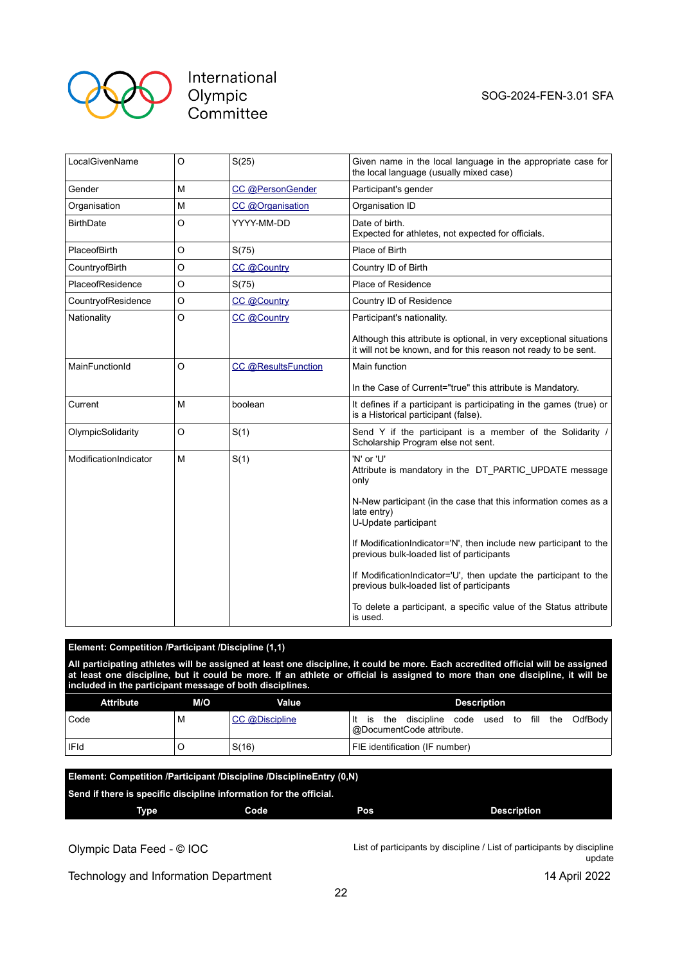

#### SOG-2024-FEN-3.01 SFA

| LocalGivenName        | $\circ$  | S(25)               | Given name in the local language in the appropriate case for<br>the local language (usually mixed case)                                |
|-----------------------|----------|---------------------|----------------------------------------------------------------------------------------------------------------------------------------|
| Gender                | M        | CC @PersonGender    | Participant's gender                                                                                                                   |
| Organisation          | М        | CC @Organisation    | Organisation ID                                                                                                                        |
| <b>BirthDate</b>      | O        | YYYY-MM-DD          | Date of birth.<br>Expected for athletes, not expected for officials.                                                                   |
| PlaceofBirth          | $\circ$  | S(75)               | Place of Birth                                                                                                                         |
| CountryofBirth        | O        | CC @Country         | Country ID of Birth                                                                                                                    |
| PlaceofResidence      | O        | S(75)               | Place of Residence                                                                                                                     |
| CountryofResidence    | O        | CC @Country         | Country ID of Residence                                                                                                                |
| Nationality           | $\circ$  | CC @Country         | Participant's nationality.                                                                                                             |
|                       |          |                     | Although this attribute is optional, in very exceptional situations<br>it will not be known, and for this reason not ready to be sent. |
| MainFunctionId        | $\Omega$ | CC @ResultsFunction | Main function                                                                                                                          |
|                       |          |                     | In the Case of Current="true" this attribute is Mandatory.                                                                             |
| Current               | M        | boolean             | It defines if a participant is participating in the games (true) or<br>is a Historical participant (false).                            |
| OlympicSolidarity     | $\circ$  | S(1)                | Send Y if the participant is a member of the Solidarity /<br>Scholarship Program else not sent.                                        |
| ModificationIndicator | M        | S(1)                | 'N' or 'U'<br>Attribute is mandatory in the DT PARTIC UPDATE message<br>only                                                           |
|                       |          |                     | N-New participant (in the case that this information comes as a<br>late entry)<br>U-Update participant                                 |
|                       |          |                     | If Modification Indicator='N', then include new participant to the<br>previous bulk-loaded list of participants                        |
|                       |          |                     | If ModificationIndicator='U', then update the participant to the<br>previous bulk-loaded list of participants                          |
|                       |          |                     | To delete a participant, a specific value of the Status attribute<br>is used.                                                          |

#### <span id="page-21-1"></span>**Element: Competition /Participant /Discipline (1,1)**

**All participating athletes will be assigned at least one discipline, it could be more. Each accredited official will be assigned at least one discipline, but it could be more. If an athlete or official is assigned to more than one discipline, it will be included in the participant message of both disciplines.**

| <b>Attribute</b> | M/O | Value          | Description                                                                    |
|------------------|-----|----------------|--------------------------------------------------------------------------------|
| Code             | M   | CC @Discipline | It is the discipline code used to fill the OdfBody<br>@DocumentCode attribute. |
| l IFId           |     | S(16)          | FIE identification (IF number)                                                 |

<span id="page-21-0"></span>

| <b>Element: Competition /Participant /Discipline /DisciplineEntry (0,N)</b> |      |     |             |  |  |
|-----------------------------------------------------------------------------|------|-----|-------------|--|--|
| Send if there is specific discipline information for the official.          |      |     |             |  |  |
| <b>Type</b>                                                                 | Code | Pos | Description |  |  |

Olympic Data Feed - © IOC List of participants by discipline / List of participants by discipline update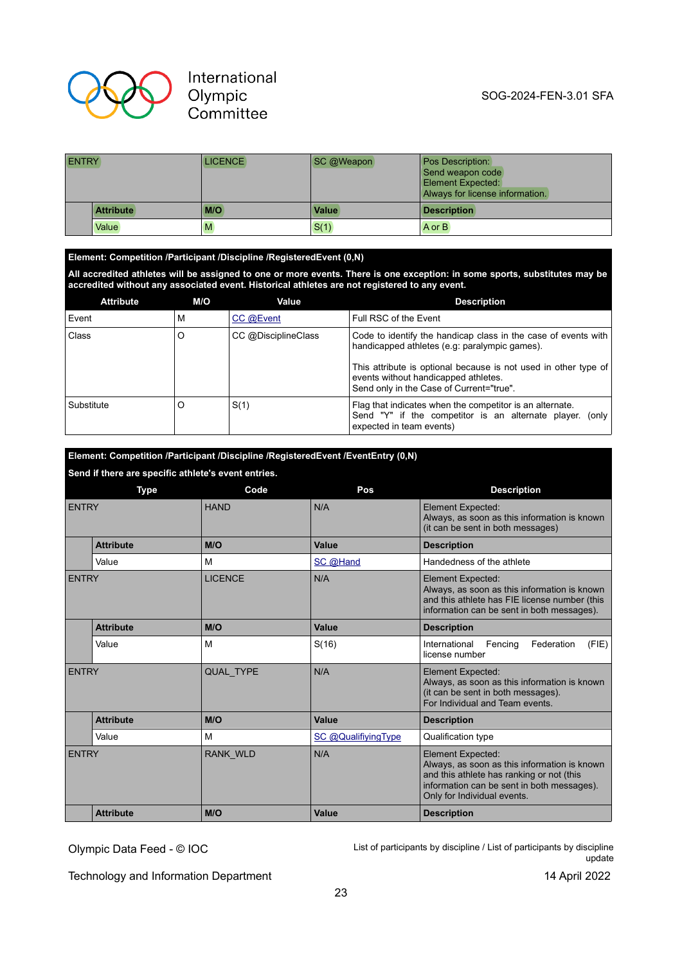

| <b>ENTRY</b> |                  | <b>LICENCE</b> | SC @Weapon   | <b>Pos Description:</b><br>Send weapon code<br>Element Expected:<br>Always for license information. |
|--------------|------------------|----------------|--------------|-----------------------------------------------------------------------------------------------------|
|              | <b>Attribute</b> | M/O            | <b>Value</b> | <b>Description</b>                                                                                  |
|              | <b>Value</b>     | M              | S(1)         | A or B                                                                                              |

#### <span id="page-22-1"></span>**Element: Competition /Participant /Discipline /RegisteredEvent (0,N)**

**All accredited athletes will be assigned to one or more events. There is one exception: in some sports, substitutes may be accredited without any associated event. Historical athletes are not registered to any event.**

| <b>Attribute</b> | M/O | Value               | <b>Description</b>                                                                                                                                                                                                                                                     |
|------------------|-----|---------------------|------------------------------------------------------------------------------------------------------------------------------------------------------------------------------------------------------------------------------------------------------------------------|
| Event            | м   | CC @Event           | Full RSC of the Event                                                                                                                                                                                                                                                  |
| Class            | O   | CC @DisciplineClass | Code to identify the handicap class in the case of events with<br>handicapped athletes (e.g. paralympic games).<br>This attribute is optional because is not used in other type of<br>events without handicapped athletes.<br>Send only in the Case of Current="true". |
| Substitute       | O   | S(1)                | Flag that indicates when the competitor is an alternate.<br>Send "Y" if the competitor is an alternate player. (only<br>expected in team events)                                                                                                                       |

#### <span id="page-22-0"></span>**Element: Competition /Participant /Discipline /RegisteredEvent /EventEntry (0,N)**

**Send if there are specific athlete's event entries.**

|              | <b>Type</b>      | Code             | Pos                 | <b>Description</b>                                                                                                                                                                          |
|--------------|------------------|------------------|---------------------|---------------------------------------------------------------------------------------------------------------------------------------------------------------------------------------------|
| <b>ENTRY</b> |                  | <b>HAND</b>      | N/A                 | <b>Element Expected:</b><br>Always, as soon as this information is known<br>(it can be sent in both messages)                                                                               |
|              | <b>Attribute</b> | M/O              | Value               | <b>Description</b>                                                                                                                                                                          |
|              | Value            | M                | SC @Hand            | Handedness of the athlete                                                                                                                                                                   |
| <b>ENTRY</b> |                  | <b>LICENCE</b>   | N/A                 | Element Expected:<br>Always, as soon as this information is known<br>and this athlete has FIE license number (this<br>information can be sent in both messages).                            |
|              | <b>Attribute</b> | M/O              | Value               | <b>Description</b>                                                                                                                                                                          |
|              | Value            | M                | S(16)               | (FIE)<br>International<br>Fencing<br>Federation<br>license number                                                                                                                           |
| <b>ENTRY</b> |                  | <b>QUAL TYPE</b> | N/A                 | Element Expected:<br>Always, as soon as this information is known<br>(it can be sent in both messages).<br>For Individual and Team events.                                                  |
|              | <b>Attribute</b> | M/O              | Value               | <b>Description</b>                                                                                                                                                                          |
|              | Value            | M                | SC @QualifiyingType | Qualification type                                                                                                                                                                          |
| <b>ENTRY</b> |                  | <b>RANK WLD</b>  | N/A                 | Element Expected:<br>Always, as soon as this information is known<br>and this athlete has ranking or not (this<br>information can be sent in both messages).<br>Only for Individual events. |
|              | <b>Attribute</b> | M/O              | <b>Value</b>        | <b>Description</b>                                                                                                                                                                          |

Olympic Data Feed - © IOC List of participants by discipline / List of participants by discipline update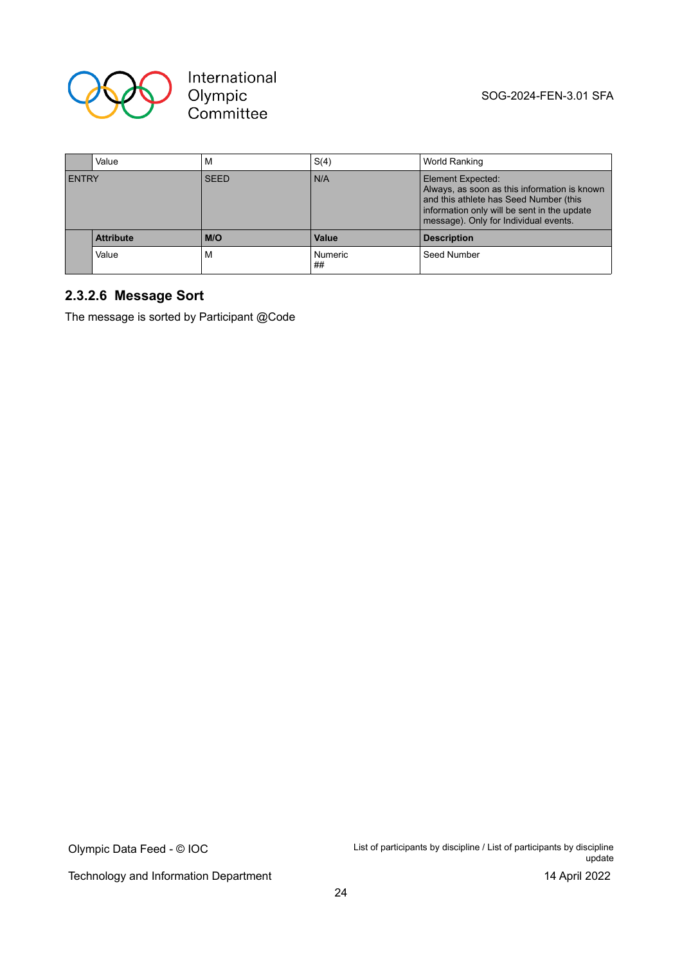

|              | Value            | M           | S(4)                 | World Ranking                                                                                                                                                                                              |
|--------------|------------------|-------------|----------------------|------------------------------------------------------------------------------------------------------------------------------------------------------------------------------------------------------------|
| <b>ENTRY</b> |                  | <b>SEED</b> | N/A                  | <b>Element Expected:</b><br>Always, as soon as this information is known<br>and this athlete has Seed Number (this<br>information only will be sent in the update<br>message). Only for Individual events. |
|              | <b>Attribute</b> | M/O         | <b>Value</b>         | <b>Description</b>                                                                                                                                                                                         |
|              | Value            | м           | <b>Numeric</b><br>## | Seed Number                                                                                                                                                                                                |

#### <span id="page-23-0"></span>**2.3.2.6 Message Sort**

The message is sorted by Participant @Code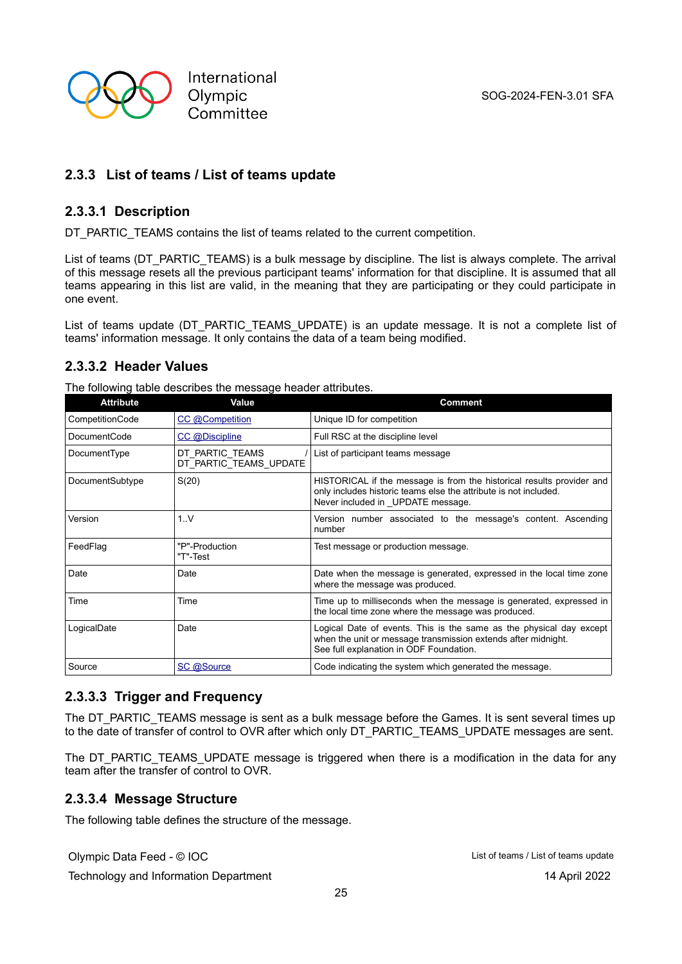

#### <span id="page-24-4"></span>**2.3.3 List of teams / List of teams update**

#### <span id="page-24-3"></span>**2.3.3.1 Description**

DT\_PARTIC\_TEAMS contains the list of teams related to the current competition.

List of teams (DT\_PARTIC\_TEAMS) is a bulk message by discipline. The list is always complete. The arrival of this message resets all the previous participant teams' information for that discipline. It is assumed that all teams appearing in this list are valid, in the meaning that they are participating or they could participate in one event.

List of teams update (DT\_PARTIC\_TEAMS\_UPDATE) is an update message. It is not a complete list of teams' information message. It only contains the data of a team being modified.

#### <span id="page-24-2"></span>**2.3.3.2 Header Values**

The following table describes the message header attributes.

| <b>Attribute</b> | Value                                     | <b>Comment</b>                                                                                                                                                                  |
|------------------|-------------------------------------------|---------------------------------------------------------------------------------------------------------------------------------------------------------------------------------|
| CompetitionCode  | CC @Competition                           | Unique ID for competition                                                                                                                                                       |
| DocumentCode     | CC @Discipline                            | Full RSC at the discipline level                                                                                                                                                |
| DocumentType     | DT PARTIC TEAMS<br>DT_PARTIC_TEAMS_UPDATE | List of participant teams message                                                                                                                                               |
| DocumentSubtype  | S(20)                                     | HISTORICAL if the message is from the historical results provider and<br>only includes historic teams else the attribute is not included.<br>Never included in _UPDATE message. |
| Version          | 1.1V                                      | Version number associated to the message's content. Ascending<br>number                                                                                                         |
| FeedFlag         | "P"-Production<br>"T"-Test                | Test message or production message.                                                                                                                                             |
| Date             | Date                                      | Date when the message is generated, expressed in the local time zone<br>where the message was produced.                                                                         |
| Time             | Time                                      | Time up to milliseconds when the message is generated, expressed in<br>the local time zone where the message was produced.                                                      |
| LogicalDate      | Date                                      | Logical Date of events. This is the same as the physical day except<br>when the unit or message transmission extends after midnight.<br>See full explanation in ODF Foundation. |
| Source           | SC @Source                                | Code indicating the system which generated the message.                                                                                                                         |

#### <span id="page-24-1"></span>**2.3.3.3 Trigger and Frequency**

The DT\_PARTIC\_TEAMS message is sent as a bulk message before the Games. It is sent several times up to the date of transfer of control to OVR after which only DT\_PARTIC\_TEAMS\_UPDATE messages are sent.

The DT\_PARTIC\_TEAMS\_UPDATE message is triggered when there is a modification in the data for any team after the transfer of control to OVR.

#### <span id="page-24-0"></span>**2.3.3.4 Message Structure**

The following table defines the structure of the message.

Olympic Data Feed - © IOC <br>
Colympic Data Feed - © IOC List of teams update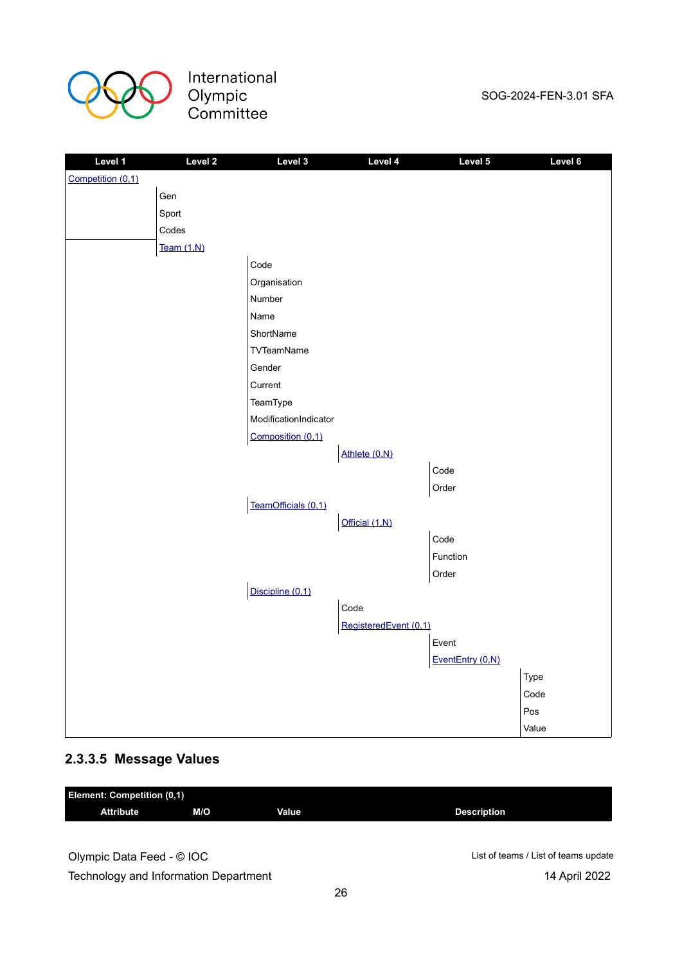

International<br>Olympic<br>Committee

#### SOG-2024-FEN-3.01 SFA

| Level 1           | Level 2      | Level 3               | Level 4               | Level 5          | Level 6 |
|-------------------|--------------|-----------------------|-----------------------|------------------|---------|
| Competition (0,1) |              |                       |                       |                  |         |
|                   | Gen          |                       |                       |                  |         |
|                   | Sport        |                       |                       |                  |         |
|                   | Codes        |                       |                       |                  |         |
|                   | Team $(1,N)$ |                       |                       |                  |         |
|                   |              | Code                  |                       |                  |         |
|                   |              | Organisation          |                       |                  |         |
|                   |              | Number                |                       |                  |         |
|                   |              | Name                  |                       |                  |         |
|                   |              | ShortName             |                       |                  |         |
|                   |              | TVTeamName            |                       |                  |         |
|                   |              | Gender                |                       |                  |         |
|                   |              | Current               |                       |                  |         |
|                   |              | TeamType              |                       |                  |         |
|                   |              | ModificationIndicator |                       |                  |         |
|                   |              | Composition (0,1)     |                       |                  |         |
|                   |              |                       | Athlete (0,N)         |                  |         |
|                   |              |                       |                       | Code             |         |
|                   |              |                       |                       | Order            |         |
|                   |              | TeamOfficials (0,1)   |                       |                  |         |
|                   |              |                       | Official (1,N)        |                  |         |
|                   |              |                       |                       | Code             |         |
|                   |              |                       |                       | Function         |         |
|                   |              |                       |                       | Order            |         |
|                   |              | Discipline (0,1)      |                       |                  |         |
|                   |              |                       | Code                  |                  |         |
|                   |              |                       | RegisteredEvent (0,1) |                  |         |
|                   |              |                       |                       | Event            |         |
|                   |              |                       |                       | EventEntry (0,N) |         |
|                   |              |                       |                       |                  | Type    |
|                   |              |                       |                       |                  | Code    |
|                   |              |                       |                       |                  | Pos     |
|                   |              |                       |                       |                  | Value   |

# <span id="page-25-0"></span>**2.3.3.5 Message Values**

<span id="page-25-1"></span>

| <b>Element: Competition (0,1)</b>     |     |       |                                      |
|---------------------------------------|-----|-------|--------------------------------------|
| <b>Attribute</b>                      | M/O | Value | <b>Description</b>                   |
|                                       |     |       |                                      |
| Olympic Data Feed - © IOC             |     |       | List of teams / List of teams update |
| Technology and Information Department |     |       | 14 April 2022                        |
|                                       |     |       | 26                                   |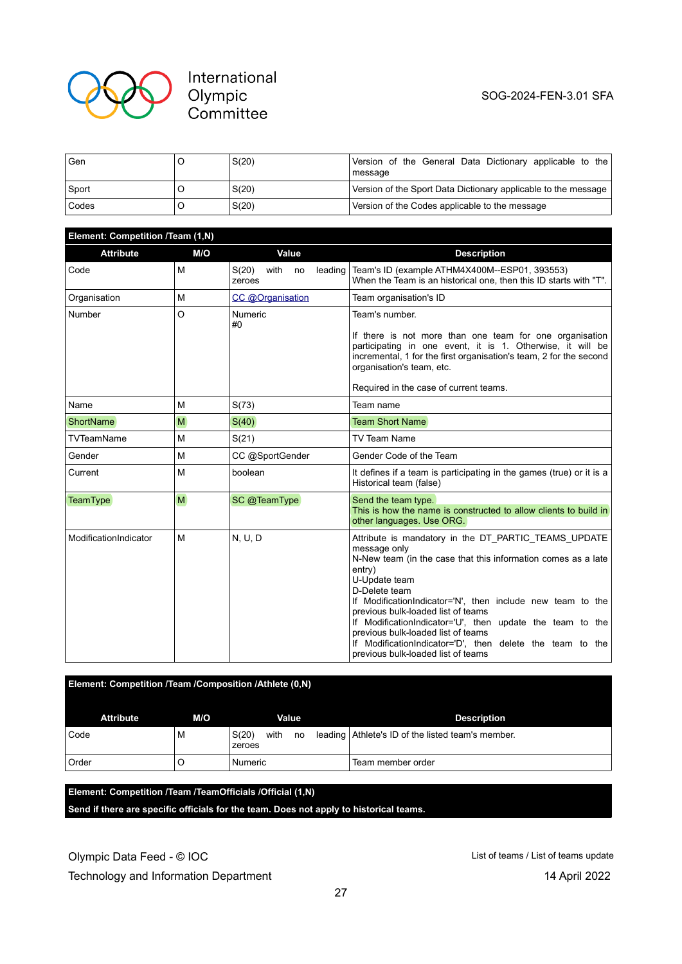

#### SOG-2024-FEN-3.01 SFA

| Gen   | S(20) | Version of the General Data Dictionary applicable to the<br>message |
|-------|-------|---------------------------------------------------------------------|
| Sport | S(20) | Version of the Sport Data Dictionary applicable to the message      |
| Codes | S(20) | Version of the Codes applicable to the message                      |

<span id="page-26-2"></span>

| Element: Competition /Team (1,N) |         |                               |                                                                                                                                                                                                                                                                                                                                                                                                                                                                                               |
|----------------------------------|---------|-------------------------------|-----------------------------------------------------------------------------------------------------------------------------------------------------------------------------------------------------------------------------------------------------------------------------------------------------------------------------------------------------------------------------------------------------------------------------------------------------------------------------------------------|
| <b>Attribute</b>                 | M/O     | Value                         | <b>Description</b>                                                                                                                                                                                                                                                                                                                                                                                                                                                                            |
| Code                             | M       | S(20)<br>with<br>no<br>zeroes | leading   Team's ID (example ATHM4X400M--ESP01, 393553)<br>When the Team is an historical one, then this ID starts with "T".                                                                                                                                                                                                                                                                                                                                                                  |
| Organisation                     | M       | CC @Organisation              | Team organisation's ID                                                                                                                                                                                                                                                                                                                                                                                                                                                                        |
| Number                           | $\circ$ | <b>Numeric</b><br>#0          | Team's number.<br>If there is not more than one team for one organisation<br>participating in one event, it is 1. Otherwise, it will be<br>incremental, 1 for the first organisation's team, 2 for the second<br>organisation's team, etc.<br>Required in the case of current teams.                                                                                                                                                                                                          |
| Name                             | M       | S(73)                         | Team name                                                                                                                                                                                                                                                                                                                                                                                                                                                                                     |
| <b>ShortName</b>                 | M       | S(40)                         | <b>Team Short Name</b>                                                                                                                                                                                                                                                                                                                                                                                                                                                                        |
| TVTeamName                       | M       | S(21)                         | <b>TV Team Name</b>                                                                                                                                                                                                                                                                                                                                                                                                                                                                           |
| Gender                           | M       | CC @SportGender               | Gender Code of the Team                                                                                                                                                                                                                                                                                                                                                                                                                                                                       |
| Current                          | M       | boolean                       | It defines if a team is participating in the games (true) or it is a<br>Historical team (false)                                                                                                                                                                                                                                                                                                                                                                                               |
| <b>TeamType</b>                  | M       | SC @TeamType                  | Send the team type.<br>This is how the name is constructed to allow clients to build in<br>other languages. Use ORG.                                                                                                                                                                                                                                                                                                                                                                          |
| ModificationIndicator            | M       | N, U, D                       | Attribute is mandatory in the DT PARTIC TEAMS UPDATE<br>message only<br>N-New team (in the case that this information comes as a late<br>entry)<br>U-Update team<br>D-Delete team<br>If Modification Indicator='N', then include new team to the<br>previous bulk-loaded list of teams<br>If ModificationIndicator='U', then update the team to the<br>previous bulk-loaded list of teams<br>If Modification Indicator='D', then delete the team to the<br>previous bulk-loaded list of teams |

#### <span id="page-26-1"></span>**Element: Competition /Team /Composition /Athlete (0,N)**

| <b>Attribute</b> | M/O |                         | Value | <b>Description</b>                                  |
|------------------|-----|-------------------------|-------|-----------------------------------------------------|
| Code             | м   | S(20)<br>with<br>zeroes | no    | leading   Athlete's ID of the listed team's member. |
| Order            |     | Numeric                 |       | Team member order                                   |

#### <span id="page-26-0"></span>**Element: Competition /Team /TeamOfficials /Official (1,N)**

**Send if there are specific officials for the team. Does not apply to historical teams.**

Olympic Data Feed - © IOC **List of teams / List of teams / List of teams update** Technology and Information Department 14 April 2022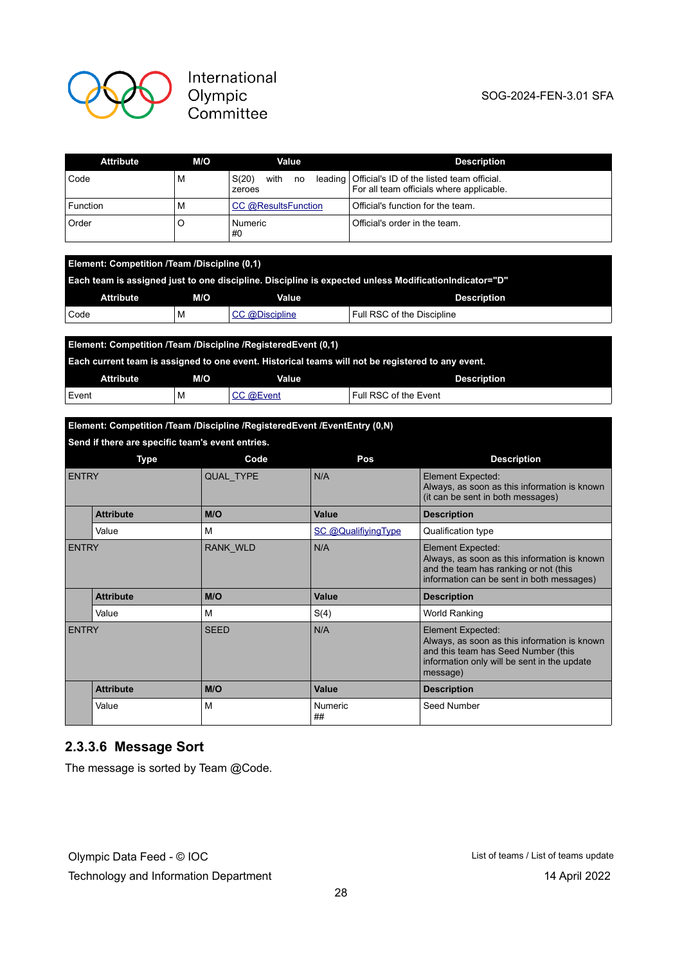

#### SOG-2024-FEN-3.01 SFA

<span id="page-27-3"></span><span id="page-27-2"></span><span id="page-27-1"></span>

|              | <b>Attribute</b>                                 | M/O         | Value                                                                                             |               |                                   | <b>Description</b>                                                                                                                                                         |
|--------------|--------------------------------------------------|-------------|---------------------------------------------------------------------------------------------------|---------------|-----------------------------------|----------------------------------------------------------------------------------------------------------------------------------------------------------------------------|
| Code         |                                                  | M           | S(20) with<br>no<br>zeroes                                                                        | leading       |                                   | Official's ID of the listed team official.<br>For all team officials where applicable.                                                                                     |
| Function     |                                                  | M           | CC @ResultsFunction                                                                               |               | Official's function for the team. |                                                                                                                                                                            |
| Order        |                                                  | O           | <b>Numeric</b><br>$\#$                                                                            |               | Official's order in the team.     |                                                                                                                                                                            |
|              | Element: Competition /Team /Discipline (0,1)     |             |                                                                                                   |               |                                   |                                                                                                                                                                            |
|              |                                                  |             |                                                                                                   |               |                                   | "Each team is assigned just to one discipline. Discipline is expected unless ModificationIndicator="D                                                                      |
|              | <b>Attribute</b>                                 | M/O         | Value                                                                                             |               |                                   | <b>Description</b>                                                                                                                                                         |
| Code         |                                                  | M           | CC @Discipline                                                                                    |               | Full RSC of the Discipline        |                                                                                                                                                                            |
|              |                                                  |             |                                                                                                   |               |                                   |                                                                                                                                                                            |
|              |                                                  |             | Element: Competition /Team /Discipline /RegisteredEvent (0,1)                                     |               |                                   |                                                                                                                                                                            |
|              |                                                  |             | Each current team is assigned to one event. Historical teams will not be registered to any event. |               |                                   |                                                                                                                                                                            |
|              | <b>Attribute</b>                                 | M/O         | Value                                                                                             |               |                                   | <b>Description</b>                                                                                                                                                         |
| Event        |                                                  | M           | CC @Event                                                                                         |               | Full RSC of the Event             |                                                                                                                                                                            |
|              |                                                  |             | Element: Competition /Team /Discipline /RegisteredEvent /EventEntry (0,N)                         |               |                                   |                                                                                                                                                                            |
|              | Send if there are specific team's event entries. |             |                                                                                                   |               |                                   |                                                                                                                                                                            |
|              | <b>Type</b>                                      |             | Code                                                                                              |               | Pos                               | <b>Description</b>                                                                                                                                                         |
| <b>ENTRY</b> |                                                  |             | <b>QUAL TYPE</b>                                                                                  | N/A           |                                   | Element Expected:<br>Always, as soon as this information is known<br>(it can be sent in both messages)                                                                     |
|              | <b>Attribute</b>                                 | M/O         |                                                                                                   | Value         |                                   | <b>Description</b>                                                                                                                                                         |
|              | Value                                            | M           |                                                                                                   |               | SC @QualifiyingType               | Qualification type                                                                                                                                                         |
| <b>ENTRY</b> |                                                  |             | <b>RANK WLD</b>                                                                                   | N/A           |                                   | <b>Element Expected:</b><br>Always, as soon as this information is known<br>and the team has ranking or not (this<br>information can be sent in both messages)             |
|              | <b>Attribute</b>                                 | M/O         |                                                                                                   | Value         |                                   | <b>Description</b>                                                                                                                                                         |
|              | Value                                            | M           |                                                                                                   | S(4)          |                                   | World Ranking                                                                                                                                                              |
| <b>ENTRY</b> |                                                  | <b>SEED</b> |                                                                                                   | N/A           |                                   | <b>Element Expected:</b><br>Always, as soon as this information is known<br>and this team has Seed Number (this<br>information only will be sent in the update<br>message) |
|              | <b>Attribute</b>                                 | M/O         |                                                                                                   | <b>Value</b>  |                                   | <b>Description</b>                                                                                                                                                         |
|              | Value                                            | М           |                                                                                                   | Numeric<br>## |                                   | Seed Number                                                                                                                                                                |

# <span id="page-27-0"></span>**2.3.3.6 Message Sort**

The message is sorted by Team @Code.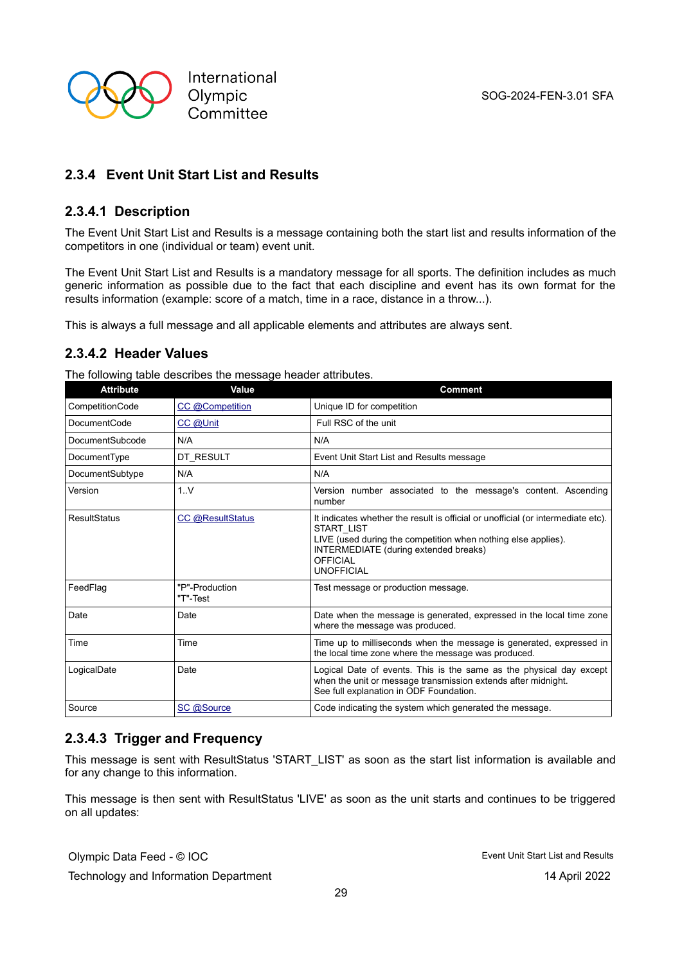

#### <span id="page-28-3"></span>**2.3.4 Event Unit Start List and Results**

#### <span id="page-28-2"></span>**2.3.4.1 Description**

The Event Unit Start List and Results is a message containing both the start list and results information of the competitors in one (individual or team) event unit.

The Event Unit Start List and Results is a mandatory message for all sports. The definition includes as much generic information as possible due to the fact that each discipline and event has its own format for the results information (example: score of a match, time in a race, distance in a throw...).

This is always a full message and all applicable elements and attributes are always sent.

#### <span id="page-28-1"></span>**2.3.4.2 Header Values**

The following table describes the message header attributes.

| <b>Attribute</b>       | Value                      | <b>Comment</b>                                                                                                                                                                                                                                          |
|------------------------|----------------------------|---------------------------------------------------------------------------------------------------------------------------------------------------------------------------------------------------------------------------------------------------------|
| CompetitionCode        | CC @Competition            | Unique ID for competition                                                                                                                                                                                                                               |
| <b>DocumentCode</b>    | CC @Unit                   | Full RSC of the unit                                                                                                                                                                                                                                    |
| <b>DocumentSubcode</b> | N/A                        | N/A                                                                                                                                                                                                                                                     |
| DocumentType           | DT RESULT                  | Event Unit Start List and Results message                                                                                                                                                                                                               |
| DocumentSubtype        | N/A                        | N/A                                                                                                                                                                                                                                                     |
| Version                | 1.5V                       | Version number associated to the message's content. Ascending<br>number                                                                                                                                                                                 |
| <b>ResultStatus</b>    | CC @ResultStatus           | It indicates whether the result is official or unofficial (or intermediate etc).<br><b>START LIST</b><br>LIVE (used during the competition when nothing else applies).<br>INTERMEDIATE (during extended breaks)<br><b>OFFICIAL</b><br><b>UNOFFICIAL</b> |
| FeedFlag               | "P"-Production<br>"T"-Test | Test message or production message.                                                                                                                                                                                                                     |
| Date                   | Date                       | Date when the message is generated, expressed in the local time zone<br>where the message was produced.                                                                                                                                                 |
| Time                   | Time                       | Time up to milliseconds when the message is generated, expressed in<br>the local time zone where the message was produced.                                                                                                                              |
| LogicalDate            | Date                       | Logical Date of events. This is the same as the physical day except<br>when the unit or message transmission extends after midnight.<br>See full explanation in ODF Foundation.                                                                         |
| Source                 | SC @Source                 | Code indicating the system which generated the message.                                                                                                                                                                                                 |

#### <span id="page-28-0"></span>**2.3.4.3 Trigger and Frequency**

This message is sent with ResultStatus 'START\_LIST' as soon as the start list information is available and for any change to this information.

This message is then sent with ResultStatus 'LIVE' as soon as the unit starts and continues to be triggered on all updates:

Olympic Data Feed - © IOC **Event Unit Start List and Results**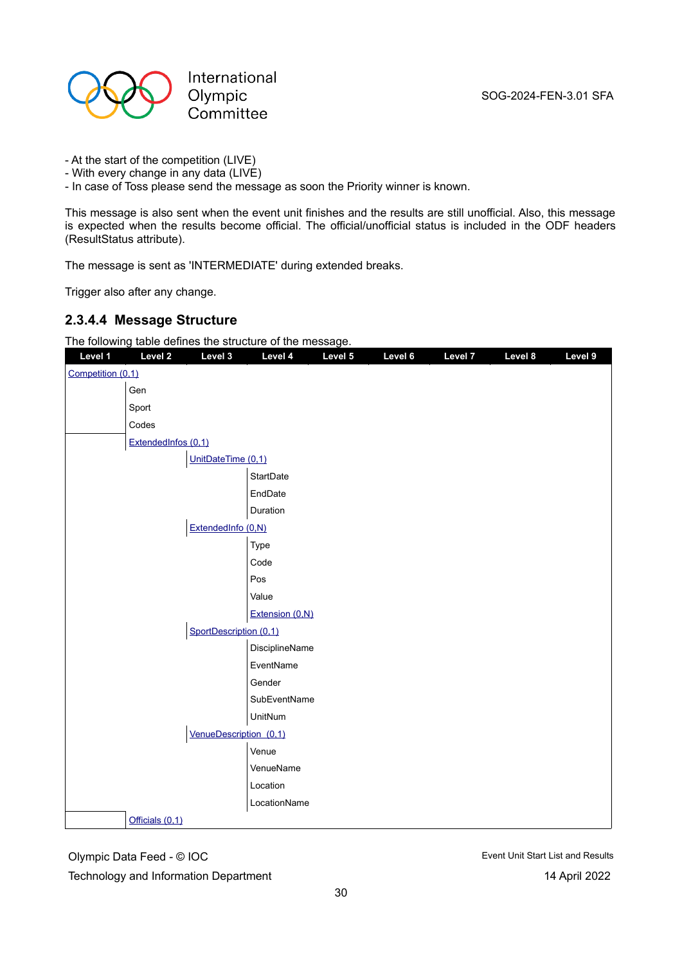

- At the start of the competition (LIVE)
- With every change in any data (LIVE)
- In case of Toss please send the message as soon the Priority winner is known.

This message is also sent when the event unit finishes and the results are still unofficial. Also, this message is expected when the results become official. The official/unofficial status is included in the ODF headers (ResultStatus attribute).

The message is sent as 'INTERMEDIATE' during extended breaks.

Trigger also after any change.

#### <span id="page-29-0"></span>**2.3.4.4 Message Structure**

The following table defines the structure of the message.

| Level 1 | Level 2             | Level 3                | Level 4         | Level 5 | Level 6 | Level 7 | Level 8 | Level 9 |
|---------|---------------------|------------------------|-----------------|---------|---------|---------|---------|---------|
|         | Competition (0,1)   |                        |                 |         |         |         |         |         |
|         | Gen                 |                        |                 |         |         |         |         |         |
|         | Sport               |                        |                 |         |         |         |         |         |
|         | Codes               |                        |                 |         |         |         |         |         |
|         | ExtendedInfos (0,1) |                        |                 |         |         |         |         |         |
|         |                     | UnitDateTime (0,1)     |                 |         |         |         |         |         |
|         |                     |                        | StartDate       |         |         |         |         |         |
|         |                     |                        | EndDate         |         |         |         |         |         |
|         |                     |                        | Duration        |         |         |         |         |         |
|         |                     | ExtendedInfo (0,N)     |                 |         |         |         |         |         |
|         |                     |                        | Type            |         |         |         |         |         |
|         |                     |                        | Code            |         |         |         |         |         |
|         |                     |                        | Pos             |         |         |         |         |         |
|         |                     |                        | Value           |         |         |         |         |         |
|         |                     |                        | Extension (0,N) |         |         |         |         |         |
|         |                     | SportDescription (0,1) |                 |         |         |         |         |         |
|         |                     |                        | DisciplineName  |         |         |         |         |         |
|         |                     |                        | EventName       |         |         |         |         |         |
|         |                     |                        | Gender          |         |         |         |         |         |
|         |                     |                        | SubEventName    |         |         |         |         |         |
|         |                     |                        | UnitNum         |         |         |         |         |         |
|         |                     | VenueDescription (0,1) |                 |         |         |         |         |         |
|         |                     |                        | Venue           |         |         |         |         |         |
|         |                     |                        | VenueName       |         |         |         |         |         |
|         |                     |                        | Location        |         |         |         |         |         |
|         |                     |                        | LocationName    |         |         |         |         |         |
|         | Officials (0,1)     |                        |                 |         |         |         |         |         |

Olympic Data Feed - © IOC **Event Unit Start List and Results** Technology and Information Department 14 April 2022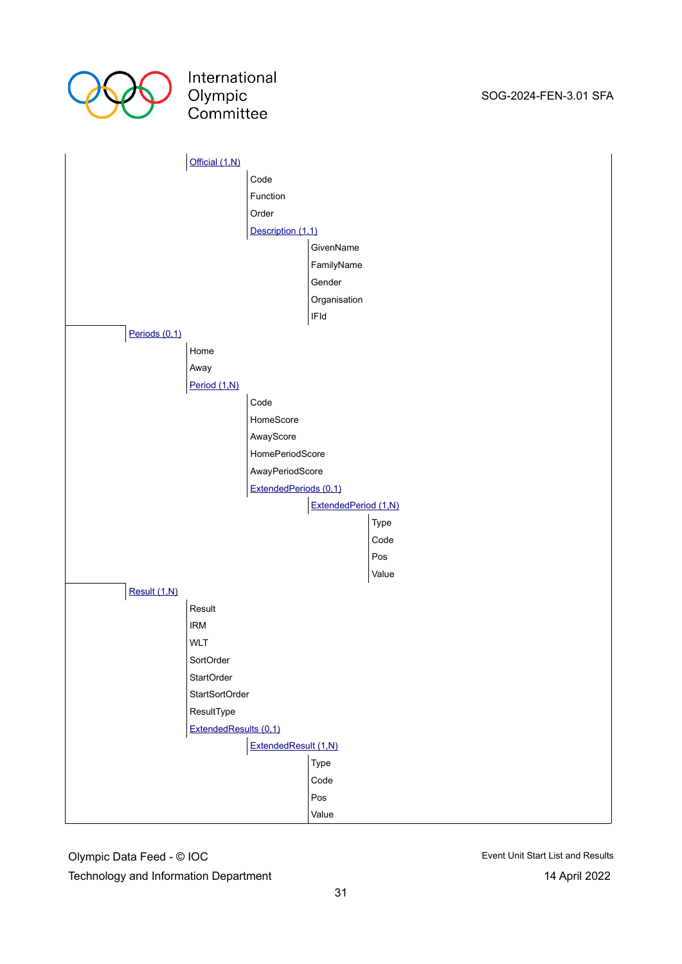

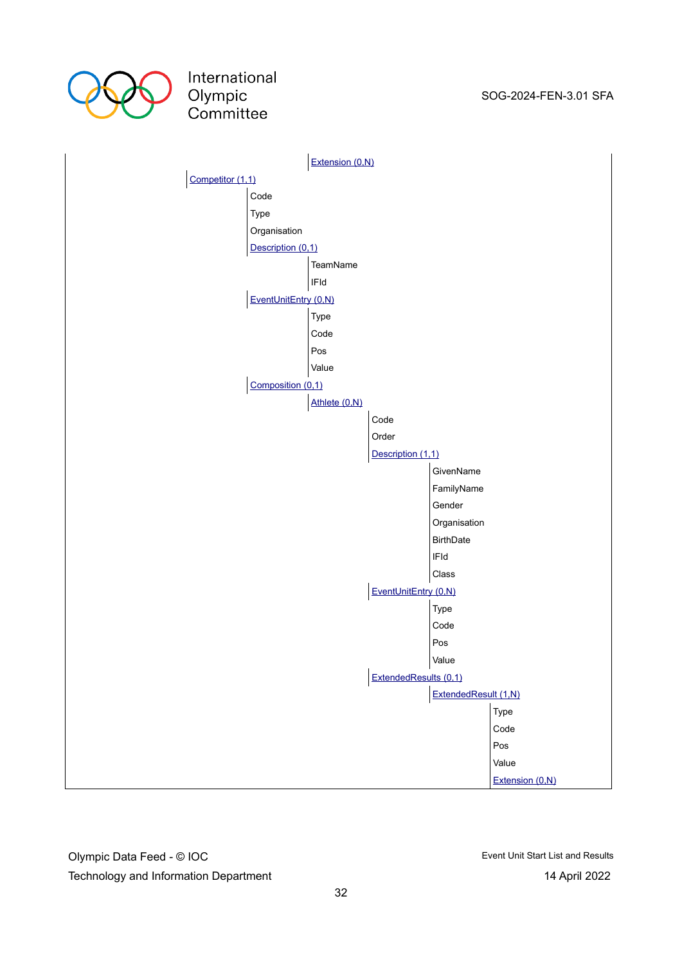

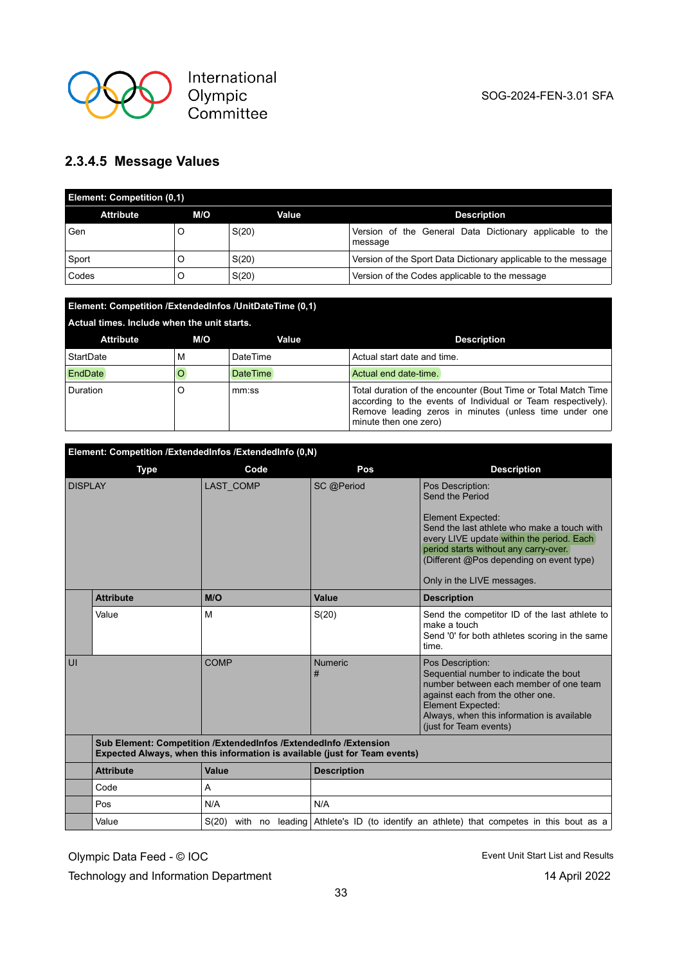

#### <span id="page-32-0"></span>**2.3.4.5 Message Values**

<span id="page-32-3"></span>

| <b>Element: Competition (0,1)</b> |     |       |                                                                     |  |  |
|-----------------------------------|-----|-------|---------------------------------------------------------------------|--|--|
| <b>Attribute</b>                  | M/O | Value | <b>Description</b>                                                  |  |  |
| Gen                               |     | S(20) | Version of the General Data Dictionary applicable to the<br>message |  |  |
| Sport                             |     | S(20) | Version of the Sport Data Dictionary applicable to the message      |  |  |
| Codes                             |     | S(20) | Version of the Codes applicable to the message                      |  |  |

<span id="page-32-2"></span>

| <b>Element: Competition /ExtendedInfos /UnitDateTime (0.1)</b> |     |                 |                                                                                                                                                                                                                    |  |
|----------------------------------------------------------------|-----|-----------------|--------------------------------------------------------------------------------------------------------------------------------------------------------------------------------------------------------------------|--|
| Actual times. Include when the unit starts.                    |     |                 |                                                                                                                                                                                                                    |  |
| <b>Attribute</b>                                               | M/O | Value           | <b>Description</b>                                                                                                                                                                                                 |  |
| StartDate                                                      | М   | <b>DateTime</b> | Actual start date and time.                                                                                                                                                                                        |  |
| EndDate                                                        |     | <b>DateTime</b> | Actual end date-time.                                                                                                                                                                                              |  |
| Duration                                                       |     | mm:ss           | Total duration of the encounter (Bout Time or Total Match Time<br>according to the events of Individual or Team respectively).<br>Remove leading zeros in minutes (unless time under one)<br>minute then one zero) |  |

<span id="page-32-1"></span>

|                | Element: Competition /ExtendedInfos /ExtendedInfo (0,N)                                                                                        |           |                     |                                                                                                                                                                                                                                                                                |  |
|----------------|------------------------------------------------------------------------------------------------------------------------------------------------|-----------|---------------------|--------------------------------------------------------------------------------------------------------------------------------------------------------------------------------------------------------------------------------------------------------------------------------|--|
|                | <b>Type</b>                                                                                                                                    | Code      | Pos                 | <b>Description</b>                                                                                                                                                                                                                                                             |  |
| <b>DISPLAY</b> |                                                                                                                                                | LAST_COMP | SC @Period          | Pos Description:<br>Send the Period<br><b>Element Expected:</b><br>Send the last athlete who make a touch with<br>every LIVE update within the period. Each<br>period starts without any carry-over.<br>(Different @Pos depending on event type)<br>Only in the LIVE messages. |  |
|                | <b>Attribute</b>                                                                                                                               | M/O       | Value               | <b>Description</b>                                                                                                                                                                                                                                                             |  |
|                | Value                                                                                                                                          | M         | S(20)               | Send the competitor ID of the last athlete to<br>make a touch<br>Send '0' for both athletes scoring in the same<br>time.                                                                                                                                                       |  |
| UI             |                                                                                                                                                | COMP      | <b>Numeric</b><br># | Pos Description:<br>Sequential number to indicate the bout<br>number between each member of one team<br>against each from the other one.<br><b>Element Expected:</b><br>Always, when this information is available<br>(just for Team events)                                   |  |
|                | Sub Element: Competition /ExtendedInfos /ExtendedInfo /Extension<br>Expected Always, when this information is available (just for Team events) |           |                     |                                                                                                                                                                                                                                                                                |  |
|                | <b>Value</b><br><b>Attribute</b>                                                                                                               |           | <b>Description</b>  |                                                                                                                                                                                                                                                                                |  |
|                | Code                                                                                                                                           | A         |                     |                                                                                                                                                                                                                                                                                |  |
|                | Pos                                                                                                                                            | N/A       | N/A                 |                                                                                                                                                                                                                                                                                |  |
|                | Value                                                                                                                                          |           |                     | S(20) with no leading Athlete's ID (to identify an athlete) that competes in this bout as a                                                                                                                                                                                    |  |

Olympic Data Feed - © IOC **Example 2018** Event Unit Start List and Results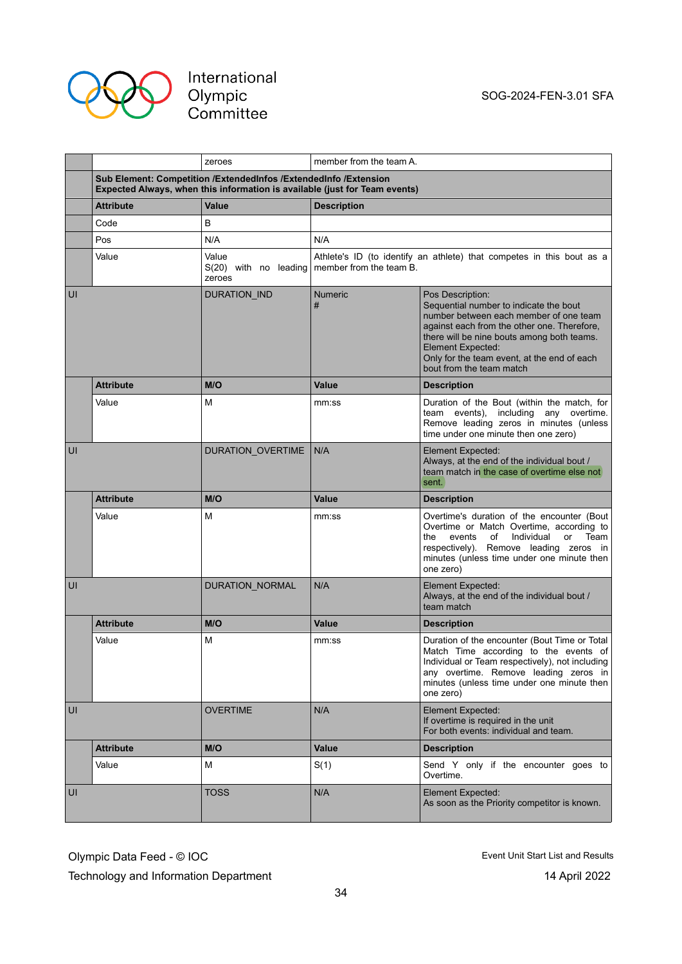

|    | member from the team A.<br>zeroes |                                                                                                                                                |                         |                                                                                                                                                                                                                                                                                                          |
|----|-----------------------------------|------------------------------------------------------------------------------------------------------------------------------------------------|-------------------------|----------------------------------------------------------------------------------------------------------------------------------------------------------------------------------------------------------------------------------------------------------------------------------------------------------|
|    |                                   | Sub Element: Competition /ExtendedInfos /ExtendedInfo /Extension<br>Expected Always, when this information is available (just for Team events) |                         |                                                                                                                                                                                                                                                                                                          |
|    | <b>Attribute</b>                  | <b>Value</b>                                                                                                                                   | <b>Description</b>      |                                                                                                                                                                                                                                                                                                          |
|    | Code                              | B                                                                                                                                              |                         |                                                                                                                                                                                                                                                                                                          |
|    | Pos                               | N/A                                                                                                                                            | N/A                     |                                                                                                                                                                                                                                                                                                          |
|    | Value                             | Value<br>$S(20)$ with no leading<br>zeroes                                                                                                     | member from the team B. | Athlete's ID (to identify an athlete) that competes in this bout as a                                                                                                                                                                                                                                    |
| UI |                                   | DURATION_IND                                                                                                                                   | Numeric<br>#            | Pos Description:<br>Sequential number to indicate the bout<br>number between each member of one team<br>against each from the other one. Therefore,<br>there will be nine bouts among both teams.<br><b>Element Expected:</b><br>Only for the team event, at the end of each<br>bout from the team match |
|    | <b>Attribute</b>                  | M/O                                                                                                                                            | <b>Value</b>            | <b>Description</b>                                                                                                                                                                                                                                                                                       |
|    | Value                             | M                                                                                                                                              | mm:ss                   | Duration of the Bout (within the match, for<br>team events), including any overtime.<br>Remove leading zeros in minutes (unless<br>time under one minute then one zero)                                                                                                                                  |
| UI |                                   | DURATION_OVERTIME                                                                                                                              | N/A                     | Element Expected:<br>Always, at the end of the individual bout /<br>team match in the case of overtime else not<br>sent.                                                                                                                                                                                 |
|    | <b>Attribute</b>                  | M/O                                                                                                                                            | <b>Value</b>            | <b>Description</b>                                                                                                                                                                                                                                                                                       |
|    | Value                             | M                                                                                                                                              | mm:ss                   | Overtime's duration of the encounter (Bout<br>Overtime or Match Overtime, according to<br>of<br>Individual<br><b>or</b><br>Team<br>the<br>events<br>respectively). Remove leading zeros in<br>minutes (unless time under one minute then<br>one zero)                                                    |
| UI |                                   | DURATION_NORMAL                                                                                                                                | N/A                     | Element Expected:<br>Always, at the end of the individual bout /<br>team match                                                                                                                                                                                                                           |
|    | <b>Attribute</b>                  | M/O                                                                                                                                            | <b>Value</b>            | <b>Description</b>                                                                                                                                                                                                                                                                                       |
|    | Value                             | M                                                                                                                                              | mm:ss                   | Duration of the encounter (Bout Time or Total<br>Match Time according to the events of<br>Individual or Team respectively), not including<br>any overtime. Remove leading zeros in<br>minutes (unless time under one minute then<br>one zero)                                                            |
| UI |                                   | <b>OVERTIME</b>                                                                                                                                | N/A                     | Element Expected:<br>If overtime is required in the unit<br>For both events: individual and team.                                                                                                                                                                                                        |
|    | <b>Attribute</b>                  | M/O                                                                                                                                            | Value                   | <b>Description</b>                                                                                                                                                                                                                                                                                       |
|    | Value                             | м                                                                                                                                              | S(1)                    | Send Y only if the encounter goes to<br>Overtime.                                                                                                                                                                                                                                                        |
| UI |                                   | <b>TOSS</b>                                                                                                                                    | N/A                     | <b>Element Expected:</b><br>As soon as the Priority competitor is known.                                                                                                                                                                                                                                 |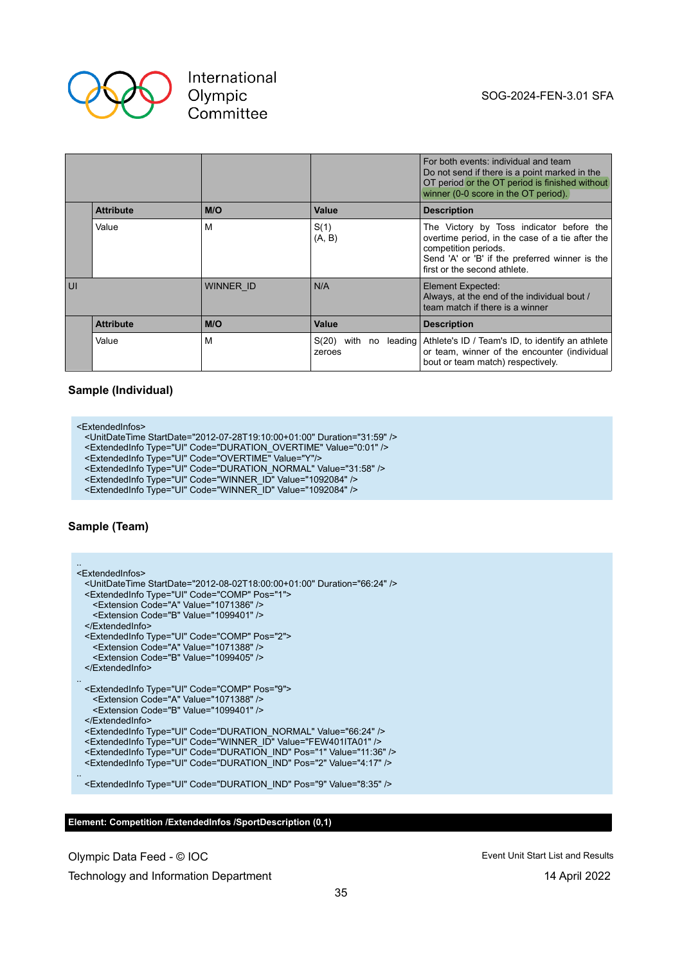

|    |                  |                  |                                   | For both events: individual and team<br>Do not send if there is a point marked in the<br>OT period or the OT period is finished without<br>winner (0-0 score in the OT period).                       |
|----|------------------|------------------|-----------------------------------|-------------------------------------------------------------------------------------------------------------------------------------------------------------------------------------------------------|
|    | <b>Attribute</b> | M/O              | <b>Value</b>                      | <b>Description</b>                                                                                                                                                                                    |
|    | Value            | м                | S(1)<br>(A, B)                    | The Victory by Toss indicator before the<br>overtime period, in the case of a tie after the<br>competition periods.<br>Send 'A' or 'B' if the preferred winner is the<br>first or the second athlete. |
| UI |                  | <b>WINNER ID</b> | N/A                               | <b>Element Expected:</b><br>Always, at the end of the individual bout /<br>team match if there is a winner                                                                                            |
|    | <b>Attribute</b> | M/O              | <b>Value</b>                      | <b>Description</b>                                                                                                                                                                                    |
|    | Value            | м                | $S(20)$ with no leading<br>zeroes | Athlete's ID / Team's ID, to identify an athlete<br>or team, winner of the encounter (individual<br>bout or team match) respectively.                                                                 |

#### **Sample (Individual)**

<ExtendedInfos>

- <UnitDateTime StartDate="2012-07-28T19:10:00+01:00" Duration="31:59" />
- <ExtendedInfo Type="UI" Code="DURATION\_OVERTIME" Value="0:01" />
- <ExtendedInfo Type="UI" Code="OVERTIME" Value="Y"/>
- <ExtendedInfo Type="UI" Code="DURATION\_NORMAL" Value="31:58" />
- <ExtendedInfo Type="UI" Code="WINNER\_ID" Value="1092084" />
- <ExtendedInfo Type="UI" Code="WINNER\_ID" Value="1092084" />

#### **Sample (Team)**

| <extendedinfos><br/>&gt;UnitDateTime StartDate="2012-08-02T18:00:00+01:00" Duration="66:24"<br/><extendedinfo code="COMP" pos="1" type="UI"><br/><extension code="A" value="1071386"></extension><br/><extension code="B" value="1099401"></extension><br/></extendedinfo><br/><extendedinfo code="COMP" pos="2" type="UI"><br/><extension code="A" value="1071388"></extension><br/><extension code="B" value="1099405"></extension><br/></extendedinfo></extendedinfos> |
|---------------------------------------------------------------------------------------------------------------------------------------------------------------------------------------------------------------------------------------------------------------------------------------------------------------------------------------------------------------------------------------------------------------------------------------------------------------------------|
| <extendedinfo code="COMP" pos="9" type="UI"><br/><extension code="A" value="1071388"></extension></extendedinfo>                                                                                                                                                                                                                                                                                                                                                          |
| <extension code="B" value="1099401"></extension><br>                                                                                                                                                                                                                                                                                                                                                                                                                      |
| <extendedinfo code="DURATION NORMAL" type="UI" value="66:24"></extendedinfo>                                                                                                                                                                                                                                                                                                                                                                                              |
| <extendedinfo code="WINNER_ID" type="UI" value="FEW401ITA01"></extendedinfo>                                                                                                                                                                                                                                                                                                                                                                                              |
| <extendedinfo code="DURATION_IND" pos="1" type="UI" value="11:36"></extendedinfo><br><extendedinfo code="DURATION_IND" pos="2" type="UI" value="4:17"></extendedinfo>                                                                                                                                                                                                                                                                                                     |
| <extendedinfo code="DURATION IND" pos="9" type="UI" value="8:35"></extendedinfo>                                                                                                                                                                                                                                                                                                                                                                                          |

#### <span id="page-34-0"></span>**Element: Competition /ExtendedInfos /SportDescription (0,1)**

Olympic Data Feed - © IOC **Example 2018** Event Unit Start List and Results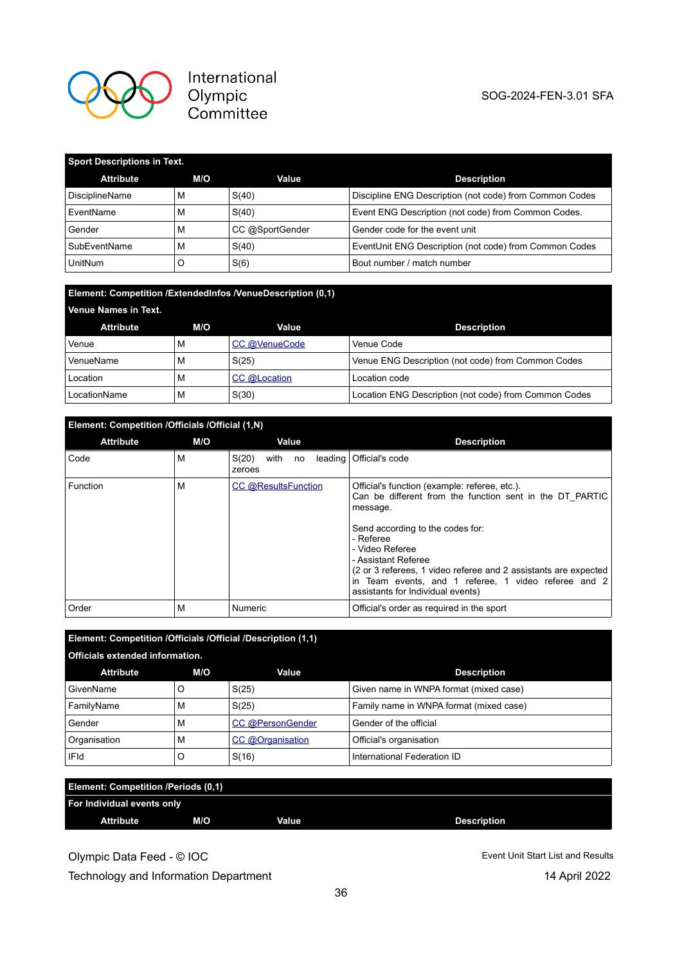

| <b>Sport Descriptions in Text.</b> |     |                 |                                                         |  |  |
|------------------------------------|-----|-----------------|---------------------------------------------------------|--|--|
| <b>Attribute</b>                   | M/O | Value           | <b>Description</b>                                      |  |  |
| <b>DisciplineName</b>              | М   | S(40)           | Discipline ENG Description (not code) from Common Codes |  |  |
| EventName                          | м   | S(40)           | Event ENG Description (not code) from Common Codes.     |  |  |
| Gender                             | М   | CC @SportGender | Gender code for the event unit                          |  |  |
| SubEventName                       | М   | S(40)           | EventUnit ENG Description (not code) from Common Codes  |  |  |
| <b>UnitNum</b>                     | O   | S(6)            | Bout number / match number                              |  |  |

<span id="page-35-0"></span>**Element: Competition /ExtendedInfos /VenueDescription (0,1)**

| Venue Names in Text. |     |               |                                                       |  |  |
|----------------------|-----|---------------|-------------------------------------------------------|--|--|
| <b>Attribute</b>     | M/O | Value         | <b>Description</b>                                    |  |  |
| Venue                | M   | CC @VenueCode | Venue Code                                            |  |  |
| VenueName            | M   | S(25)         | Venue ENG Description (not code) from Common Codes    |  |  |
| Location             | м   | CC @Location  | Location code                                         |  |  |
| LocationName         | M   | S(30)         | Location ENG Description (not code) from Common Codes |  |  |

<span id="page-35-3"></span>

| Element: Competition /Officials /Official (1,N) |     |                                            |                                                                                                                                                                                                                                                                                                                                                                                  |  |  |
|-------------------------------------------------|-----|--------------------------------------------|----------------------------------------------------------------------------------------------------------------------------------------------------------------------------------------------------------------------------------------------------------------------------------------------------------------------------------------------------------------------------------|--|--|
| <b>Attribute</b>                                | M/O | Value                                      | <b>Description</b>                                                                                                                                                                                                                                                                                                                                                               |  |  |
| Code                                            | М   | S(20)<br>leading  <br>with<br>no<br>zeroes | Official's code                                                                                                                                                                                                                                                                                                                                                                  |  |  |
| <b>Function</b>                                 | М   | CC @ResultsFunction                        | Official's function (example: referee, etc.).<br>Can be different from the function sent in the DT PARTIC<br>message.<br>Send according to the codes for:<br>- Referee<br>- Video Referee<br>- Assistant Referee<br>(2 or 3 referees, 1 video referee and 2 assistants are expected<br>in Team events, and 1 referee, 1 video referee and 2<br>assistants for Individual events) |  |  |
| Order                                           | М   | Numeric                                    | Official's order as required in the sport                                                                                                                                                                                                                                                                                                                                        |  |  |

<span id="page-35-2"></span>

| Element: Competition /Officials /Official /Description (1,1) |     |                  |                                         |  |  |
|--------------------------------------------------------------|-----|------------------|-----------------------------------------|--|--|
| Officials extended information.                              |     |                  |                                         |  |  |
| <b>Attribute</b>                                             | M/O | Value            | <b>Description</b>                      |  |  |
| GivenName                                                    | O   | S(25)            | Given name in WNPA format (mixed case)  |  |  |
| FamilyName                                                   | м   | S(25)            | Family name in WNPA format (mixed case) |  |  |
| Gender                                                       | м   | CC @PersonGender | Gender of the official                  |  |  |
| Organisation                                                 | м   | CC @Organisation | Official's organisation                 |  |  |
| IFId                                                         | O   | S(16)            | International Federation ID             |  |  |

<span id="page-35-1"></span>

| <b>Element: Competition /Periods (0,1)</b> |     |       |                    |
|--------------------------------------------|-----|-------|--------------------|
| For Individual events only                 |     |       |                    |
| <b>Attribute</b>                           | M/O | Value | <b>Description</b> |
|                                            |     |       |                    |

Olympic Data Feed - © IOC **Example 2018** Event Unit Start List and Results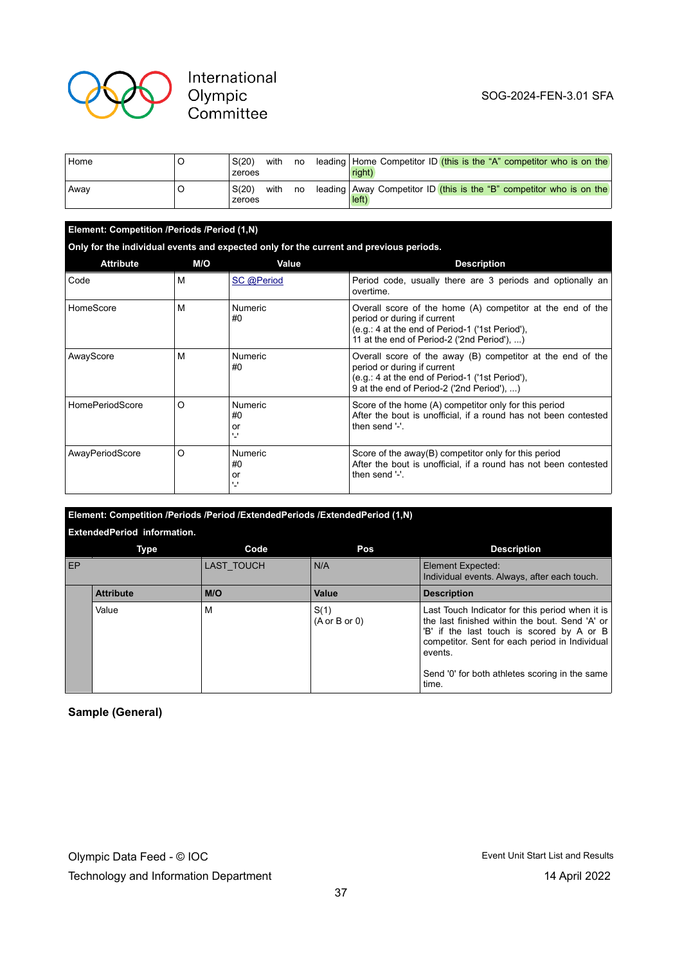

| Home | S(20)<br>with<br>zeroes | no | leading Home Competitor ID (this is the "A" competitor who is on the<br>right) |
|------|-------------------------|----|--------------------------------------------------------------------------------|
| Away | S(20)<br>with<br>zeroes | no | leading Away Competitor ID (this is the "B" competitor who is on the<br>left)  |

| Element: Competition /Periods /Period (1,N) |     |                                                                                        |                                                                                                                                                                                             |  |  |
|---------------------------------------------|-----|----------------------------------------------------------------------------------------|---------------------------------------------------------------------------------------------------------------------------------------------------------------------------------------------|--|--|
|                                             |     | Only for the individual events and expected only for the current and previous periods. |                                                                                                                                                                                             |  |  |
| <b>Attribute</b>                            | M/O | Value                                                                                  | <b>Description</b>                                                                                                                                                                          |  |  |
| Code                                        | M   | <b>SC</b> @Period                                                                      | Period code, usually there are 3 periods and optionally an<br>overtime.                                                                                                                     |  |  |
| HomeScore                                   | M   | Numeric<br>#0                                                                          | Overall score of the home (A) competitor at the end of the<br>period or during if current<br>(e.g.: 4 at the end of Period-1 ('1st Period'),<br>11 at the end of Period-2 ('2nd Period'), ) |  |  |
| AwayScore                                   | М   | Numeric<br>#0                                                                          | Overall score of the away (B) competitor at the end of the<br>period or during if current<br>(e.g.: 4 at the end of Period-1 ('1st Period').<br>9 at the end of Period-2 ('2nd Period'), )  |  |  |
| <b>HomePeriodScore</b>                      | O   | <b>Numeric</b><br>#0<br>or<br>$\cdots$                                                 | Score of the home (A) competitor only for this period<br>After the bout is unofficial, if a round has not been contested<br>then send '-'.                                                  |  |  |
| AwayPeriodScore                             | O   | Numeric<br>#0<br>or<br>$\mathbf{r}$                                                    | Score of the $away(B)$ competitor only for this period<br>After the bout is unofficial, if a round has not been contested<br>then send '-'.                                                 |  |  |

## **Element: Competition /Periods /Period /ExtendedPeriods /ExtendedPeriod (1,N)**

**ExtendedPeriod information.**

|    | Type             | Code              | Pos                                       | <b>Description</b>                                                                                                                                                                                          |
|----|------------------|-------------------|-------------------------------------------|-------------------------------------------------------------------------------------------------------------------------------------------------------------------------------------------------------------|
| EP |                  | <b>LAST TOUCH</b> | N/A                                       | Element Expected:<br>Individual events. Always, after each touch.                                                                                                                                           |
|    | <b>Attribute</b> | M/O               | <b>Value</b>                              | <b>Description</b>                                                                                                                                                                                          |
|    | Value            | м                 | S(1)<br>$(A \text{ or } B \text{ or } 0)$ | Last Touch Indicator for this period when it is<br>the last finished within the bout. Send 'A' or<br>'B' if the last touch is scored by A or B<br>competitor. Sent for each period in Individual<br>events. |
|    |                  |                   |                                           | Send '0' for both athletes scoring in the same<br>time.                                                                                                                                                     |

### **Sample (General)**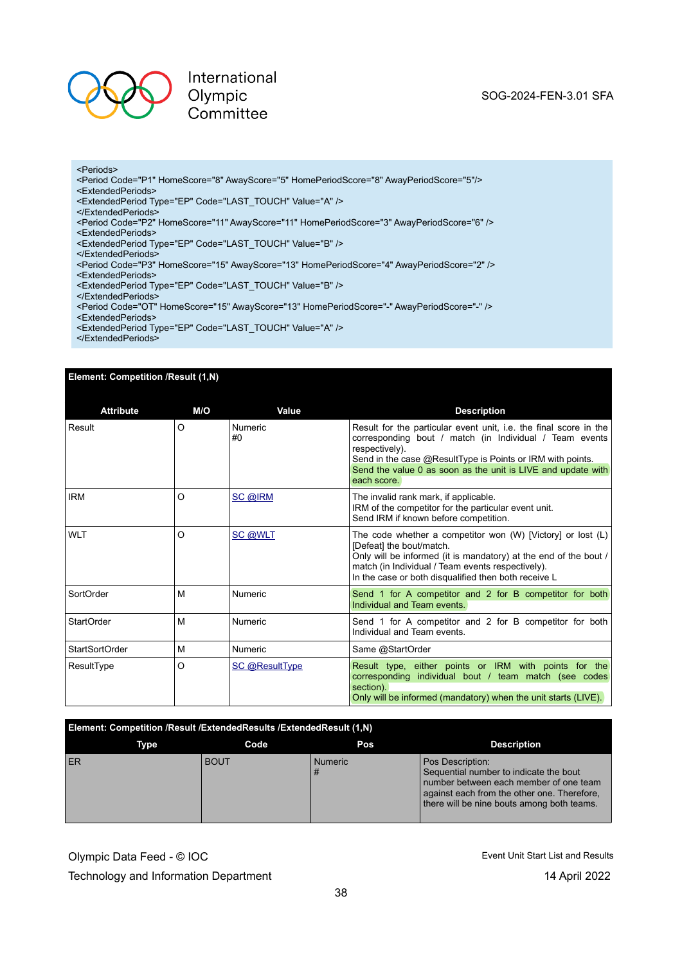

#### <Periods>

- <Period Code="P1" HomeScore="8" AwayScore="5" HomePeriodScore="8" AwayPeriodScore="5"/>
- <ExtendedPeriods>
- <ExtendedPeriod Type="EP" Code="LAST\_TOUCH" Value="A" />
- </ExtendedPeriods>
- <Period Code="P2" HomeScore="11" AwayScore="11" HomePeriodScore="3" AwayPeriodScore="6" />
- <ExtendedPeriods>
- <ExtendedPeriod Type="EP" Code="LAST\_TOUCH" Value="B" />
- </ExtendedPeriods>
- <Period Code="P3" HomeScore="15" AwayScore="13" HomePeriodScore="4" AwayPeriodScore="2" />
- <ExtendedPeriods> <ExtendedPeriod Type="EP" Code="LAST\_TOUCH" Value="B" />
- </ExtendedPeriods>
- <Period Code="OT" HomeScore="15" AwayScore="13" HomePeriodScore="-" AwayPeriodScore="-" />
- <ExtendedPeriods>
- <ExtendedPeriod Type="EP" Code="LAST\_TOUCH" Value="A" />
- </ExtendedPeriods>

| Element: Competition /Result (1,N) |     |                       |                                                                                                                                                                                                                                                                                             |  |  |
|------------------------------------|-----|-----------------------|---------------------------------------------------------------------------------------------------------------------------------------------------------------------------------------------------------------------------------------------------------------------------------------------|--|--|
| <b>Attribute</b>                   | M/O | Value                 | <b>Description</b>                                                                                                                                                                                                                                                                          |  |  |
| Result                             | O   | <b>Numeric</b><br>#0  | Result for the particular event unit, i.e. the final score in the<br>corresponding bout / match (in Individual / Team events<br>respectively).<br>Send in the case @ResultType is Points or IRM with points.<br>Send the value 0 as soon as the unit is LIVE and update with<br>each score. |  |  |
| <b>IRM</b>                         | O   | SC @IRM               | The invalid rank mark, if applicable.<br>IRM of the competitor for the particular event unit.<br>Send IRM if known before competition.                                                                                                                                                      |  |  |
| WLT                                | O   | SC @WLT               | The code whether a competitor won $(W)$ [Victory] or lost $(L)$<br>[Defeat] the bout/match.<br>Only will be informed (it is mandatory) at the end of the bout /<br>match (in Individual / Team events respectively).<br>In the case or both disqualified then both receive L                |  |  |
| SortOrder                          | M   | <b>Numeric</b>        | Send 1 for A competitor and 2 for B competitor for both<br>Individual and Team events.                                                                                                                                                                                                      |  |  |
| <b>StartOrder</b>                  | M   | <b>Numeric</b>        | Send 1 for A competitor and 2 for B competitor for both<br>Individual and Team events.                                                                                                                                                                                                      |  |  |
| <b>StartSortOrder</b>              | M   | <b>Numeric</b>        | Same @StartOrder                                                                                                                                                                                                                                                                            |  |  |
| ResultType                         | O   | <b>SC @ResultType</b> | Result type, either points or IRM with points for the<br>corresponding individual bout / team match (see codes<br>section).<br>Only will be informed (mandatory) when the unit starts (LIVE).                                                                                               |  |  |

| <b>Element: Competition /Result /ExtendedResults /ExtendedResult (1,N)</b> |             |                     |                                                                                                                                                                                                   |  |  |  |
|----------------------------------------------------------------------------|-------------|---------------------|---------------------------------------------------------------------------------------------------------------------------------------------------------------------------------------------------|--|--|--|
| Type                                                                       | Code        | Pos                 | <b>Description</b>                                                                                                                                                                                |  |  |  |
| <b>ER</b>                                                                  | <b>BOUT</b> | <b>Numeric</b><br># | Pos Description:<br>Sequential number to indicate the bout<br>number between each member of one team<br>against each from the other one. Therefore,<br>there will be nine bouts among both teams. |  |  |  |

Olympic Data Feed - © IOC **Example 2018** Event Unit Start List and Results Technology and Information Department 14 April 2022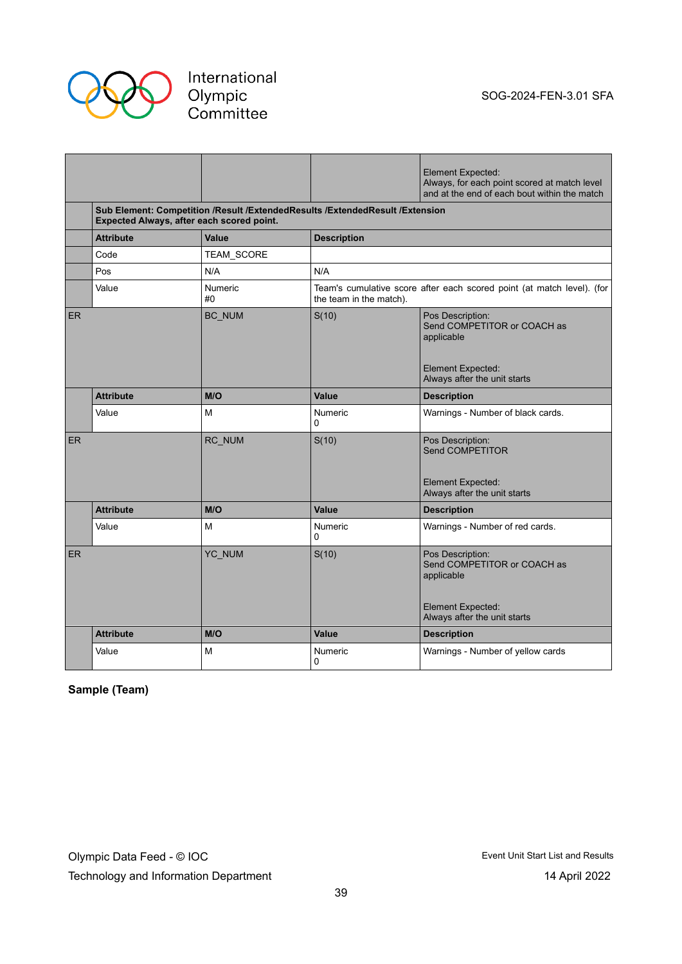

|           |                                                                                                                           |                      |                         | <b>Element Expected:</b><br>Always, for each point scored at match level<br>and at the end of each bout within the match  |  |  |  |  |
|-----------|---------------------------------------------------------------------------------------------------------------------------|----------------------|-------------------------|---------------------------------------------------------------------------------------------------------------------------|--|--|--|--|
|           | Sub Element: Competition /Result /ExtendedResults /ExtendedResult /Extension<br>Expected Always, after each scored point. |                      |                         |                                                                                                                           |  |  |  |  |
|           | <b>Attribute</b>                                                                                                          | Value                | <b>Description</b>      |                                                                                                                           |  |  |  |  |
|           | Code                                                                                                                      | TEAM_SCORE           |                         |                                                                                                                           |  |  |  |  |
|           | Pos                                                                                                                       | N/A                  | N/A                     |                                                                                                                           |  |  |  |  |
|           | Value                                                                                                                     | <b>Numeric</b><br>#0 | the team in the match). | Team's cumulative score after each scored point (at match level). (for                                                    |  |  |  |  |
| <b>ER</b> |                                                                                                                           | <b>BC NUM</b>        | S(10)                   | Pos Description:<br>Send COMPETITOR or COACH as<br>applicable                                                             |  |  |  |  |
|           |                                                                                                                           |                      |                         | <b>Element Expected:</b><br>Always after the unit starts                                                                  |  |  |  |  |
|           | <b>Attribute</b>                                                                                                          | M/O                  | Value                   | <b>Description</b>                                                                                                        |  |  |  |  |
|           | Value                                                                                                                     | M                    | <b>Numeric</b><br>0     | Warnings - Number of black cards.                                                                                         |  |  |  |  |
| <b>ER</b> |                                                                                                                           | RC_NUM               | S(10)                   | Pos Description:<br>Send COMPETITOR<br><b>Element Expected:</b>                                                           |  |  |  |  |
|           |                                                                                                                           |                      |                         | Always after the unit starts                                                                                              |  |  |  |  |
|           | <b>Attribute</b>                                                                                                          | M/O                  | Value                   | <b>Description</b>                                                                                                        |  |  |  |  |
|           | Value                                                                                                                     | M                    | <b>Numeric</b><br>0     | Warnings - Number of red cards.                                                                                           |  |  |  |  |
| <b>ER</b> |                                                                                                                           | YC_NUM               | S(10)                   | Pos Description:<br>Send COMPETITOR or COACH as<br>applicable<br><b>Element Expected:</b><br>Always after the unit starts |  |  |  |  |
|           | <b>Attribute</b>                                                                                                          | M/O                  | Value                   | <b>Description</b>                                                                                                        |  |  |  |  |
|           | Value                                                                                                                     | М                    | <b>Numeric</b><br>0     | Warnings - Number of yellow cards                                                                                         |  |  |  |  |

 **Sample (Team)**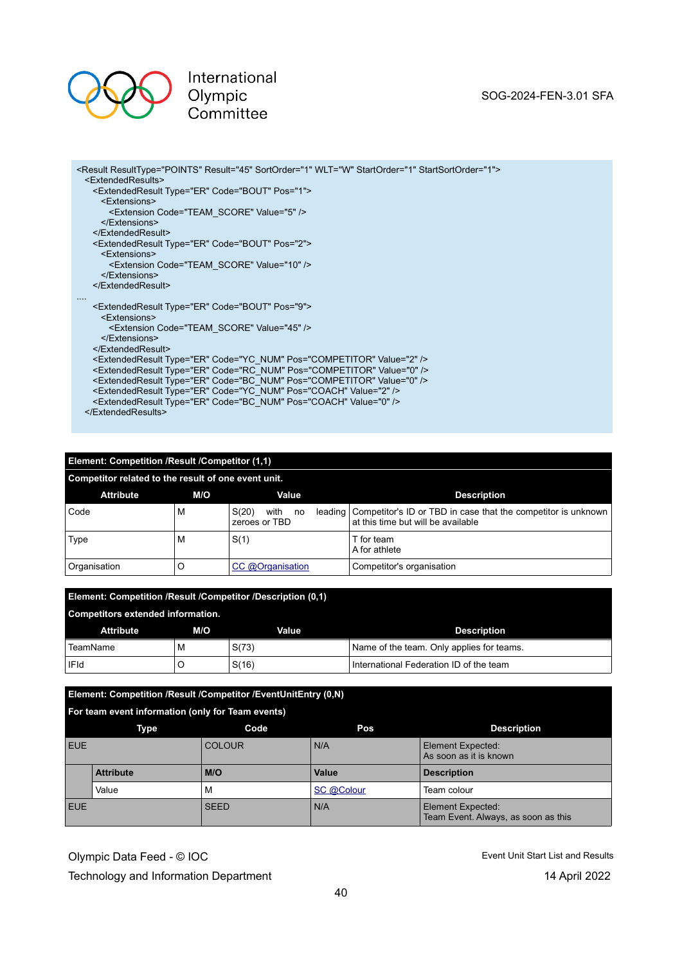

| <result result="45" resulttype="POINTS" sortorder="1" startorder="1" startsortorder="1" wlt="W"></result> |
|-----------------------------------------------------------------------------------------------------------|
| <extendedresults></extendedresults>                                                                       |
| <extendedresult code="BOUT" pos="1" type="ER"></extendedresult>                                           |
| <extensions></extensions>                                                                                 |
| <extension code="TEAM SCORE" value="5"></extension>                                                       |
|                                                                                                           |
|                                                                                                           |
| <extendedresult code="BOUT" pos="2" type="ER"></extendedresult>                                           |
| <extensions></extensions>                                                                                 |
| <extension code="TEAM SCORE" value="10"></extension>                                                      |
| $<$ /Extensions>                                                                                          |
|                                                                                                           |
|                                                                                                           |
| $\cdots$                                                                                                  |
| <extendedresult code="BOUT" pos="9" type="ER"></extendedresult>                                           |
| <extensions></extensions>                                                                                 |
| <extension code="TEAM SCORE" value="45"></extension>                                                      |
|                                                                                                           |
|                                                                                                           |
| <extendedresult code="YC NUM" pos="COMPETITOR" type="ER" value="2"></extendedresult>                      |
| <extendedresult code="RC_NUM" pos="COMPETITOR" type="ER" value="0"></extendedresult>                      |
| <extendedresult code="BC_NUM" pos="COMPETITOR" type="ER" value="0"></extendedresult>                      |
| <extendedresult code="YC_NUM" pos="COACH" type="ER" value="2"></extendedresult>                           |
| <extendedresult code="BC_NUM" pos="COACH" type="ER" value="0"></extendedresult><br>                       |

### **Element: Competition /Result /Competitor (1,1)**

| Competitor related to the result of one event unit. |     |                                      |                                                                                                               |  |  |
|-----------------------------------------------------|-----|--------------------------------------|---------------------------------------------------------------------------------------------------------------|--|--|
| <b>Attribute</b>                                    | M/O | Value                                | <b>Description</b>                                                                                            |  |  |
| Code                                                | м   | S(20)<br>with<br>no<br>zeroes or TBD | leading   Competitor's ID or TBD in case that the competitor is unknown<br>at this time but will be available |  |  |
| Type                                                | M   | S(1)                                 | T for team<br>A for athlete                                                                                   |  |  |
| Organisation                                        | O   | CC @Organisation                     | Competitor's organisation                                                                                     |  |  |

| <b>Element: Competition /Result /Competitor /Description (0.1)</b> |     |       |                                           |  |  |
|--------------------------------------------------------------------|-----|-------|-------------------------------------------|--|--|
| Competitors extended information.                                  |     |       |                                           |  |  |
| Attribute                                                          | M/O | Value | <b>Description</b>                        |  |  |
| TeamName                                                           | м   | S(73) | Name of the team. Only applies for teams. |  |  |
| IFId                                                               |     | S(16) | International Federation ID of the team   |  |  |

**Element: Competition /Result /Competitor /EventUnitEntry (0,N) For team event information (only for Team events) Type Code Pos Description** EUE COLOUR N/A Element Expected: As soon as it is known **Attribute M/O Value Description** Value M M [SC @Colour](http://odf.olympictech.org/2024-Paris/codes/HTML/og_sc/odf_sc_Colour_SOG_FEN.htm) Team colour EUE SEED SEED N/A Element Expected: Team Event. Always, as soon as this

Olympic Data Feed - © IOC **Example 2018** Event Unit Start List and Results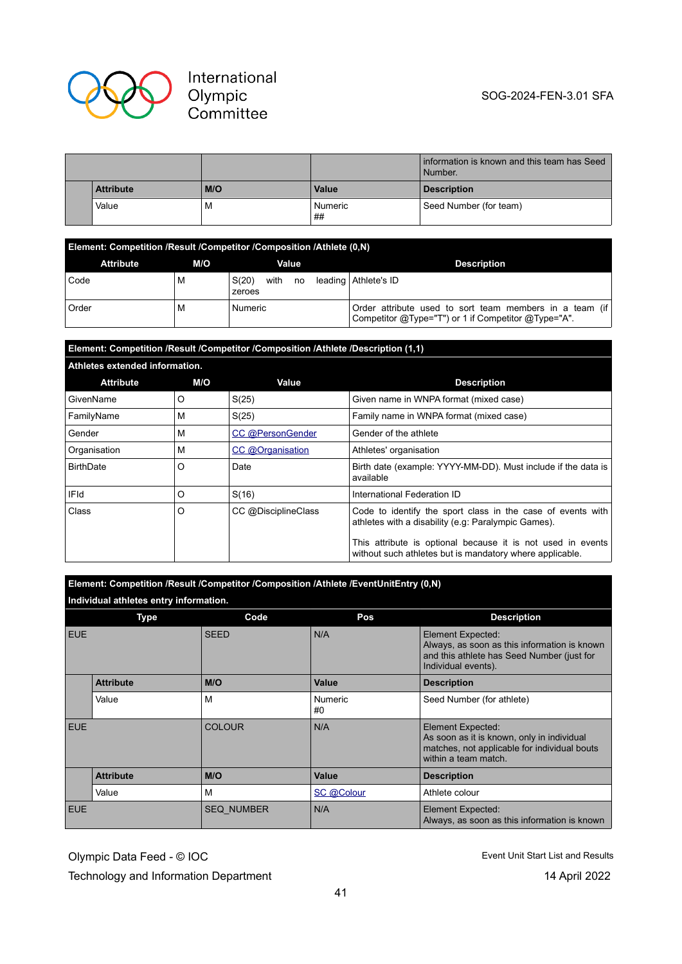

#### SOG-2024-FEN-3.01 SFA

|                  |     |               | Information is known and this team has Seed<br>Number. |
|------------------|-----|---------------|--------------------------------------------------------|
| <b>Attribute</b> | M/O | <b>Value</b>  | <b>Description</b>                                     |
| Value            | м   | Numeric<br>## | Seed Number (for team)                                 |

| <b>Element: Competition /Result /Competitor /Composition /Athlete (0.N)</b> |     |                               |                                                                                                                 |  |  |
|-----------------------------------------------------------------------------|-----|-------------------------------|-----------------------------------------------------------------------------------------------------------------|--|--|
| <b>Attribute</b>                                                            | M/O | Value                         | <b>Description</b>                                                                                              |  |  |
| Code                                                                        | M   | S(20)<br>with<br>no<br>zeroes | leading   Athlete's ID                                                                                          |  |  |
| Order                                                                       | M   | Numeric                       | Order attribute used to sort team members in a team (if)<br>Competitor @Type="T") or 1 if Competitor @Type="A". |  |  |

#### **Element: Competition /Result /Competitor /Composition /Athlete /Description (1,1)**

| Athletes extended information. |     |                     |                                                                                                                         |  |  |
|--------------------------------|-----|---------------------|-------------------------------------------------------------------------------------------------------------------------|--|--|
| <b>Attribute</b>               | M/O | Value               | <b>Description</b>                                                                                                      |  |  |
| GivenName                      | O   | S(25)               | Given name in WNPA format (mixed case)                                                                                  |  |  |
| FamilyName                     | м   | S(25)               | Family name in WNPA format (mixed case)                                                                                 |  |  |
| Gender                         | м   | CC @PersonGender    | Gender of the athlete                                                                                                   |  |  |
| Organisation                   | М   | CC @Organisation    | Athletes' organisation                                                                                                  |  |  |
| <b>BirthDate</b>               | O   | Date                | Birth date (example: YYYY-MM-DD). Must include if the data is<br>available                                              |  |  |
| <b>IFId</b>                    | O   | S(16)               | International Federation ID                                                                                             |  |  |
| Class                          | O   | CC @DisciplineClass | Code to identify the sport class in the case of events with<br>athletes with a disability (e.g: Paralympic Games).      |  |  |
|                                |     |                     | This attribute is optional because it is not used in events<br>without such athletes but is mandatory where applicable. |  |  |

**Element: Competition /Result /Competitor /Composition /Athlete /EventUnitEntry (0,N)**

**Individual athletes entry information. Type Code Pos Description** EUE SEED N/A Element Expected: Always, as soon as this information is known and this athlete has Seed Number (just for Individual events). **Attribute M/O Value Description** Value M M Numeric #0 Seed Number (for athlete) EUE COLOUR N/A Element Expected: As soon as it is known, only in individual matches, not applicable for individual bouts within a team match. **Attribute M/O Value Description** Value M M [SC @Colour](http://odf.olympictech.org/2024-Paris/codes/HTML/og_sc/odf_sc_Colour_SOG_FEN.htm) Athlete colour EUE SEQ\_NUMBER N/A Element Expected: Always, as soon as this information is known

Olympic Data Feed - © IOC **Example 2018** Event Unit Start List and Results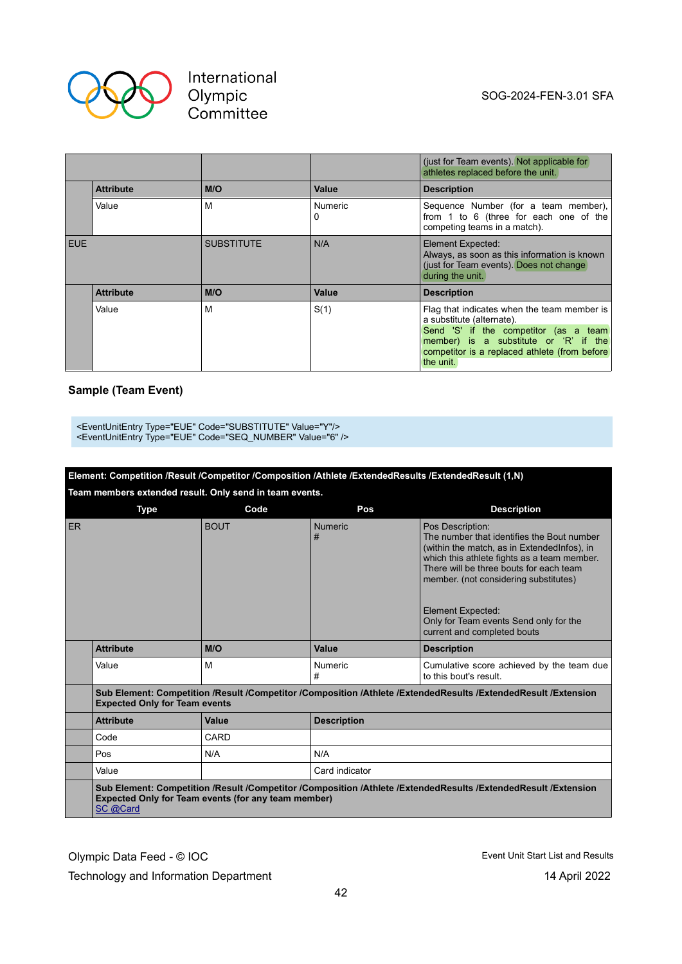

|            |                  |                   |                     | (just for Team events). Not applicable for<br>athletes replaced before the unit.                                                                                                                                           |
|------------|------------------|-------------------|---------------------|----------------------------------------------------------------------------------------------------------------------------------------------------------------------------------------------------------------------------|
|            | <b>Attribute</b> | M/O               | <b>Value</b>        | <b>Description</b>                                                                                                                                                                                                         |
|            | Value            | м                 | <b>Numeric</b><br>0 | Sequence Number (for a team member),<br>from 1 to 6 (three for each one of the<br>competing teams in a match).                                                                                                             |
| <b>EUE</b> |                  | <b>SUBSTITUTE</b> | N/A                 | Element Expected:<br>Always, as soon as this information is known<br>(just for Team events). Does not change<br>during the unit.                                                                                           |
|            | <b>Attribute</b> | M/O               | Value               | <b>Description</b>                                                                                                                                                                                                         |
|            | Value            | м                 | S(1)                | Flag that indicates when the team member is<br>a substitute (alternate).<br>Send 'S' if the competitor (as a team)<br>member) is a substitute or 'R' if the<br>competitor is a replaced athlete (from before)<br>the unit. |

#### **Sample (Team Event)**

<EventUnitEntry Type="EUE" Code="SUBSTITUTE" Value="Y"/> <EventUnitEntry Type="EUE" Code="SEQ\_NUMBER" Value="6" />

|    | Element: Competition /Result /Competitor /Composition /Athlete /ExtendedResults /ExtendedResult (1,N)                                                                                    |                                                         |                              |                                                                                                                                                                                                                                                                                                                                                                      |  |  |  |  |
|----|------------------------------------------------------------------------------------------------------------------------------------------------------------------------------------------|---------------------------------------------------------|------------------------------|----------------------------------------------------------------------------------------------------------------------------------------------------------------------------------------------------------------------------------------------------------------------------------------------------------------------------------------------------------------------|--|--|--|--|
|    |                                                                                                                                                                                          | Team members extended result. Only send in team events. |                              |                                                                                                                                                                                                                                                                                                                                                                      |  |  |  |  |
|    | <b>Type</b>                                                                                                                                                                              | Code                                                    | <b>Pos</b>                   | <b>Description</b>                                                                                                                                                                                                                                                                                                                                                   |  |  |  |  |
| ER | <b>Attribute</b>                                                                                                                                                                         | <b>BOUT</b><br>M/O                                      | <b>Numeric</b><br>#<br>Value | Pos Description:<br>The number that identifies the Bout number<br>(within the match, as in ExtendedInfos), in<br>which this athlete fights as a team member.<br>There will be three bouts for each team<br>member. (not considering substitutes)<br>Element Expected:<br>Only for Team events Send only for the<br>current and completed bouts<br><b>Description</b> |  |  |  |  |
|    | Value                                                                                                                                                                                    | M                                                       | <b>Numeric</b><br>#          | Cumulative score achieved by the team due<br>to this bout's result                                                                                                                                                                                                                                                                                                   |  |  |  |  |
|    | <b>Expected Only for Team events</b>                                                                                                                                                     |                                                         |                              | Sub Element: Competition /Result /Competitor /Composition /Athlete /ExtendedResults /ExtendedResult /Extension                                                                                                                                                                                                                                                       |  |  |  |  |
|    | <b>Attribute</b>                                                                                                                                                                         | Value                                                   | <b>Description</b>           |                                                                                                                                                                                                                                                                                                                                                                      |  |  |  |  |
|    | Code                                                                                                                                                                                     | CARD                                                    |                              |                                                                                                                                                                                                                                                                                                                                                                      |  |  |  |  |
|    | Pos                                                                                                                                                                                      | N/A                                                     | N/A                          |                                                                                                                                                                                                                                                                                                                                                                      |  |  |  |  |
|    | Value                                                                                                                                                                                    |                                                         | Card indicator               |                                                                                                                                                                                                                                                                                                                                                                      |  |  |  |  |
|    | Sub Element: Competition /Result /Competitor /Composition /Athlete /ExtendedResults /ExtendedResult /Extension<br><b>Expected Only for Team events (for any team member)</b><br>SC @Card |                                                         |                              |                                                                                                                                                                                                                                                                                                                                                                      |  |  |  |  |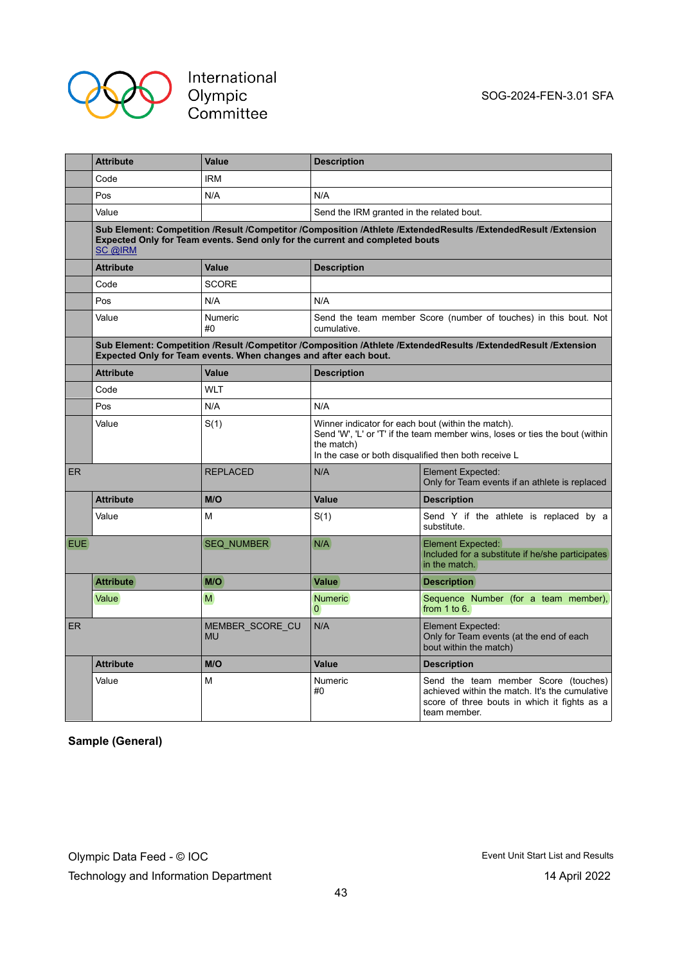

|                  | <b>Attribute</b> | <b>Value</b>                                                     | <b>Description</b>                                                                                                                                                                                       |                                                                                                                                                        |
|------------------|------------------|------------------------------------------------------------------|----------------------------------------------------------------------------------------------------------------------------------------------------------------------------------------------------------|--------------------------------------------------------------------------------------------------------------------------------------------------------|
|                  | Code             | <b>IRM</b>                                                       |                                                                                                                                                                                                          |                                                                                                                                                        |
|                  | Pos              | N/A                                                              | N/A                                                                                                                                                                                                      |                                                                                                                                                        |
|                  | Value            |                                                                  | Send the IRM granted in the related bout.                                                                                                                                                                |                                                                                                                                                        |
|                  | SC @IRM          |                                                                  | Expected Only for Team events. Send only for the current and completed bouts                                                                                                                             | Sub Element: Competition /Result /Competitor /Composition /Athlete /ExtendedResults /ExtendedResult /Extension                                         |
|                  | <b>Attribute</b> | Value                                                            | <b>Description</b>                                                                                                                                                                                       |                                                                                                                                                        |
|                  | Code             | <b>SCORE</b>                                                     |                                                                                                                                                                                                          |                                                                                                                                                        |
|                  | Pos              | N/A                                                              | N/A                                                                                                                                                                                                      |                                                                                                                                                        |
|                  | Value            | Numeric<br>#0                                                    | cumulative.                                                                                                                                                                                              | Send the team member Score (number of touches) in this bout. Not                                                                                       |
|                  |                  | Expected Only for Team events. When changes and after each bout. |                                                                                                                                                                                                          | Sub Element: Competition /Result /Competitor /Composition /Athlete /ExtendedResults /ExtendedResult /Extension                                         |
|                  | <b>Attribute</b> | <b>Value</b>                                                     | <b>Description</b>                                                                                                                                                                                       |                                                                                                                                                        |
|                  | Code             | <b>WLT</b>                                                       |                                                                                                                                                                                                          |                                                                                                                                                        |
|                  | Pos              | N/A                                                              | N/A                                                                                                                                                                                                      |                                                                                                                                                        |
|                  | Value            | S(1)                                                             | Winner indicator for each bout (within the match).<br>Send 'W', 'L' or 'T' if the team member wins, loses or ties the bout (within<br>the match)<br>In the case or both disqualified then both receive L |                                                                                                                                                        |
| <b>ER</b>        |                  | <b>REPLACED</b>                                                  | N/A                                                                                                                                                                                                      | <b>Element Expected:</b><br>Only for Team events if an athlete is replaced                                                                             |
|                  | <b>Attribute</b> | M/O                                                              | <b>Value</b>                                                                                                                                                                                             | <b>Description</b>                                                                                                                                     |
|                  | Value            | M                                                                | S(1)                                                                                                                                                                                                     | Send Y if the athlete is replaced by a<br>substitute.                                                                                                  |
| EUE <sup>®</sup> |                  | <b>SEQ NUMBER</b>                                                | N/A                                                                                                                                                                                                      | Element Expected:<br>Included for a substitute if he/she participates<br>in the match.                                                                 |
|                  | <b>Attribute</b> | M/O                                                              | Value                                                                                                                                                                                                    | <b>Description</b>                                                                                                                                     |
|                  | Value            | M                                                                | <b>Numeric</b><br>$\overline{0}$                                                                                                                                                                         | Sequence Number (for a team member),<br>from $1$ to $6$ .                                                                                              |
| ER.              |                  | MEMBER SCORE CU<br><b>MU</b>                                     | N/A                                                                                                                                                                                                      | <b>Element Expected:</b><br>Only for Team events (at the end of each<br>bout within the match)                                                         |
|                  | <b>Attribute</b> | M/O                                                              | <b>Value</b>                                                                                                                                                                                             | <b>Description</b>                                                                                                                                     |
|                  | Value            | М                                                                | Numeric<br>#0                                                                                                                                                                                            | Send the team member Score (touches)<br>achieved within the match. It's the cumulative<br>score of three bouts in which it fights as a<br>team member. |

 **Sample (General)**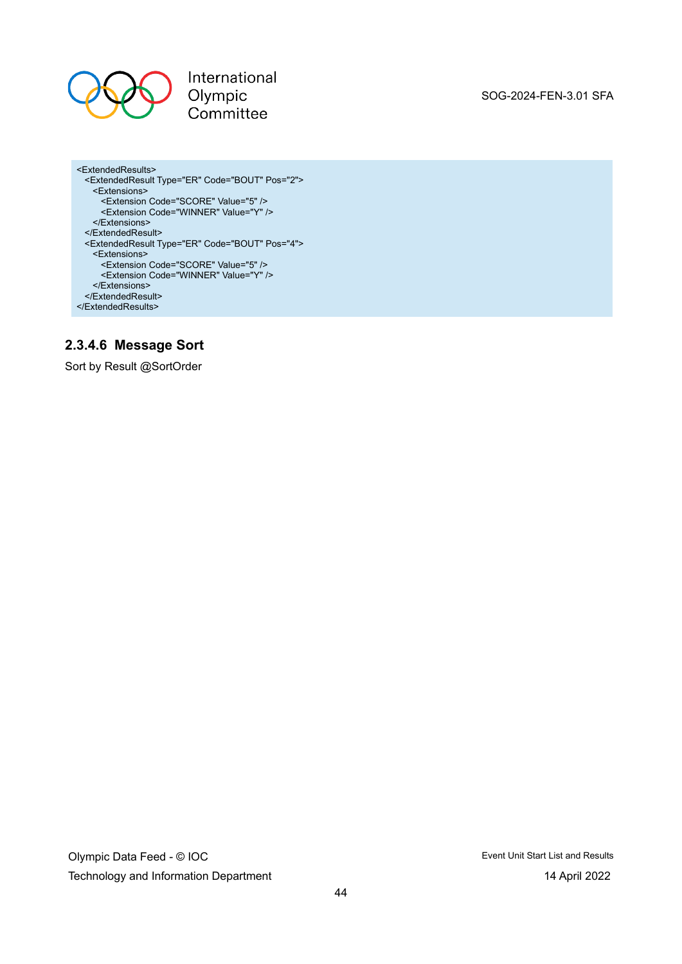

SOG-2024-FEN-3.01 SFA

<ExtendedResults> <ExtendedResult Type="ER" Code="BOUT" Pos="2"> <Extensions> <Extension Code="SCORE" Value="5" /> <Extension Code="WINNER" Value="Y" /> </Extensions> </ExtendedResult> <ExtendedResult Type="ER" Code="BOUT" Pos="4"> <Extensions> <Extension Code="SCORE" Value="5" /> <Extension Code="WINNER" Value="Y" /> </Extensions> </ExtendedResult> </ExtendedResults>

# **2.3.4.6 Message Sort**

Sort by Result @SortOrder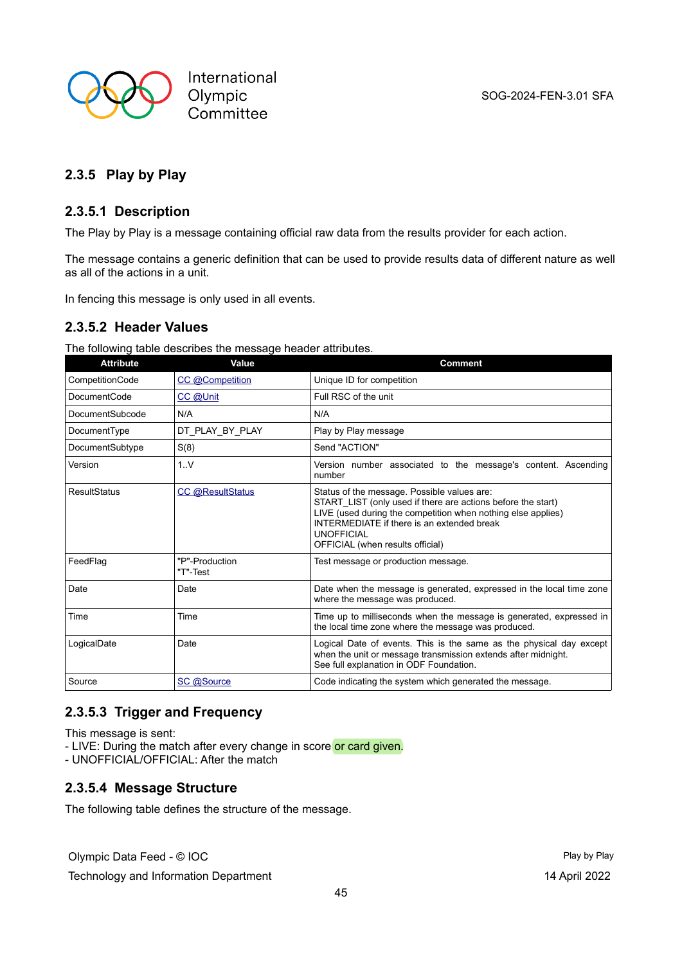

## **2.3.5 Play by Play**

### **2.3.5.1 Description**

The Play by Play is a message containing official raw data from the results provider for each action.

The message contains a generic definition that can be used to provide results data of different nature as well as all of the actions in a unit.

In fencing this message is only used in all events.

## **2.3.5.2 Header Values**

The following table describes the message header attributes.

| <b>Attribute</b>       | Value                      | <b>Comment</b>                                                                                                                                                                                                                                                                     |  |  |  |
|------------------------|----------------------------|------------------------------------------------------------------------------------------------------------------------------------------------------------------------------------------------------------------------------------------------------------------------------------|--|--|--|
| CompetitionCode        | CC @Competition            | Unique ID for competition                                                                                                                                                                                                                                                          |  |  |  |
| <b>DocumentCode</b>    | CC @Unit                   | Full RSC of the unit                                                                                                                                                                                                                                                               |  |  |  |
| <b>DocumentSubcode</b> | N/A                        | N/A                                                                                                                                                                                                                                                                                |  |  |  |
| DocumentType           | DT PLAY BY PLAY            | Play by Play message                                                                                                                                                                                                                                                               |  |  |  |
| DocumentSubtype        | S(8)                       | Send "ACTION"                                                                                                                                                                                                                                                                      |  |  |  |
| Version                | 1.1V                       | Version number associated to the message's content. Ascending<br>number                                                                                                                                                                                                            |  |  |  |
| <b>ResultStatus</b>    | CC @ResultStatus           | Status of the message. Possible values are:<br>START LIST (only used if there are actions before the start)<br>LIVE (used during the competition when nothing else applies)<br>INTERMEDIATE if there is an extended break<br><b>UNOFFICIAL</b><br>OFFICIAL (when results official) |  |  |  |
| FeedFlag               | "P"-Production<br>"T"-Test | Test message or production message.                                                                                                                                                                                                                                                |  |  |  |
| Date                   | Date                       | Date when the message is generated, expressed in the local time zone<br>where the message was produced.                                                                                                                                                                            |  |  |  |
| Time                   | Time                       | Time up to milliseconds when the message is generated, expressed in<br>the local time zone where the message was produced.                                                                                                                                                         |  |  |  |
| LogicalDate            | Date                       | Logical Date of events. This is the same as the physical day except<br>when the unit or message transmission extends after midnight.<br>See full explanation in ODF Foundation.                                                                                                    |  |  |  |
| Source                 | SC @Source                 | Code indicating the system which generated the message.                                                                                                                                                                                                                            |  |  |  |

## **2.3.5.3 Trigger and Frequency**

This message is sent:

- LIVE: During the match after every change in score or card given.
- UNOFFICIAL/OFFICIAL: After the match

### **2.3.5.4 Message Structure**

The following table defines the structure of the message.

Olympic Data Feed - © IOC Play by Play by Play by Play by Play by Play by Play by Play by Play by Play by Play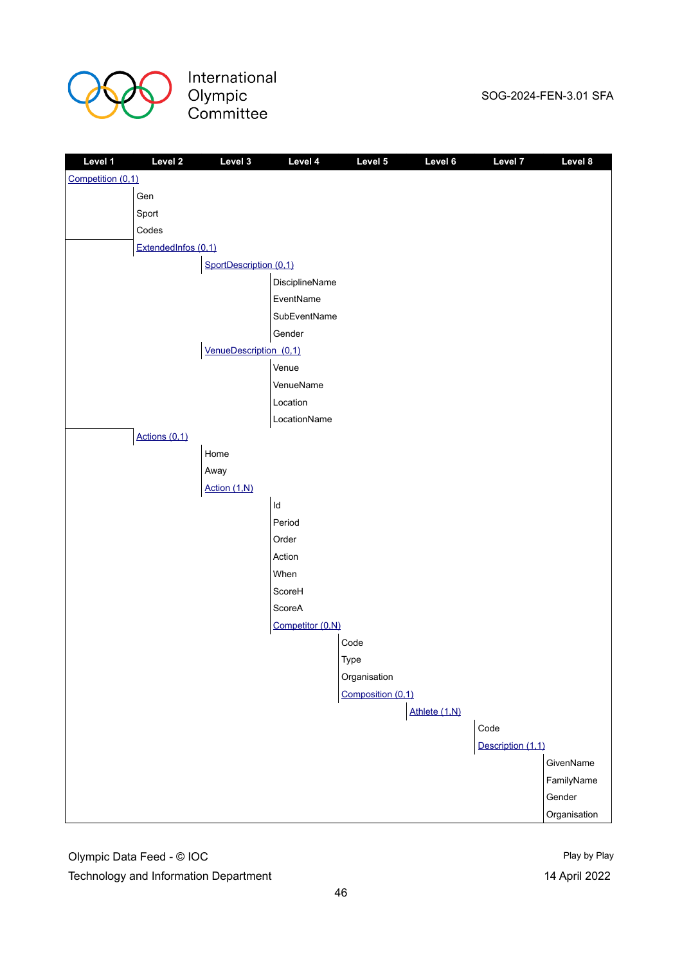

### SOG-2024-FEN-3.01 SFA

| Level 1           | Level 2             | Level 3                | Level 4          | Level 5              | Level 6       | Level 7           | Level 8      |
|-------------------|---------------------|------------------------|------------------|----------------------|---------------|-------------------|--------------|
| Competition (0,1) |                     |                        |                  |                      |               |                   |              |
|                   | Gen                 |                        |                  |                      |               |                   |              |
|                   | Sport               |                        |                  |                      |               |                   |              |
|                   | Codes               |                        |                  |                      |               |                   |              |
|                   | ExtendedInfos (0,1) |                        |                  |                      |               |                   |              |
|                   |                     | SportDescription (0,1) |                  |                      |               |                   |              |
|                   |                     |                        | DisciplineName   |                      |               |                   |              |
|                   |                     |                        | EventName        |                      |               |                   |              |
|                   |                     |                        | SubEventName     |                      |               |                   |              |
|                   |                     |                        | Gender           |                      |               |                   |              |
|                   |                     | VenueDescription (0,1) |                  |                      |               |                   |              |
|                   |                     |                        | Venue            |                      |               |                   |              |
|                   |                     |                        | VenueName        |                      |               |                   |              |
|                   |                     |                        | Location         |                      |               |                   |              |
|                   |                     |                        | LocationName     |                      |               |                   |              |
|                   | Actions (0,1)       |                        |                  |                      |               |                   |              |
|                   |                     | Home                   |                  |                      |               |                   |              |
|                   |                     | Away                   |                  |                      |               |                   |              |
|                   |                     | Action (1,N)           |                  |                      |               |                   |              |
|                   |                     |                        | ${\sf Id}$       |                      |               |                   |              |
|                   |                     |                        | Period           |                      |               |                   |              |
|                   |                     |                        | Order            |                      |               |                   |              |
|                   |                     |                        | Action           |                      |               |                   |              |
|                   |                     |                        | When             |                      |               |                   |              |
|                   |                     |                        | ScoreH           |                      |               |                   |              |
|                   |                     |                        | ScoreA           |                      |               |                   |              |
|                   |                     |                        | Competitor (0,N) |                      |               |                   |              |
|                   |                     |                        |                  | Code                 |               |                   |              |
|                   |                     |                        |                  | Type<br>Organisation |               |                   |              |
|                   |                     |                        |                  | Composition (0,1)    |               |                   |              |
|                   |                     |                        |                  |                      | Athlete (1,N) |                   |              |
|                   |                     |                        |                  |                      |               | Code              |              |
|                   |                     |                        |                  |                      |               | Description (1,1) |              |
|                   |                     |                        |                  |                      |               |                   | GivenName    |
|                   |                     |                        |                  |                      |               |                   | FamilyName   |
|                   |                     |                        |                  |                      |               |                   | Gender       |
|                   |                     |                        |                  |                      |               |                   | Organisation |

Olympic Data Feed - © IOC Play by Play by Play by Play by Play by Play by Play by Play by Play by Play by Play Technology and Information Department 14 April 2022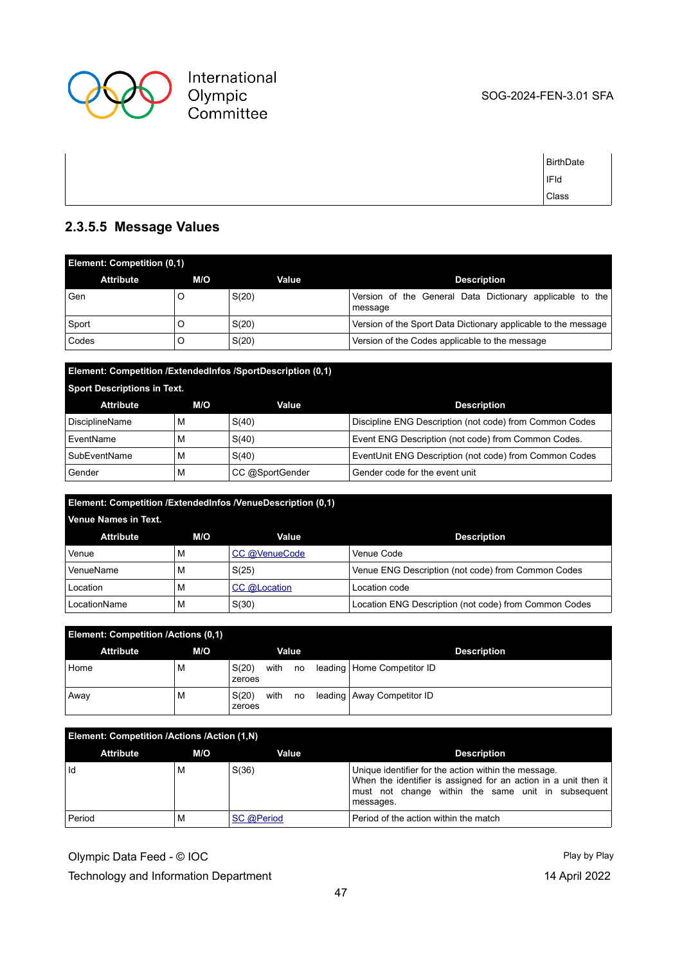

| <b>BirthDate</b> |
|------------------|
| IFId             |
| Class            |

# **2.3.5.5 Message Values**

<span id="page-46-4"></span>

| <b>Element: Competition (0.1)</b> |     |       |                                                                     |  |  |  |  |
|-----------------------------------|-----|-------|---------------------------------------------------------------------|--|--|--|--|
| <b>Attribute</b>                  | M/O | Value | <b>Description</b>                                                  |  |  |  |  |
| Gen                               |     | S(20) | Version of the General Data Dictionary applicable to the<br>message |  |  |  |  |
| Sport                             |     | S(20) | Version of the Sport Data Dictionary applicable to the message      |  |  |  |  |
| Codes                             |     | S(20) | Version of the Codes applicable to the message                      |  |  |  |  |

<span id="page-46-3"></span>

| Element: Competition /ExtendedInfos /SportDescription (0,1) |     |                 |                                                         |  |  |  |  |
|-------------------------------------------------------------|-----|-----------------|---------------------------------------------------------|--|--|--|--|
| <b>Sport Descriptions in Text.</b>                          |     |                 |                                                         |  |  |  |  |
| <b>Attribute</b>                                            | M/O | Value           | <b>Description</b>                                      |  |  |  |  |
| <b>DisciplineName</b>                                       | м   | S(40)           | Discipline ENG Description (not code) from Common Codes |  |  |  |  |
| EventName                                                   | м   | S(40)           | Event ENG Description (not code) from Common Codes.     |  |  |  |  |
| SubEventName                                                | м   | S(40)           | EventUnit ENG Description (not code) from Common Codes  |  |  |  |  |
| Gender                                                      | м   | CC @SportGender | Gender code for the event unit                          |  |  |  |  |

# <span id="page-46-2"></span>**Element: Competition /ExtendedInfos /VenueDescription (0,1)**

| Venue Names in Text. |     |               |                                                       |
|----------------------|-----|---------------|-------------------------------------------------------|
| <b>Attribute</b>     | M/O | Value         | <b>Description</b>                                    |
| Venue                | M   | CC @VenueCode | Venue Code                                            |
| VenueName            | м   | S(25)         | Venue ENG Description (not code) from Common Codes    |
| Location             | M   | CC @Location  | Location code                                         |
| LocationName         | M   | S(30)         | Location ENG Description (not code) from Common Codes |

<span id="page-46-1"></span>

| <b>Element: Competition /Actions (0,1)</b> |     |                 |      |       |  |                              |  |
|--------------------------------------------|-----|-----------------|------|-------|--|------------------------------|--|
| <b>Attribute</b>                           | M/O |                 |      | Value |  | <b>Description</b>           |  |
| Home                                       | M   | S(20)<br>zeroes | with | no    |  | leading   Home Competitor ID |  |
| Away                                       | M   | S(20)<br>zeroes | with | no    |  | leading   Away Competitor ID |  |

<span id="page-46-0"></span>

| <b>Element: Competition /Actions /Action (1,N)</b> |     |            |                                                                                                                                                                                            |  |  |  |  |
|----------------------------------------------------|-----|------------|--------------------------------------------------------------------------------------------------------------------------------------------------------------------------------------------|--|--|--|--|
| <b>Attribute</b>                                   | M/O | Value      | <b>Description</b>                                                                                                                                                                         |  |  |  |  |
| ld                                                 | м   | S(36)      | Unique identifier for the action within the message.<br>When the identifier is assigned for an action in a unit then it<br>must not change within the same unit in subsequent<br>messages. |  |  |  |  |
| Period                                             | м   | SC @Period | Period of the action within the match                                                                                                                                                      |  |  |  |  |

Olympic Data Feed - © IOC Play by Play by Play by Play by Play by Play by Play by Play by Play by Play by Play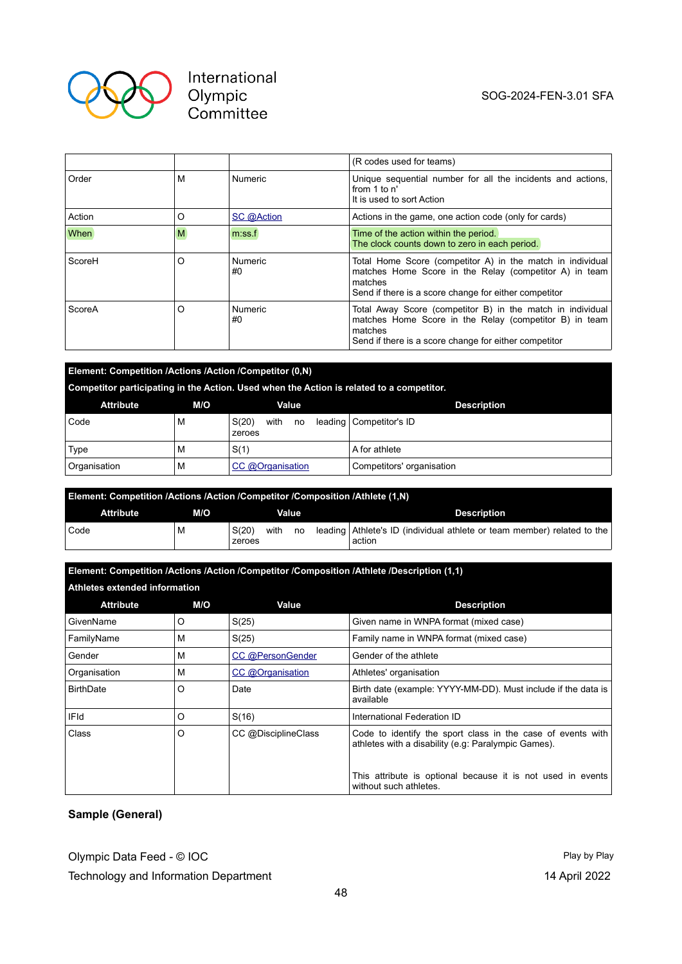

#### SOG-2024-FEN-3.01 SFA

|             |    |                      | (R codes used for teams)                                                                                                                                                                 |
|-------------|----|----------------------|------------------------------------------------------------------------------------------------------------------------------------------------------------------------------------------|
| Order       | м  | <b>Numeric</b>       | Unique sequential number for all the incidents and actions.<br>from 1 to n'<br>It is used to sort Action                                                                                 |
| Action      | O  | SC @Action           | Actions in the game, one action code (only for cards)                                                                                                                                    |
| <b>When</b> | M. | $m$ :ss.f            | Time of the action within the period.<br>The clock counts down to zero in each period.                                                                                                   |
| ScoreH      | O  | <b>Numeric</b><br>#0 | Total Home Score (competitor A) in the match in individual<br>matches Home Score in the Relay (competitor A) in team<br>matches<br>Send if there is a score change for either competitor |
| ScoreA      | O  | <b>Numeric</b><br>#0 | Total Away Score (competitor B) in the match in individual<br>matches Home Score in the Relay (competitor B) in team<br>matches<br>Send if there is a score change for either competitor |

#### <span id="page-47-2"></span>**Element: Competition /Actions /Action /Competitor (0,N)**

**Competitor participating in the Action. Used when the Action is related to a competitor.**

| <b>Attribute</b> | M/O | Value                         | <b>Description</b>        |
|------------------|-----|-------------------------------|---------------------------|
| Code             | M   | S(20)<br>with<br>no<br>zeroes | leading   Competitor's ID |
| Type             | M   | S(1)                          | A for athlete             |
| Organisation     | м   | CC @Organisation              | Competitors' organisation |

<span id="page-47-1"></span>

| Element: Competition /Actions /Action /Competitor /Composition /Athlete (1,N) |     |                               |  |                                                                                   |
|-------------------------------------------------------------------------------|-----|-------------------------------|--|-----------------------------------------------------------------------------------|
| <b>Attribute</b>                                                              | M/O | Value                         |  | <b>Description</b>                                                                |
| Code                                                                          | M   | S(20)<br>with<br>no<br>zeroes |  | leading Athlete's ID (individual athlete or team member) related to the<br>action |

#### <span id="page-47-0"></span>**Element: Competition /Actions /Action /Competitor /Composition /Athlete /Description (1,1)**

| Athletes extended information |     |                     |                                                                                                                    |
|-------------------------------|-----|---------------------|--------------------------------------------------------------------------------------------------------------------|
| <b>Attribute</b>              | M/O | Value               | <b>Description</b>                                                                                                 |
| GivenName                     | O   | S(25)               | Given name in WNPA format (mixed case)                                                                             |
| FamilyName                    | м   | S(25)               | Family name in WNPA format (mixed case)                                                                            |
| Gender                        | м   | CC @PersonGender    | Gender of the athlete                                                                                              |
| Organisation                  | м   | CC @Organisation    | Athletes' organisation                                                                                             |
| <b>BirthDate</b>              | O   | Date                | Birth date (example: YYYY-MM-DD). Must include if the data is<br>available                                         |
| <b>IFId</b>                   | O   | S(16)               | International Federation ID                                                                                        |
| Class                         | O   | CC @DisciplineClass | Code to identify the sport class in the case of events with<br>athletes with a disability (e.g: Paralympic Games). |
|                               |     |                     | This attribute is optional because it is not used in events<br>without such athletes.                              |

#### **Sample (General)**

Olympic Data Feed - © IOC Play by Play by Play by Play by Play by Play by Play by Play by Play by Play by Play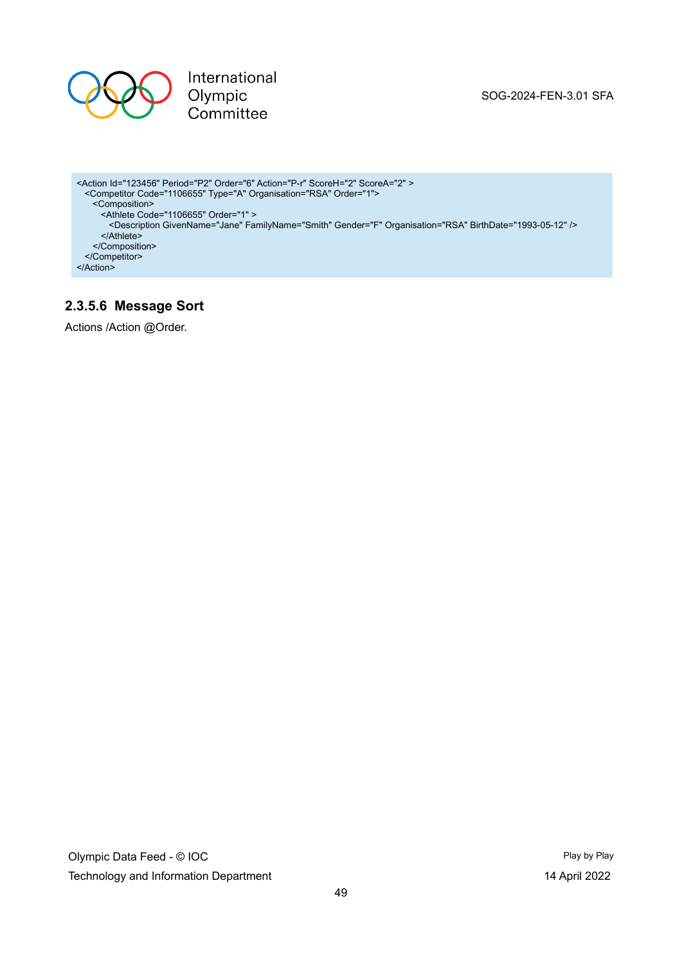

<Action Id="123456" Period="P2" Order="6" Action="P-r" ScoreH="2" ScoreA="2" > <Competitor Code="1106655" Type="A" Organisation="RSA" Order="1"> <Composition> <Athlete Code="1106655" Order="1" > <Description GivenName="Jane" FamilyName="Smith" Gender="F" Organisation="RSA" BirthDate="1993-05-12" /> </Athlete> </Composition> </Competitor> </Action>

## **2.3.5.6 Message Sort**

Actions /Action @Order.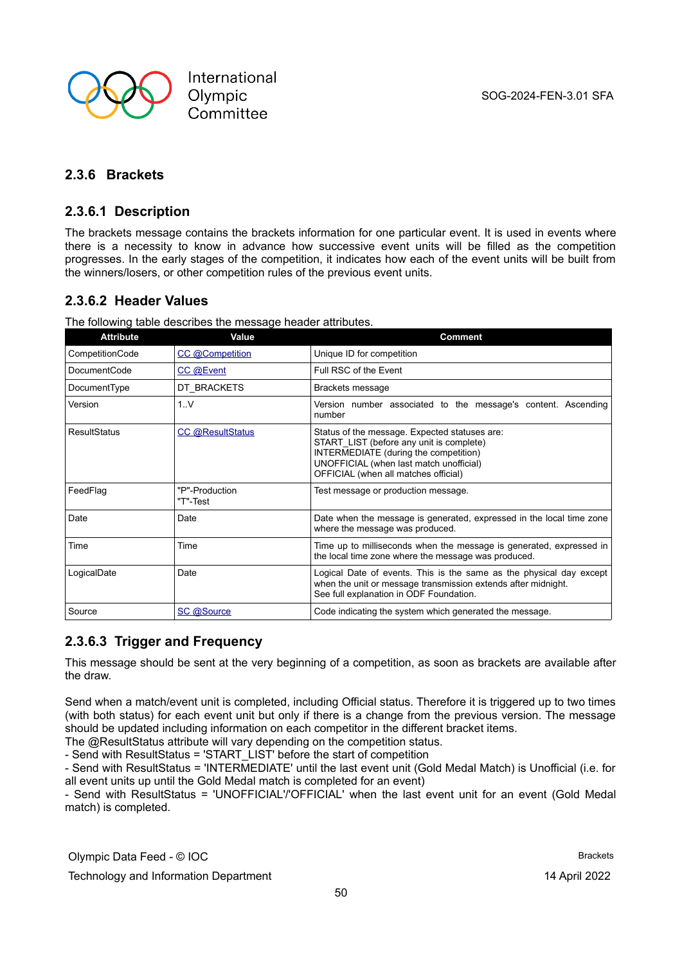

## **2.3.6 Brackets**

## **2.3.6.1 Description**

The brackets message contains the brackets information for one particular event. It is used in events where there is a necessity to know in advance how successive event units will be filled as the competition progresses. In the early stages of the competition, it indicates how each of the event units will be built from the winners/losers, or other competition rules of the previous event units.

## **2.3.6.2 Header Values**

The following table describes the message header attributes.

| <b>Attribute</b>    | Value                      | <b>Comment</b>                                                                                                                                                                                                        |
|---------------------|----------------------------|-----------------------------------------------------------------------------------------------------------------------------------------------------------------------------------------------------------------------|
| CompetitionCode     | CC @Competition            | Unique ID for competition                                                                                                                                                                                             |
| DocumentCode        | CC @Event                  | Full RSC of the Event                                                                                                                                                                                                 |
| DocumentType        | DT BRACKETS                | Brackets message                                                                                                                                                                                                      |
| Version             | 1.1V                       | Version number associated to the message's content. Ascending<br>number                                                                                                                                               |
| <b>ResultStatus</b> | CC @ResultStatus           | Status of the message. Expected statuses are:<br>START LIST (before any unit is complete)<br>INTERMEDIATE (during the competition)<br>UNOFFICIAL (when last match unofficial)<br>OFFICIAL (when all matches official) |
| FeedFlag            | "P"-Production<br>"T"-Test | Test message or production message.                                                                                                                                                                                   |
| Date                | Date                       | Date when the message is generated, expressed in the local time zone<br>where the message was produced.                                                                                                               |
| Time                | Time                       | Time up to milliseconds when the message is generated, expressed in<br>the local time zone where the message was produced.                                                                                            |
| LogicalDate         | Date                       | Logical Date of events. This is the same as the physical day except<br>when the unit or message transmission extends after midnight.<br>See full explanation in ODF Foundation.                                       |
| Source              | SC @Source                 | Code indicating the system which generated the message.                                                                                                                                                               |

## **2.3.6.3 Trigger and Frequency**

This message should be sent at the very beginning of a competition, as soon as brackets are available after the draw.

Send when a match/event unit is completed, including Official status. Therefore it is triggered up to two times (with both status) for each event unit but only if there is a change from the previous version. The message should be updated including information on each competitor in the different bracket items.

The @ResultStatus attribute will vary depending on the competition status.

- Send with ResultStatus = 'START\_LIST' before the start of competition

- Send with ResultStatus = 'INTERMEDIATE' until the last event unit (Gold Medal Match) is Unofficial (i.e. for all event units up until the Gold Medal match is completed for an event)

- Send with ResultStatus = 'UNOFFICIAL'/'OFFICIAL' when the last event unit for an event (Gold Medal match) is completed.

Olympic Data Feed - © IOC Brackets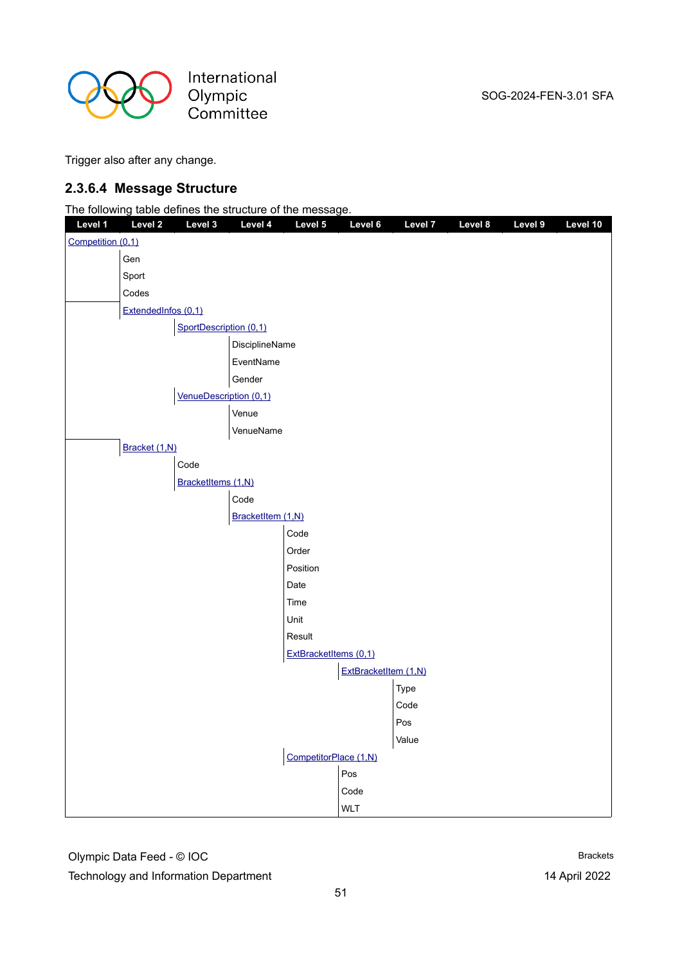

Trigger also after any change.

## **2.3.6.4 Message Structure**

The following table defines the structure of the message.

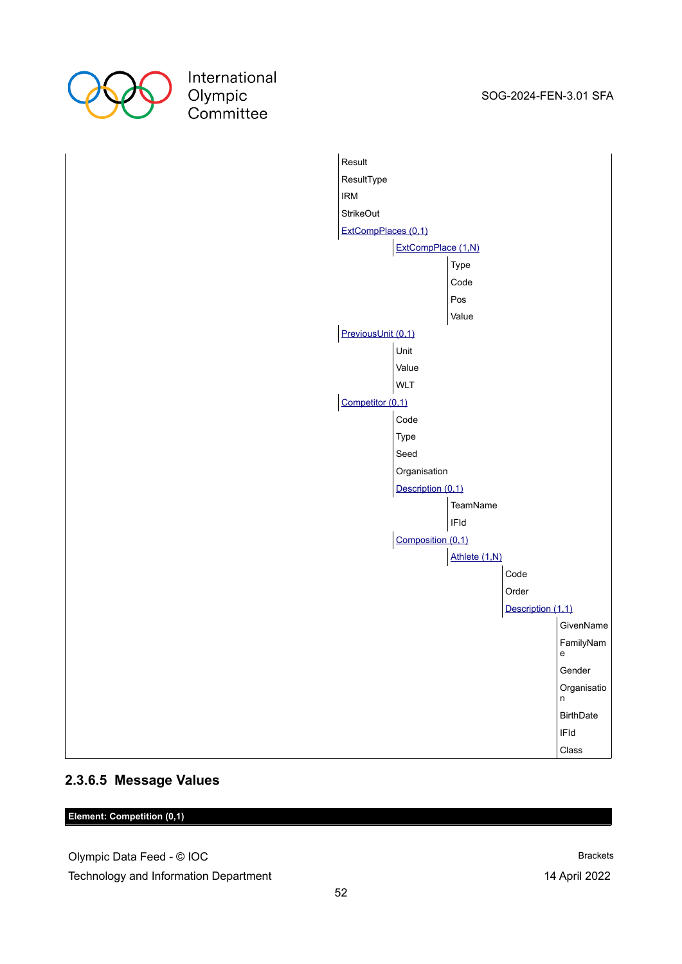



## **2.3.6.5 Message Values**

<span id="page-51-0"></span>**Element: Competition (0,1)**

Olympic Data Feed - © IOC Brackets Technology and Information Department 14 April 2022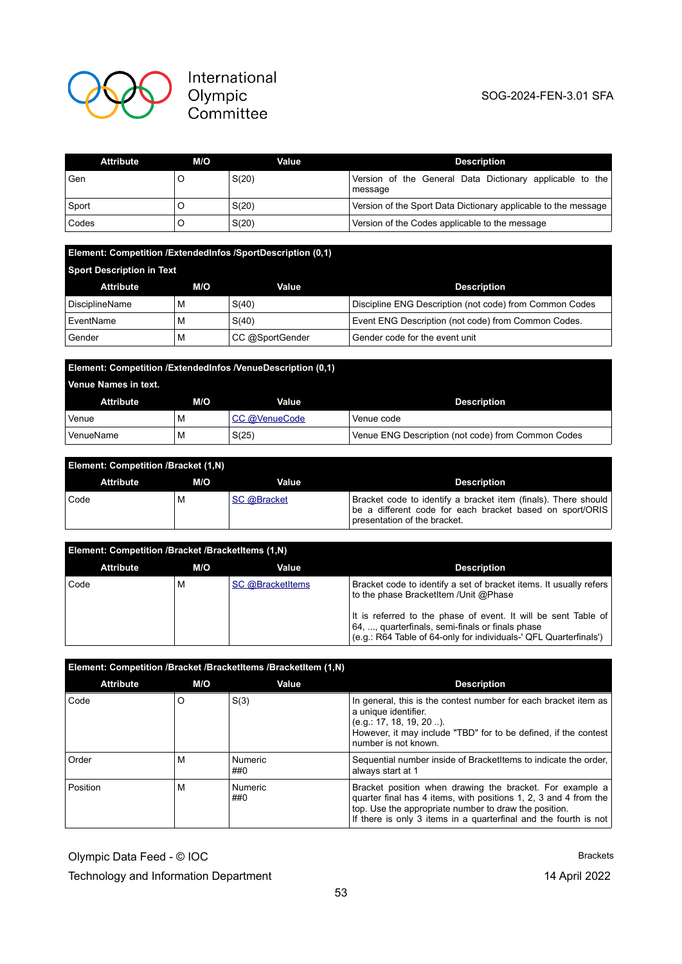

#### SOG-2024-FEN-3.01 SFA

| <b>Attribute</b> | M/O | Value | <b>Description</b>                                                  |
|------------------|-----|-------|---------------------------------------------------------------------|
| Gen              |     | S(20) | Version of the General Data Dictionary applicable to the<br>message |
| Sport            |     | S(20) | Version of the Sport Data Dictionary applicable to the message      |
| Codes            |     | S(20) | Version of the Codes applicable to the message                      |

## <span id="page-52-4"></span>**Element: Competition /ExtendedInfos /SportDescription (0,1)**

| Sport Description in Text |     |                 |                                                         |  |
|---------------------------|-----|-----------------|---------------------------------------------------------|--|
| <b>Attribute</b>          | M/O | Value           | <b>Description</b>                                      |  |
| <b>DisciplineName</b>     | м   | S(40)           | Discipline ENG Description (not code) from Common Codes |  |
| EventName                 | м   | S(40)           | Event ENG Description (not code) from Common Codes.     |  |
| Gender                    | м   | CC @SportGender | Gender code for the event unit                          |  |

<span id="page-52-3"></span>

| <b>Element: Competition /ExtendedInfos /VenueDescription (0.1)</b> |     |               |                                                    |  |
|--------------------------------------------------------------------|-----|---------------|----------------------------------------------------|--|
| Venue Names in text.                                               |     |               |                                                    |  |
| <b>Attribute</b>                                                   | M/O | Value         | <b>Description</b>                                 |  |
| Venue                                                              | M   | CC @VenueCode | Venue code                                         |  |
| VenueName                                                          | M   | S(25)         | Venue ENG Description (not code) from Common Codes |  |

<span id="page-52-2"></span>

| <b>Element: Competition /Bracket (1,N)</b> |     |             |                                                                                                                                                            |
|--------------------------------------------|-----|-------------|------------------------------------------------------------------------------------------------------------------------------------------------------------|
| <b>Attribute</b>                           | M/O | Value       | <b>Description</b>                                                                                                                                         |
| Code                                       | M   | SC @Bracket | Bracket code to identify a bracket item (finals). There should<br>be a different code for each bracket based on sport/ORIS<br>presentation of the bracket. |

<span id="page-52-1"></span>

|                  | <b>Element: Competition /Bracket /Bracket/tems (1,N)</b> |                  |                                                                                                                                                                                                                                                                                                          |  |
|------------------|----------------------------------------------------------|------------------|----------------------------------------------------------------------------------------------------------------------------------------------------------------------------------------------------------------------------------------------------------------------------------------------------------|--|
| <b>Attribute</b> | M/O                                                      | Value            | <b>Description</b>                                                                                                                                                                                                                                                                                       |  |
| Code             | M                                                        | SC @BracketItems | Bracket code to identify a set of bracket items. It usually refers<br>to the phase BracketItem / Unit @ Phase<br>It is referred to the phase of event. It will be sent Table of<br>64, , quarterfinals, semi-finals or finals phase<br>(e.g.: R64 Table of 64-only for individuals-' QFL Quarterfinals') |  |

<span id="page-52-0"></span>

| Element: Competition /Bracket /BracketItems /BracketItem (1,N) |     |                       |                                                                                                                                                                                                                                                           |
|----------------------------------------------------------------|-----|-----------------------|-----------------------------------------------------------------------------------------------------------------------------------------------------------------------------------------------------------------------------------------------------------|
| <b>Attribute</b>                                               | M/O | Value                 | <b>Description</b>                                                                                                                                                                                                                                        |
| Code                                                           | O   | S(3)                  | In general, this is the contest number for each bracket item as<br>a unique identifier.<br>(e.q.: 17, 18, 19, 20)<br>However, it may include "TBD" for to be defined, if the contest<br>number is not known.                                              |
| Order                                                          | м   | <b>Numeric</b><br>##0 | Sequential number inside of BracketItems to indicate the order,<br>always start at 1                                                                                                                                                                      |
| Position                                                       | м   | <b>Numeric</b><br>##0 | Bracket position when drawing the bracket. For example a<br>quarter final has 4 items, with positions 1, 2, 3 and 4 from the<br>top. Use the appropriate number to draw the position.<br>If there is only 3 items in a quarterfinal and the fourth is not |

Olympic Data Feed - © IOC Brackets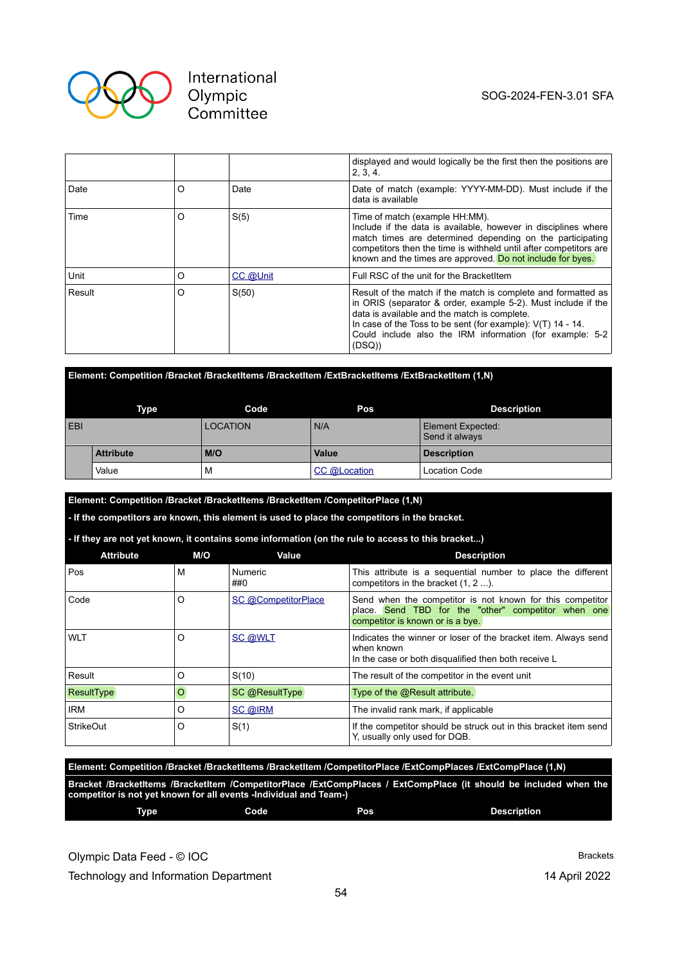

#### SOG-2024-FEN-3.01 SFA

|        |   |          | displayed and would logically be the first then the positions are<br>2.3.4.                                                                                                                                                                                                                                           |
|--------|---|----------|-----------------------------------------------------------------------------------------------------------------------------------------------------------------------------------------------------------------------------------------------------------------------------------------------------------------------|
| Date   | O | Date     | Date of match (example: YYYY-MM-DD). Must include if the<br>data is available                                                                                                                                                                                                                                         |
| Time   | O | S(5)     | Time of match (example HH:MM).<br>Include if the data is available, however in disciplines where<br>match times are determined depending on the participating<br>competitors then the time is withheld until after competitors are<br>known and the times are approved. Do not include for byes.                      |
| Unit   | O | CC @Unit | Full RSC of the unit for the BracketItem                                                                                                                                                                                                                                                                              |
| Result | O | S(50)    | Result of the match if the match is complete and formatted as<br>in ORIS (separator & order, example 5-2). Must include if the<br>data is available and the match is complete.<br>In case of the Toss to be sent (for example): $V(T)$ 14 - 14.<br>Could include also the IRM information (for example: 5-2<br>(DSQ)) |

<span id="page-53-1"></span>

| Element: Competition /Bracket /BracketItems /BracketItem /ExtBracketItems /ExtBracketItem (1,N) |  |
|-------------------------------------------------------------------------------------------------|--|
|                                                                                                 |  |

|     | Type             | Code            | Pos          | <b>Description</b>                  |
|-----|------------------|-----------------|--------------|-------------------------------------|
| EBI |                  | <b>LOCATION</b> | N/A          | Element Expected:<br>Send it always |
|     | <b>Attribute</b> | M/O             | <b>Value</b> | <b>Description</b>                  |
|     | Value            | M               | CC @Location | <b>Location Code</b>                |

#### <span id="page-53-0"></span>**Element: Competition /Bracket /BracketItems /BracketItem /CompetitorPlace (1,N)**

**- If the competitors are known, this element is used to place the competitors in the bracket.**

**- If they are not yet known, it contains some information (on the rule to access to this bracket...)**

| <b>Attribute</b> | M/O     | Value               | <b>Description</b>                                                                                                                                   |  |  |
|------------------|---------|---------------------|------------------------------------------------------------------------------------------------------------------------------------------------------|--|--|
| Pos              | м       | Numeric<br>##0      | This attribute is a sequential number to place the different<br>competitors in the bracket $(1, 2)$ .                                                |  |  |
| Code             | O       | SC @CompetitorPlace | Send when the competitor is not known for this competitor<br>place. Send TBD for the "other" competitor when one<br>competitor is known or is a bye. |  |  |
| <b>WLT</b>       | O       | SC @WLT             | Indicates the winner or loser of the bracket item. Always send<br>when known<br>In the case or both disqualified then both receive L                 |  |  |
| Result           | O       | S(10)               | The result of the competitor in the event unit                                                                                                       |  |  |
| ResultType       | $\circ$ | SC @ResultType      | Type of the @Result attribute.                                                                                                                       |  |  |
| <b>IRM</b>       | O       | SC @IRM             | The invalid rank mark, if applicable                                                                                                                 |  |  |
| <b>StrikeOut</b> | O       | S(1)                | If the competitor should be struck out in this bracket item send<br>Y, usually only used for DQB.                                                    |  |  |

<span id="page-53-2"></span>**Element: Competition /Bracket /BracketItems /BracketItem /CompetitorPlace /ExtCompPlaces /ExtCompPlace (1,N)**

**Bracket /BracketItems /BracketItem /CompetitorPlace /ExtCompPlaces / ExtCompPlace (it should be included when the competitor is not yet known for all events -Individual and Team-)**

| _<br>Tvpe<br>. . | Code | Pos | −<br><b>Description</b> |  |
|------------------|------|-----|-------------------------|--|
|                  |      |     |                         |  |

Olympic Data Feed - © IOC Brackets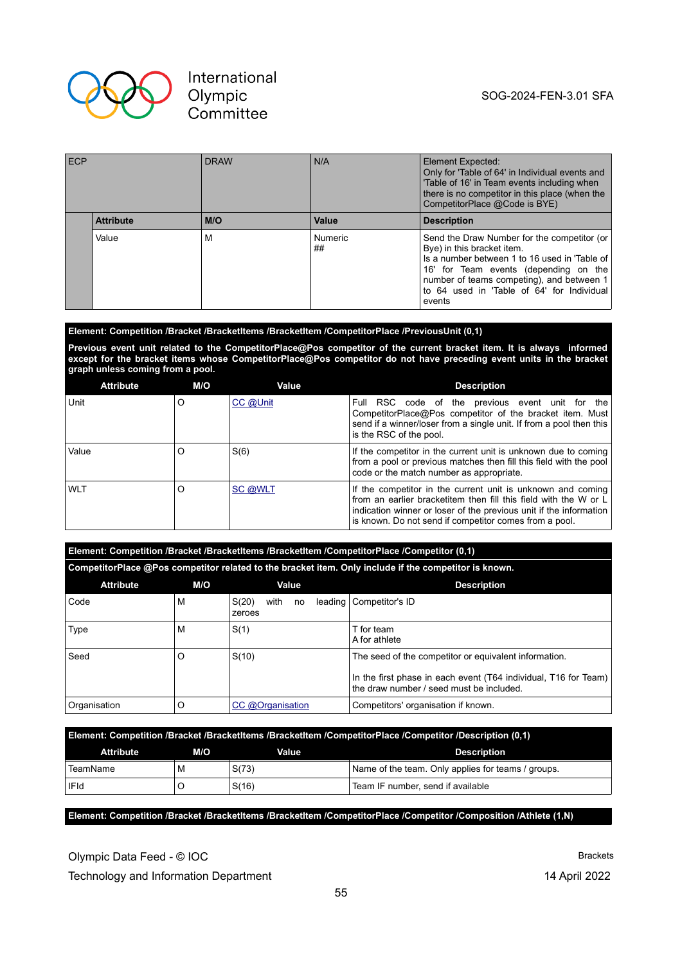

| <b>ECP</b> |                  | <b>DRAW</b> | N/A                  | Element Expected:<br>Only for 'Table of 64' in Individual events and<br>'Table of 16' in Team events including when<br>there is no competitor in this place (when the<br>CompetitorPlace @Code is BYE)                                                                   |
|------------|------------------|-------------|----------------------|--------------------------------------------------------------------------------------------------------------------------------------------------------------------------------------------------------------------------------------------------------------------------|
|            | <b>Attribute</b> | M/O         | Value                | <b>Description</b>                                                                                                                                                                                                                                                       |
|            | Value            | М           | <b>Numeric</b><br>## | Send the Draw Number for the competitor (or<br>Bye) in this bracket item.<br>Is a number between 1 to 16 used in 'Table of<br>16' for Team events (depending on the<br>number of teams competing), and between 1<br>to 64 used in 'Table of 64' for Individual<br>events |

<span id="page-54-3"></span>**Element: Competition /Bracket /BracketItems /BracketItem /CompetitorPlace /PreviousUnit (0,1)**

**Previous event unit related to the CompetitorPlace@Pos competitor of the current bracket item. It is always informed except for the bracket items whose CompetitorPlace@Pos competitor do not have preceding event units in the bracket graph unless coming from a pool.**

| <b>Attribute</b> | M/O | Value    | <b>Description</b>                                                                                                                                                                                                                                              |
|------------------|-----|----------|-----------------------------------------------------------------------------------------------------------------------------------------------------------------------------------------------------------------------------------------------------------------|
| Unit             | O   | CC @Unit | Full RSC code of the previous event unit for the<br>CompetitorPlace@Pos competitor of the bracket item. Must<br>send if a winner/loser from a single unit. If from a pool then this<br>is the RSC of the pool.                                                  |
| Value            | O   | S(6)     | If the competitor in the current unit is unknown due to coming<br>from a pool or previous matches then fill this field with the pool<br>code or the match number as appropriate.                                                                                |
| <b>WLT</b>       | O   | SC @WLT  | If the competitor in the current unit is unknown and coming<br>from an earlier bracketitem then fill this field with the W or L<br>indication winner or loser of the previous unit if the information<br>is known. Do not send if competitor comes from a pool. |

<span id="page-54-2"></span>

|  | [6.0] Element: Competition /Bracket /BracketItems /BracketItem /CompetitorPlace /Competitor (0,1) |  |  |  |  |  |
|--|---------------------------------------------------------------------------------------------------|--|--|--|--|--|
|  |                                                                                                   |  |  |  |  |  |

**CompetitorPlace @Pos competitor related to the bracket item. Only include if the competitor is known.**

| <b>Attribute</b> | M/O | Value                         | <b>Description</b>                                                                                                                                                   |
|------------------|-----|-------------------------------|----------------------------------------------------------------------------------------------------------------------------------------------------------------------|
| Code             | м   | S(20)<br>with<br>no<br>zeroes | leading   Competitor's ID                                                                                                                                            |
| Type             | м   | S(1)                          | T for team<br>A for athlete                                                                                                                                          |
| Seed             | O   | S(10)                         | The seed of the competitor or equivalent information.<br>In the first phase in each event (T64 individual, T16 for Team)<br>the draw number / seed must be included. |
| Organisation     | O   | CC @Organisation              | Competitors' organisation if known.                                                                                                                                  |

<span id="page-54-1"></span>

| Element: Competition /Bracket /BracketItems /BracketItem /CompetitorPlace /Competitor /Description (0.1) |   |       |                                                    |  |  |  |  |
|----------------------------------------------------------------------------------------------------------|---|-------|----------------------------------------------------|--|--|--|--|
| <b>Attribute</b><br>M/O<br>Value<br><b>Description</b>                                                   |   |       |                                                    |  |  |  |  |
| TeamName                                                                                                 | м | S(73) | Name of the team. Only applies for teams / groups. |  |  |  |  |
| l IFId<br>Team IF number, send if available<br>S(16)                                                     |   |       |                                                    |  |  |  |  |

<span id="page-54-0"></span>**Element: Competition /Bracket /BracketItems /BracketItem /CompetitorPlace /Competitor /Composition /Athlete (1,N)**

Olympic Data Feed - © IOC Brackets Technology and Information Department 14 April 2022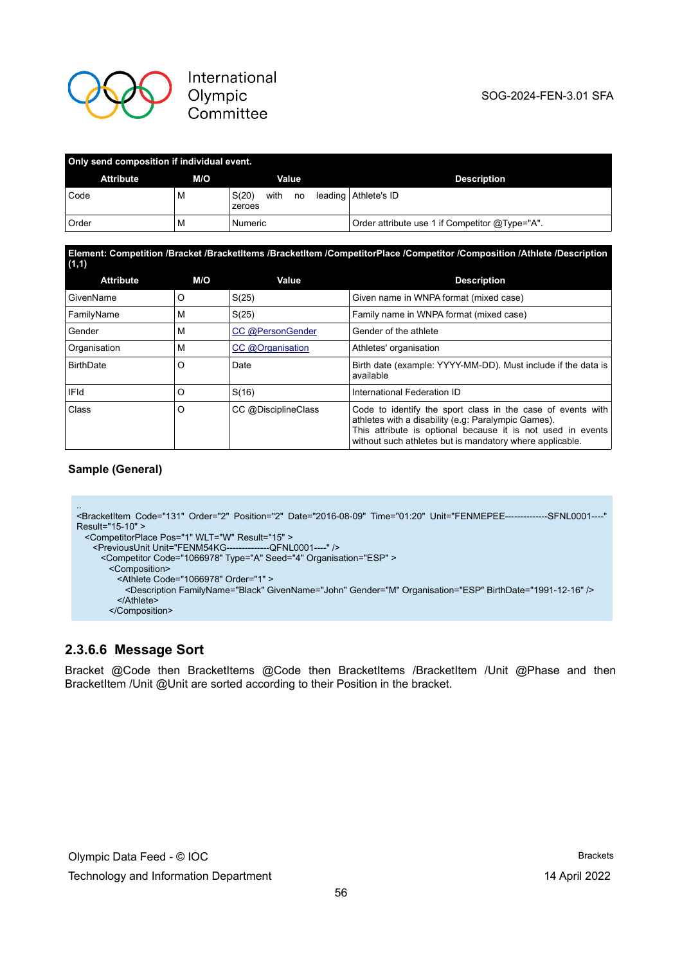

#### SOG-2024-FEN-3.01 SFA

| Only send composition if individual event. |     |                               |                                                |  |  |  |  |
|--------------------------------------------|-----|-------------------------------|------------------------------------------------|--|--|--|--|
| <b>Attribute</b>                           | M/O | Value                         | <b>Description</b>                             |  |  |  |  |
| Code                                       | M   | S(20)<br>with<br>no<br>zeroes | leading   Athlete's ID                         |  |  |  |  |
| Order                                      | M   | Numeric                       | Order attribute use 1 if Competitor @Type="A". |  |  |  |  |

<span id="page-55-0"></span>**Element: Competition /Bracket /BracketItems /BracketItem /CompetitorPlace /Competitor /Composition /Athlete /Description (1,1)**

| <b>Attribute</b> | M/O      | Value               | <b>Description</b>                                                                                                                                                                                                                            |
|------------------|----------|---------------------|-----------------------------------------------------------------------------------------------------------------------------------------------------------------------------------------------------------------------------------------------|
| GivenName        | O        | S(25)               | Given name in WNPA format (mixed case)                                                                                                                                                                                                        |
| FamilyName       | М        | S(25)               | Family name in WNPA format (mixed case)                                                                                                                                                                                                       |
| Gender           | M        | CC @PersonGender    | Gender of the athlete                                                                                                                                                                                                                         |
| Organisation     | M        | CC @Organisation    | Athletes' organisation                                                                                                                                                                                                                        |
| <b>BirthDate</b> | $\Omega$ | Date                | Birth date (example: YYYY-MM-DD). Must include if the data is<br>available                                                                                                                                                                    |
| <b>IFId</b>      | Ω        | S(16)               | International Federation ID                                                                                                                                                                                                                   |
| Class            | O        | CC @DisciplineClass | Code to identify the sport class in the case of events with<br>athletes with a disability (e.g: Paralympic Games).<br>This attribute is optional because it is not used in events<br>without such athletes but is mandatory where applicable. |

#### **Sample (General)**

```
..
<BracketItem Code="131" Order="2" Position="2" Date="2016-08-09" Time="01:20" Unit="FENMEPEE--------------SFNL0001----"
Result="15-10" >
 <CompetitorPlace Pos="1" WLT="W" Result="15" >
   <PreviousUnit Unit="FENM54KG--------------QFNL0001----" />
     <Competitor Code="1066978" Type="A" Seed="4" Organisation="ESP" >
       <Composition>
         <Athlete Code="1066978" Order="1" >
          <Description FamilyName="Black" GivenName="John" Gender="M" Organisation="ESP" BirthDate="1991-12-16" />
         </Athlete>
       </Composition>
```
### **2.3.6.6 Message Sort**

Bracket @Code then BracketItems @Code then BracketItems /BracketItem /Unit @Phase and then BracketItem /Unit @Unit are sorted according to their Position in the bracket.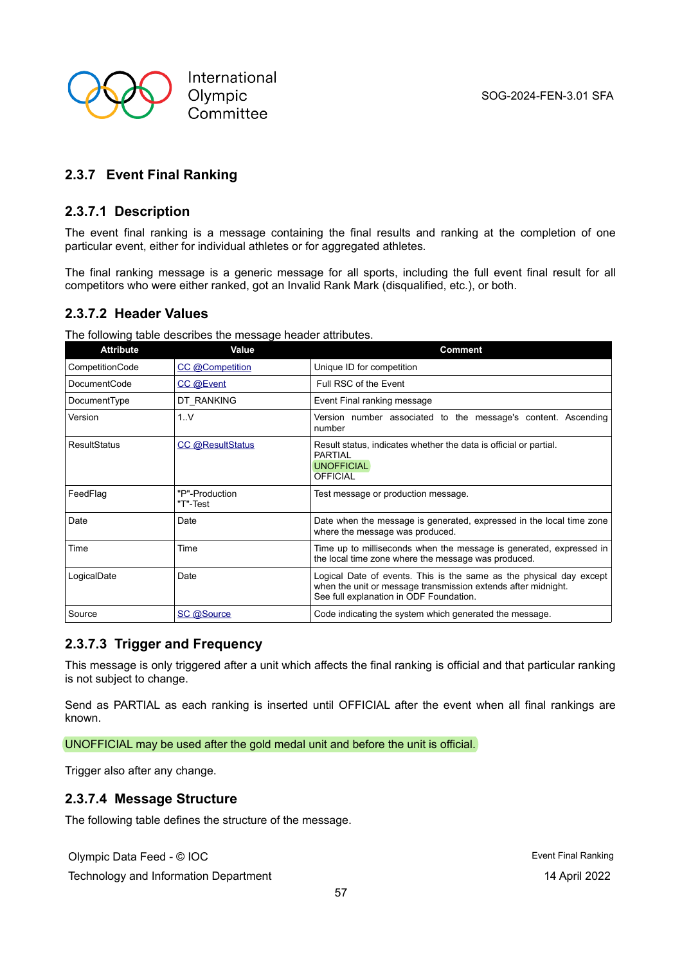

## **2.3.7 Event Final Ranking**

#### **2.3.7.1 Description**

The event final ranking is a message containing the final results and ranking at the completion of one particular event, either for individual athletes or for aggregated athletes.

The final ranking message is a generic message for all sports, including the full event final result for all competitors who were either ranked, got an Invalid Rank Mark (disqualified, etc.), or both.

### **2.3.7.2 Header Values**

The following table describes the message header attributes.

| <b>Attribute</b>    | Value                      | <b>Comment</b>                                                                                                                                                                  |  |  |  |
|---------------------|----------------------------|---------------------------------------------------------------------------------------------------------------------------------------------------------------------------------|--|--|--|
| CompetitionCode     | CC @Competition            | Unique ID for competition                                                                                                                                                       |  |  |  |
| <b>DocumentCode</b> | CC @Event                  | Full RSC of the Event                                                                                                                                                           |  |  |  |
| DocumentType        | DT RANKING                 | Event Final ranking message                                                                                                                                                     |  |  |  |
| Version             | 1.1V                       | Version number associated to the message's content. Ascending<br>number                                                                                                         |  |  |  |
| <b>ResultStatus</b> | CC @ResultStatus           | Result status, indicates whether the data is official or partial.<br>PARTIAI<br><b>UNOFFICIAL</b><br><b>OFFICIAL</b>                                                            |  |  |  |
| FeedFlag            | "P"-Production<br>"T"-Test | Test message or production message.                                                                                                                                             |  |  |  |
| Date                | Date                       | Date when the message is generated, expressed in the local time zone<br>where the message was produced.                                                                         |  |  |  |
| Time                | Time                       | Time up to milliseconds when the message is generated, expressed in<br>the local time zone where the message was produced.                                                      |  |  |  |
| LogicalDate         | Date                       | Logical Date of events. This is the same as the physical day except<br>when the unit or message transmission extends after midnight.<br>See full explanation in ODF Foundation. |  |  |  |
| Source              | SC @Source                 | Code indicating the system which generated the message.                                                                                                                         |  |  |  |

## **2.3.7.3 Trigger and Frequency**

This message is only triggered after a unit which affects the final ranking is official and that particular ranking is not subject to change.

Send as PARTIAL as each ranking is inserted until OFFICIAL after the event when all final rankings are known.

UNOFFICIAL may be used after the gold medal unit and before the unit is official.

Trigger also after any change.

#### **2.3.7.4 Message Structure**

The following table defines the structure of the message.

Olympic Data Feed - © IOC **Example 2018** Event Final Ranking Technology and Information Department 14 April 2022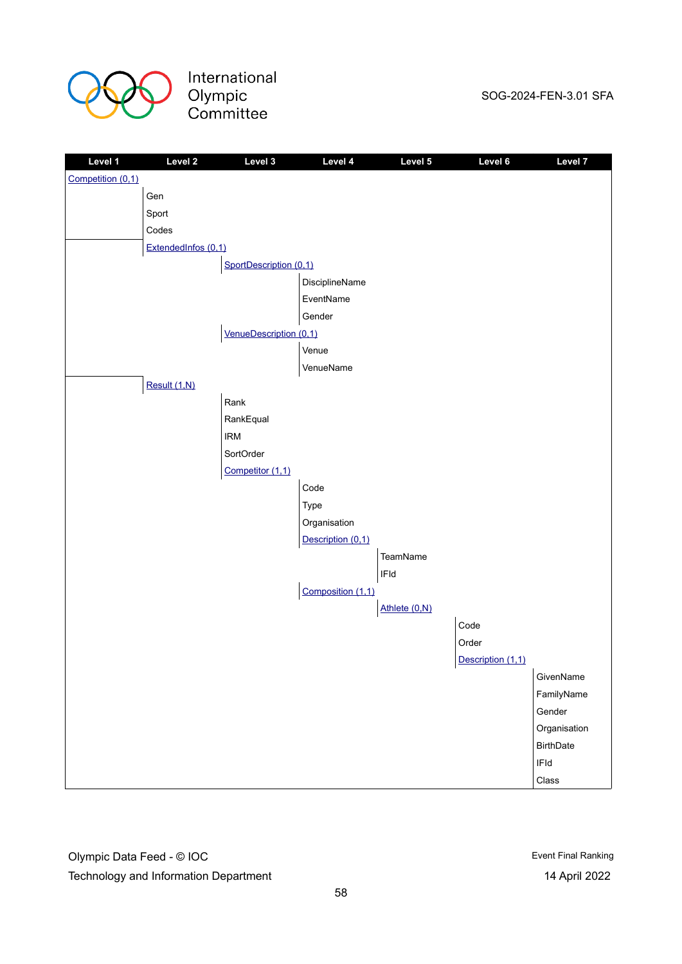

### SOG-2024-FEN-3.01 SFA

| Level 1           | Level 2             | Level 3                       | Level 4           | Level 5       | Level 6           | Level 7                      |
|-------------------|---------------------|-------------------------------|-------------------|---------------|-------------------|------------------------------|
| Competition (0,1) |                     |                               |                   |               |                   |                              |
|                   | Gen                 |                               |                   |               |                   |                              |
|                   | Sport               |                               |                   |               |                   |                              |
|                   | Codes               |                               |                   |               |                   |                              |
|                   | ExtendedInfos (0,1) |                               |                   |               |                   |                              |
|                   |                     | SportDescription (0,1)        |                   |               |                   |                              |
|                   |                     |                               | DisciplineName    |               |                   |                              |
|                   |                     |                               | EventName         |               |                   |                              |
|                   |                     |                               | Gender            |               |                   |                              |
|                   |                     | VenueDescription (0,1)        |                   |               |                   |                              |
|                   |                     |                               | Venue             |               |                   |                              |
|                   |                     |                               | VenueName         |               |                   |                              |
|                   | Result (1,N)        |                               |                   |               |                   |                              |
|                   |                     | Rank                          |                   |               |                   |                              |
|                   |                     | RankEqual                     |                   |               |                   |                              |
|                   |                     | <b>IRM</b>                    |                   |               |                   |                              |
|                   |                     | SortOrder<br>Competitor (1,1) |                   |               |                   |                              |
|                   |                     |                               | Code              |               |                   |                              |
|                   |                     |                               | Type              |               |                   |                              |
|                   |                     |                               | Organisation      |               |                   |                              |
|                   |                     |                               | Description (0,1) |               |                   |                              |
|                   |                     |                               |                   | TeamName      |                   |                              |
|                   |                     |                               |                   | <b>IFId</b>   |                   |                              |
|                   |                     |                               | Composition (1,1) |               |                   |                              |
|                   |                     |                               |                   | Athlete (0,N) |                   |                              |
|                   |                     |                               |                   |               | Code              |                              |
|                   |                     |                               |                   |               | Order             |                              |
|                   |                     |                               |                   |               | Description (1,1) |                              |
|                   |                     |                               |                   |               |                   | GivenName                    |
|                   |                     |                               |                   |               |                   | FamilyName                   |
|                   |                     |                               |                   |               |                   | Gender                       |
|                   |                     |                               |                   |               |                   | Organisation                 |
|                   |                     |                               |                   |               |                   | <b>BirthDate</b>             |
|                   |                     |                               |                   |               |                   | $\ensuremath{\mathsf{IFld}}$ |
|                   |                     |                               |                   |               |                   | $\textsf{Class}$             |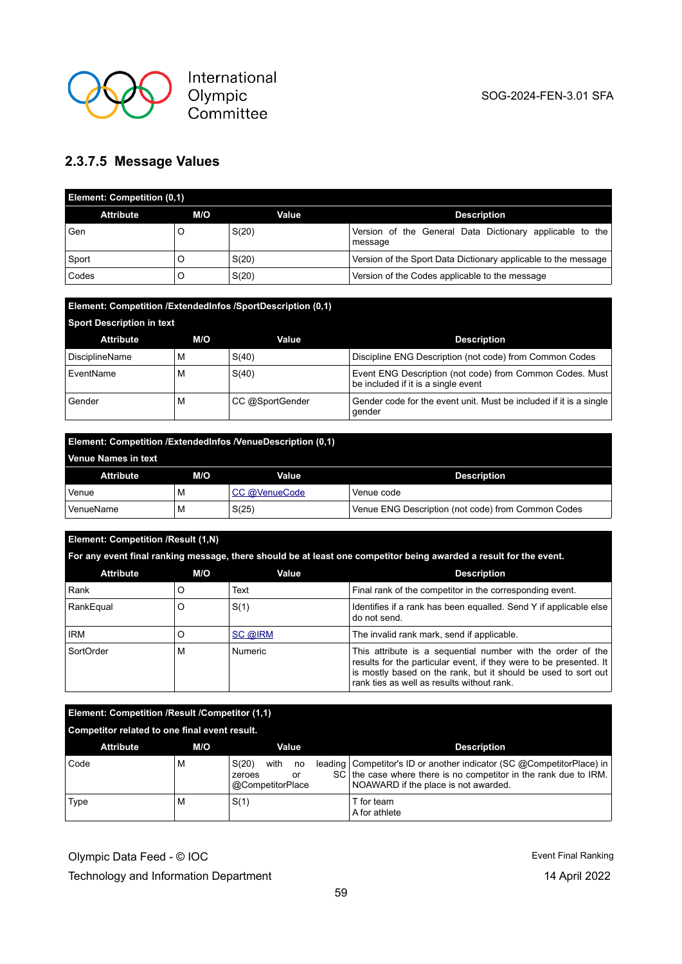

# **2.3.7.5 Message Values**

<span id="page-58-4"></span>

| <b>Element: Competition (0,1)</b> |     |       |                                                                     |  |  |  |
|-----------------------------------|-----|-------|---------------------------------------------------------------------|--|--|--|
| <b>Attribute</b>                  | M/O | Value | <b>Description</b>                                                  |  |  |  |
| Gen                               |     | S(20) | Version of the General Data Dictionary applicable to the<br>message |  |  |  |
| Sport                             |     | S(20) | Version of the Sport Data Dictionary applicable to the message      |  |  |  |
| Codes                             |     | S(20) | Version of the Codes applicable to the message                      |  |  |  |

<span id="page-58-3"></span>

| Element: Competition /ExtendedInfos /SportDescription (0.1) |     |                 |                                                                                                 |  |  |  |
|-------------------------------------------------------------|-----|-----------------|-------------------------------------------------------------------------------------------------|--|--|--|
| <b>Sport Description in text</b>                            |     |                 |                                                                                                 |  |  |  |
| <b>Attribute</b>                                            | M/O | Value           | <b>Description</b>                                                                              |  |  |  |
| <b>DisciplineName</b>                                       | м   | S(40)           | Discipline ENG Description (not code) from Common Codes                                         |  |  |  |
| EventName                                                   | м   | S(40)           | Event ENG Description (not code) from Common Codes. Must<br>be included if it is a single event |  |  |  |
| Gender                                                      | м   | CC @SportGender | Gender code for the event unit. Must be included if it is a single<br>gender                    |  |  |  |

<span id="page-58-2"></span>

| <b>Element: Competition /ExtendedInfos /VenueDescription (0,1)</b> |  |  |  |  |  |
|--------------------------------------------------------------------|--|--|--|--|--|
|--------------------------------------------------------------------|--|--|--|--|--|

| Venue Names in text |     |               |                                                    |  |  |  |
|---------------------|-----|---------------|----------------------------------------------------|--|--|--|
| <b>Attribute</b>    | M/O | Value         | <b>Description</b>                                 |  |  |  |
| Venue               | M   | CC @VenueCode | Venue code                                         |  |  |  |
| VenueName           | M   | S(25)         | Venue ENG Description (not code) from Common Codes |  |  |  |

<span id="page-58-1"></span>

| <b>Element: Competition /Result (1,N)</b>              |   |                |                                                                                                                                                                                                                                                   |  |  |  |
|--------------------------------------------------------|---|----------------|---------------------------------------------------------------------------------------------------------------------------------------------------------------------------------------------------------------------------------------------------|--|--|--|
|                                                        |   |                | For any event final ranking message, there should be at least one competitor being awarded a result for the event.                                                                                                                                |  |  |  |
| <b>Attribute</b><br>M/O<br>Value<br><b>Description</b> |   |                |                                                                                                                                                                                                                                                   |  |  |  |
| Rank                                                   | O | Text           | Final rank of the competitor in the corresponding event.                                                                                                                                                                                          |  |  |  |
| RankEqual                                              | O | S(1)           | Identifies if a rank has been equalled. Send Y if applicable else<br>do not send.                                                                                                                                                                 |  |  |  |
| <b>IRM</b>                                             | O | SC @IRM        | The invalid rank mark, send if applicable.                                                                                                                                                                                                        |  |  |  |
| SortOrder                                              | м | <b>Numeric</b> | This attribute is a sequential number with the order of the<br>results for the particular event, if they were to be presented. It<br>is mostly based on the rank, but it should be used to sort out<br>rank ties as well as results without rank. |  |  |  |

# <span id="page-58-0"></span>**Element: Competition /Result /Competitor (1,1)**

| Competitor related to one final event result. |          |                                                         |                                                                                                                                                                                     |  |  |  |
|-----------------------------------------------|----------|---------------------------------------------------------|-------------------------------------------------------------------------------------------------------------------------------------------------------------------------------------|--|--|--|
| <b>Attribute</b>                              | M/O      | Value                                                   | <b>Description</b>                                                                                                                                                                  |  |  |  |
| Code                                          | M        | S(20)<br>with<br>no<br>zeroes<br>or<br>@CompetitorPlace | leading Competitor's ID or another indicator (SC @CompetitorPlace) in<br>SC   the case where there is no competitor in the rank due to IRM.<br>NOAWARD if the place is not awarded. |  |  |  |
| Type                                          | <b>M</b> | S(1)                                                    | T for team<br>A for athlete                                                                                                                                                         |  |  |  |

Olympic Data Feed - © IOC **Example 2018** Event Final Ranking Technology and Information Department 14 April 2022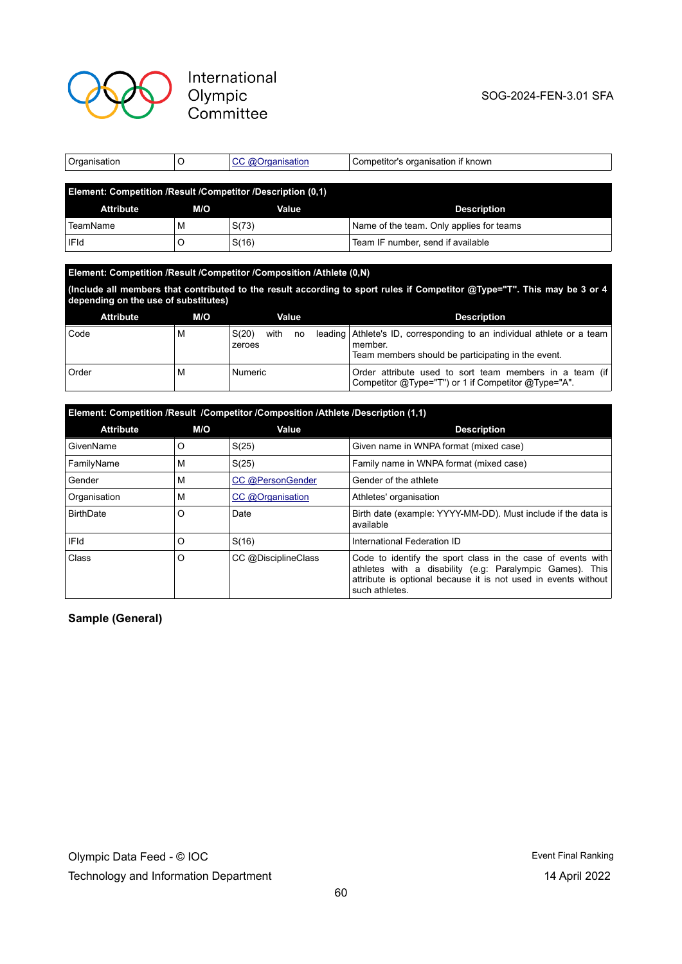

<span id="page-59-2"></span>

| Organisation                                                | Ő   | CC @Organisation | Competitor's organisation if known       |  |  |  |  |  |
|-------------------------------------------------------------|-----|------------------|------------------------------------------|--|--|--|--|--|
|                                                             |     |                  |                                          |  |  |  |  |  |
| Element: Competition /Result /Competitor /Description (0.1) |     |                  |                                          |  |  |  |  |  |
| <b>Attribute</b>                                            | M/O | Value            | <b>Description</b>                       |  |  |  |  |  |
| TeamName                                                    | м   | S(73)            | Name of the team. Only applies for teams |  |  |  |  |  |
| <b>IFId</b>                                                 |     | S(16)            | Team IF number, send if available        |  |  |  |  |  |
|                                                             |     |                  |                                          |  |  |  |  |  |

<span id="page-59-1"></span>**Element: Competition /Result /Competitor /Composition /Athlete (0,N)**

**(Include all members that contributed to the result according to sport rules if Competitor @Type="T". This may be 3 or 4 depending on the use of substitutes)**

| <b>Attribute</b> | M/O | Value                         | <b>Description</b>                                                                                                                      |  |  |
|------------------|-----|-------------------------------|-----------------------------------------------------------------------------------------------------------------------------------------|--|--|
| Code             | м   | S(20)<br>with<br>no<br>zeroes | leading Athlete's ID, corresponding to an individual athlete or a team<br>member.<br>Team members should be participating in the event. |  |  |
| Order            | м   | <b>Numeric</b>                | Order attribute used to sort team members in a team (if)<br>Competitor @Type="T") or 1 if Competitor @Type="A".                         |  |  |

<span id="page-59-0"></span>

| Element: Competition /Result /Competitor /Composition /Athlete /Description (1,1) |         |                     |                                                                                                                                                                                                             |  |  |
|-----------------------------------------------------------------------------------|---------|---------------------|-------------------------------------------------------------------------------------------------------------------------------------------------------------------------------------------------------------|--|--|
| <b>Attribute</b>                                                                  | M/O     | Value               | <b>Description</b>                                                                                                                                                                                          |  |  |
| GivenName                                                                         | O       | S(25)               | Given name in WNPA format (mixed case)                                                                                                                                                                      |  |  |
| FamilyName                                                                        | м       | S(25)               | Family name in WNPA format (mixed case)                                                                                                                                                                     |  |  |
| Gender                                                                            | м       | CC @PersonGender    | Gender of the athlete                                                                                                                                                                                       |  |  |
| Organisation                                                                      | м       | CC @Organisation    | Athletes' organisation                                                                                                                                                                                      |  |  |
| <b>BirthDate</b>                                                                  | O       | Date                | Birth date (example: YYYY-MM-DD). Must include if the data is<br>available                                                                                                                                  |  |  |
| IFId                                                                              | O       | S(16)               | International Federation ID                                                                                                                                                                                 |  |  |
| Class                                                                             | $\circ$ | CC @DisciplineClass | Code to identify the sport class in the case of events with<br>athletes with a disability (e.g: Paralympic Games). This<br>attribute is optional because it is not used in events without<br>such athletes. |  |  |

 **Sample (General)**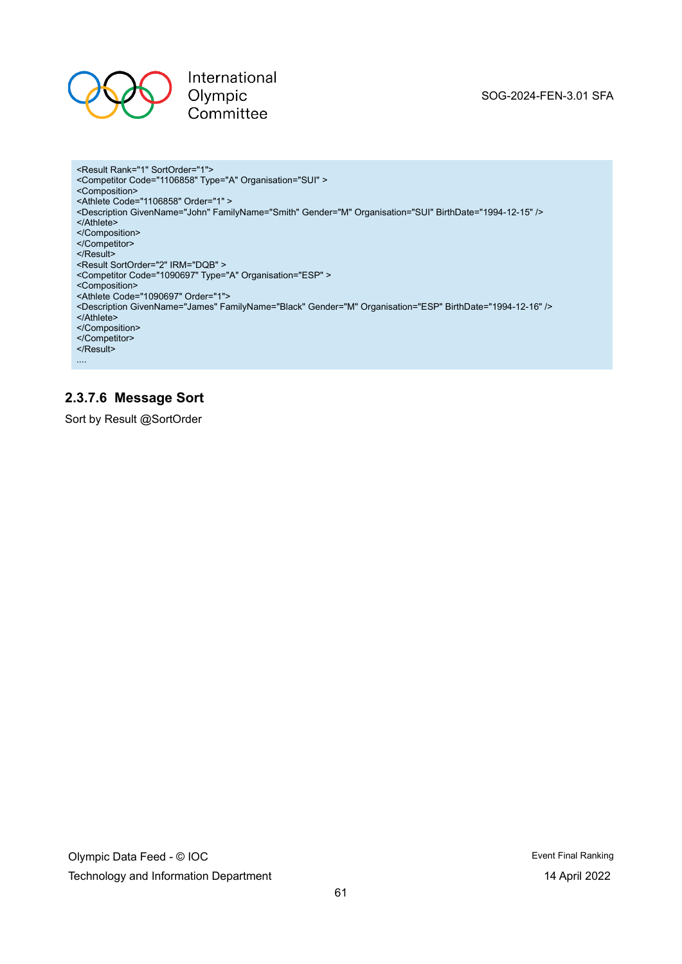

<Result Rank="1" SortOrder="1"> <Competitor Code="1106858" Type="A" Organisation="SUI" > <Composition> <Athlete Code="1106858" Order="1" > <Description GivenName="John" FamilyName="Smith" Gender="M" Organisation="SUI" BirthDate="1994-12-15" /> </Athlete> </Composition> </Competitor> </Result> <Result SortOrder="2" IRM="DQB" > <Competitor Code="1090697" Type="A" Organisation="ESP" > <Composition> <Athlete Code="1090697" Order="1"> <Description GivenName="James" FamilyName="Black" Gender="M" Organisation="ESP" BirthDate="1994-12-16" /> </Athlete> </Composition> </Competitor> </Result> ....

# **2.3.7.6 Message Sort**

Sort by Result @SortOrder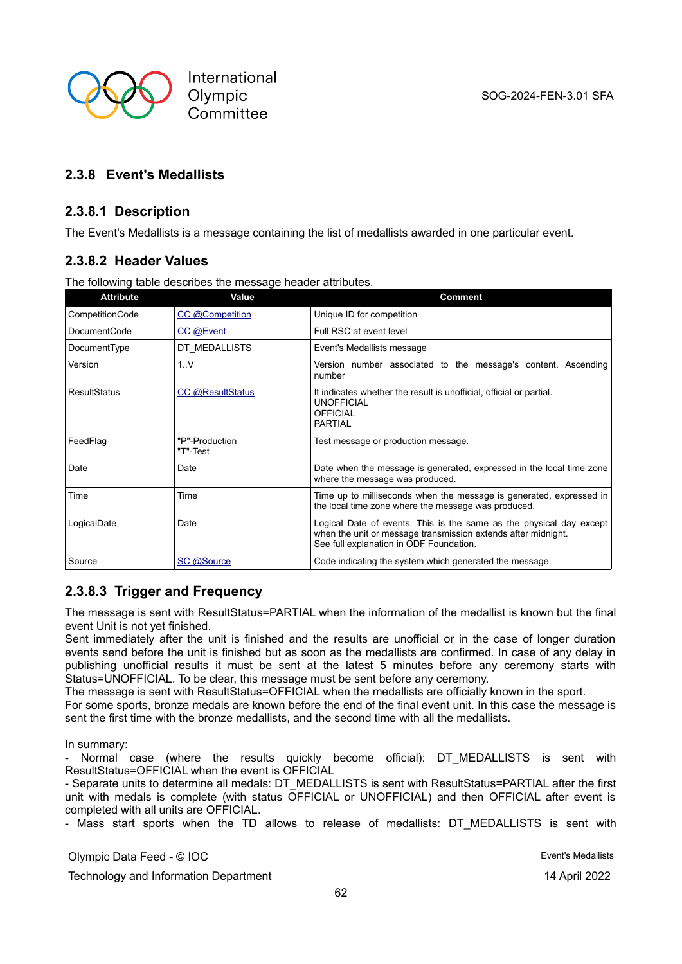

## **2.3.8 Event's Medallists**

## **2.3.8.1 Description**

The Event's Medallists is a message containing the list of medallists awarded in one particular event.

## **2.3.8.2 Header Values**

The following table describes the message header attributes.

| <b>Attribute</b>    | Value                      | <b>Comment</b>                                                                                                                                                                  |
|---------------------|----------------------------|---------------------------------------------------------------------------------------------------------------------------------------------------------------------------------|
| CompetitionCode     | CC @Competition            | Unique ID for competition                                                                                                                                                       |
| <b>DocumentCode</b> | CC @Event                  | Full RSC at event level                                                                                                                                                         |
| DocumentType        | DT MEDALLISTS              | Event's Medallists message                                                                                                                                                      |
| Version             | 1.1V                       | Version number associated to the message's content. Ascending<br>number                                                                                                         |
| <b>ResultStatus</b> | CC @ResultStatus           | It indicates whether the result is unofficial, official or partial.<br><b>UNOFFICIAL</b><br><b>OFFICIAL</b><br><b>PARTIAL</b>                                                   |
| FeedFlag            | "P"-Production<br>"T"-Test | Test message or production message.                                                                                                                                             |
| Date                | Date                       | Date when the message is generated, expressed in the local time zone<br>where the message was produced.                                                                         |
| Time                | <b>Time</b>                | Time up to milliseconds when the message is generated, expressed in<br>the local time zone where the message was produced.                                                      |
| LogicalDate         | Date                       | Logical Date of events. This is the same as the physical day except<br>when the unit or message transmission extends after midnight.<br>See full explanation in ODF Foundation. |
| Source              | SC @Source                 | Code indicating the system which generated the message.                                                                                                                         |

## **2.3.8.3 Trigger and Frequency**

The message is sent with ResultStatus=PARTIAL when the information of the medallist is known but the final event Unit is not yet finished.

Sent immediately after the unit is finished and the results are unofficial or in the case of longer duration events send before the unit is finished but as soon as the medallists are confirmed. In case of any delay in publishing unofficial results it must be sent at the latest 5 minutes before any ceremony starts with Status=UNOFFICIAL. To be clear, this message must be sent before any ceremony.

The message is sent with ResultStatus=OFFICIAL when the medallists are officially known in the sport.

For some sports, bronze medals are known before the end of the final event unit. In this case the message is sent the first time with the bronze medallists, and the second time with all the medallists.

In summary:

- Normal case (where the results quickly become official): DT\_MEDALLISTS is sent with ResultStatus=OFFICIAL when the event is OFFICIAL

- Separate units to determine all medals: DT\_MEDALLISTS is sent with ResultStatus=PARTIAL after the first unit with medals is complete (with status OFFICIAL or UNOFFICIAL) and then OFFICIAL after event is completed with all units are OFFICIAL.

- Mass start sports when the TD allows to release of medallists: DT\_MEDALLISTS is sent with

Olympic Data Feed - © IOC **Example 2018** Event's Medallists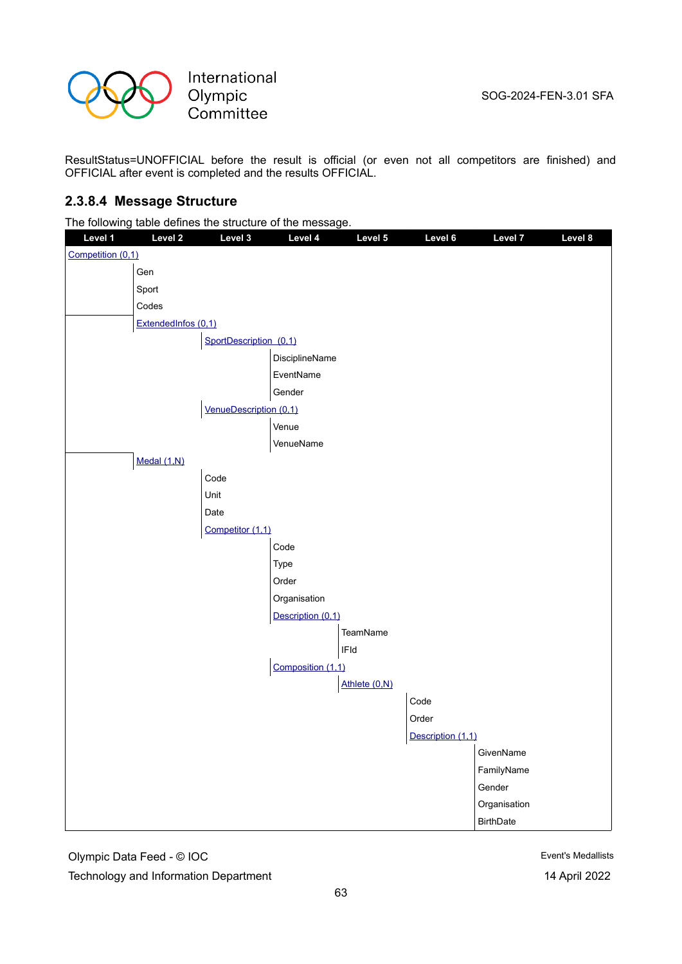

ResultStatus=UNOFFICIAL before the result is official (or even not all competitors are finished) and OFFICIAL after event is completed and the results OFFICIAL.

## **2.3.8.4 Message Structure**

The following table defines the structure of the message.

| Level 1           | Level <sub>2</sub>  | Level 3                | Level 4           | Level 5       | Level 6           | Level 7          | Level 8 |
|-------------------|---------------------|------------------------|-------------------|---------------|-------------------|------------------|---------|
| Competition (0,1) |                     |                        |                   |               |                   |                  |         |
|                   | Gen                 |                        |                   |               |                   |                  |         |
|                   | Sport               |                        |                   |               |                   |                  |         |
|                   | Codes               |                        |                   |               |                   |                  |         |
|                   | ExtendedInfos (0,1) |                        |                   |               |                   |                  |         |
|                   |                     | SportDescription (0,1) |                   |               |                   |                  |         |
|                   |                     |                        | DisciplineName    |               |                   |                  |         |
|                   |                     |                        | EventName         |               |                   |                  |         |
|                   |                     |                        | Gender            |               |                   |                  |         |
|                   |                     | VenueDescription (0,1) |                   |               |                   |                  |         |
|                   |                     |                        | Venue             |               |                   |                  |         |
|                   |                     |                        | VenueName         |               |                   |                  |         |
|                   | Medal (1,N)         |                        |                   |               |                   |                  |         |
|                   |                     | Code                   |                   |               |                   |                  |         |
|                   |                     | Unit                   |                   |               |                   |                  |         |
|                   |                     | Date                   |                   |               |                   |                  |         |
|                   |                     | Competitor (1,1)       |                   |               |                   |                  |         |
|                   |                     |                        | Code              |               |                   |                  |         |
|                   |                     |                        | Type              |               |                   |                  |         |
|                   |                     |                        | Order             |               |                   |                  |         |
|                   |                     |                        | Organisation      |               |                   |                  |         |
|                   |                     |                        | Description (0,1) |               |                   |                  |         |
|                   |                     |                        |                   | TeamName      |                   |                  |         |
|                   |                     |                        |                   | <b>IFId</b>   |                   |                  |         |
|                   |                     |                        | Composition (1,1) |               |                   |                  |         |
|                   |                     |                        |                   | Athlete (0,N) |                   |                  |         |
|                   |                     |                        |                   |               | Code              |                  |         |
|                   |                     |                        |                   |               | Order             |                  |         |
|                   |                     |                        |                   |               | Description (1,1) |                  |         |
|                   |                     |                        |                   |               |                   | GivenName        |         |
|                   |                     |                        |                   |               |                   | FamilyName       |         |
|                   |                     |                        |                   |               |                   | Gender           |         |
|                   |                     |                        |                   |               |                   | Organisation     |         |
|                   |                     |                        |                   |               |                   | <b>BirthDate</b> |         |

Olympic Data Feed - © IOC **Example 2018** Event's Medallists Technology and Information Department 14 April 2022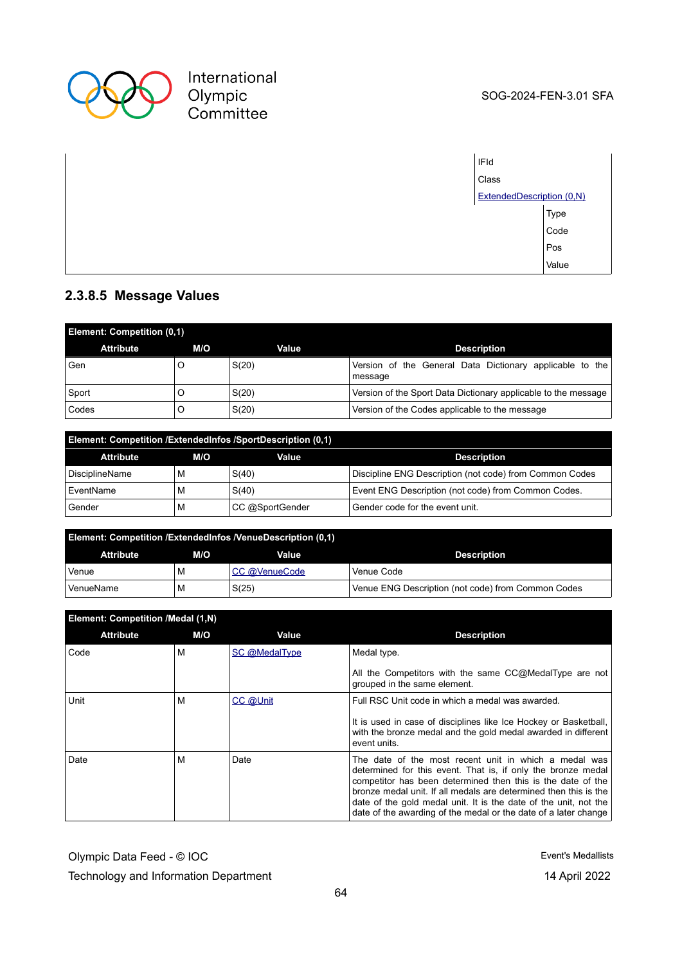

| IFId                      |              |
|---------------------------|--------------|
| Class                     |              |
| ExtendedDescription (0,N) |              |
|                           | Type<br>Code |
|                           |              |
|                           | Pos          |
|                           | lue          |

# **2.3.8.5 Message Values**

<span id="page-63-3"></span>

| <b>Element: Competition (0,1)</b> |     |       |                                                                     |
|-----------------------------------|-----|-------|---------------------------------------------------------------------|
| <b>Attribute</b>                  | M/O | Value | <b>Description</b>                                                  |
| Gen                               |     | S(20) | Version of the General Data Dictionary applicable to the<br>message |
| Sport                             |     | S(20) | Version of the Sport Data Dictionary applicable to the message      |
| Codes                             |     | S(20) | Version of the Codes applicable to the message                      |

<span id="page-63-2"></span>

| Element: Competition /ExtendedInfos /SportDescription (0,1) |     |                 |                                                         |
|-------------------------------------------------------------|-----|-----------------|---------------------------------------------------------|
| <b>Attribute</b>                                            | M/O | Value           | <b>Description</b>                                      |
| <b>DisciplineName</b>                                       | м   | S(40)           | Discipline ENG Description (not code) from Common Codes |
| EventName                                                   | м   | S(40)           | Event ENG Description (not code) from Common Codes.     |
| Gender                                                      | м   | CC @SportGender | Gender code for the event unit.                         |

<span id="page-63-1"></span>

| <b>Element: Competition /ExtendedInfos /VenueDescription (0.1)</b> |   |                    |                                                    |
|--------------------------------------------------------------------|---|--------------------|----------------------------------------------------|
| Value<br>M/O<br><b>Attribute</b>                                   |   | <b>Description</b> |                                                    |
| Venue                                                              | м | CC @VenueCode      | Venue Code                                         |
| VenueName                                                          | M | S(25)              | Venue ENG Description (not code) from Common Codes |

<span id="page-63-0"></span>

| Element: Competition /Medal (1,N) |     |               |                                                                                                                                                                                                                                                                                                                                                                                                 |
|-----------------------------------|-----|---------------|-------------------------------------------------------------------------------------------------------------------------------------------------------------------------------------------------------------------------------------------------------------------------------------------------------------------------------------------------------------------------------------------------|
| <b>Attribute</b>                  | M/O | Value         | <b>Description</b>                                                                                                                                                                                                                                                                                                                                                                              |
| Code                              | м   | SC @MedalType | Medal type.                                                                                                                                                                                                                                                                                                                                                                                     |
|                                   |     |               | All the Competitors with the same CC@MedalType are not<br>grouped in the same element.                                                                                                                                                                                                                                                                                                          |
| Unit                              | м   | CC @Unit      | Full RSC Unit code in which a medal was awarded.                                                                                                                                                                                                                                                                                                                                                |
|                                   |     |               | It is used in case of disciplines like Ice Hockey or Basketball,<br>with the bronze medal and the gold medal awarded in different<br>event units.                                                                                                                                                                                                                                               |
| Date                              | м   | Date          | The date of the most recent unit in which a medal was<br>determined for this event. That is, if only the bronze medal<br>competitor has been determined then this is the date of the<br>bronze medal unit. If all medals are determined then this is the<br>date of the gold medal unit. It is the date of the unit, not the<br>date of the awarding of the medal or the date of a later change |

Olympic Data Feed - © IOC **Example 2018** Event's Medallists Technology and Information Department 14 April 2022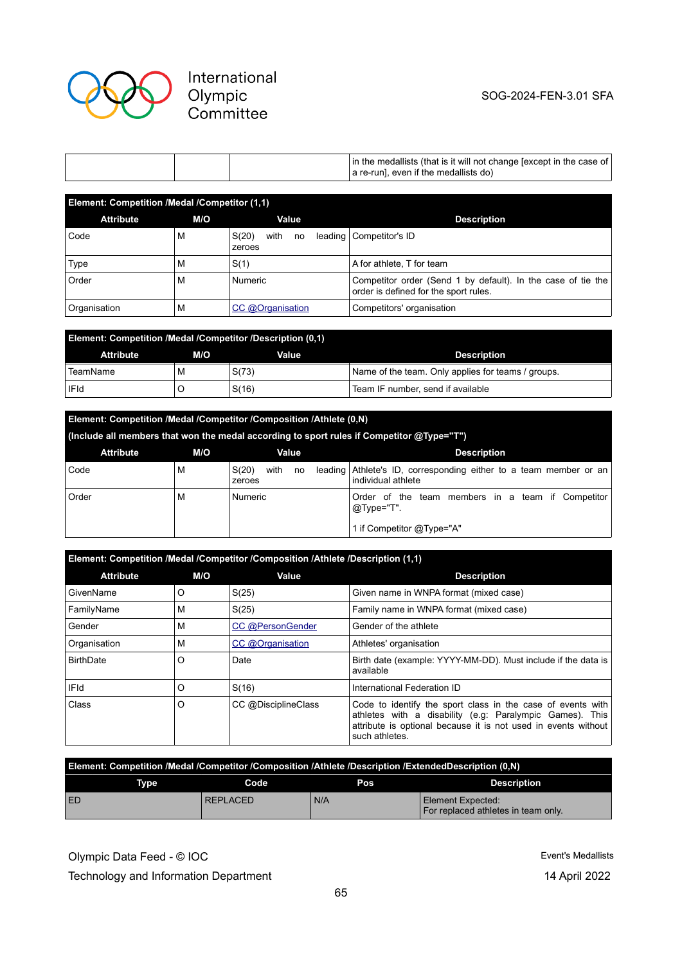

|  | in the medallists (that is it will not change [except in the case of ]<br>a re-run], even if the medallists do |
|--|----------------------------------------------------------------------------------------------------------------|
|--|----------------------------------------------------------------------------------------------------------------|

<span id="page-64-3"></span>

| Element: Competition /Medal /Competitor (1,1) |     |                               |                                                                                                       |  |
|-----------------------------------------------|-----|-------------------------------|-------------------------------------------------------------------------------------------------------|--|
| <b>Attribute</b>                              | M/O | Value                         | <b>Description</b>                                                                                    |  |
| Code                                          | м   | S(20)<br>with<br>no<br>zeroes | leading   Competitor's ID                                                                             |  |
| Type                                          | м   | S(1)                          | A for athlete, T for team                                                                             |  |
| Order                                         | м   | <b>Numeric</b>                | Competitor order (Send 1 by default). In the case of tie the<br>order is defined for the sport rules. |  |
| Organisation                                  | м   | CC @Organisation              | Competitors' organisation                                                                             |  |

<span id="page-64-2"></span>

| <b>Element: Competition /Medal /Competitor /Description (0.1)</b> |     |       |                                                    |
|-------------------------------------------------------------------|-----|-------|----------------------------------------------------|
| <b>Attribute</b>                                                  | M/O | Value | <b>Description</b>                                 |
| TeamName                                                          |     | S(73) | Name of the team. Only applies for teams / groups. |
| l IFId                                                            |     | S(16) | Team IF number, send if available                  |

<span id="page-64-1"></span>

| Element: Competition /Medal /Competitor /Composition /Athlete (0,N) |     |                                                                                           |                                                                                              |
|---------------------------------------------------------------------|-----|-------------------------------------------------------------------------------------------|----------------------------------------------------------------------------------------------|
|                                                                     |     | (Include all members that won the medal according to sport rules if Competitor @Type="T") |                                                                                              |
| <b>Attribute</b>                                                    | M/O | Value                                                                                     | <b>Description</b>                                                                           |
| Code                                                                | М   | S(20)<br>with<br>no<br>zeroes                                                             | leading Athlete's ID, corresponding either to a team member or an<br>individual athlete      |
| Order                                                               | м   | <b>Numeric</b>                                                                            | Order of the team members in a team if Competitor<br>@Type="T".<br>1 if Competitor @Type="A" |

#### <span id="page-64-0"></span>**Element: Competition /Medal /Competitor /Composition /Athlete /Description (1,1)**

| <b>Attribute</b> | M/O | Value               | <b>Description</b>                                                                                                                                                                                          |
|------------------|-----|---------------------|-------------------------------------------------------------------------------------------------------------------------------------------------------------------------------------------------------------|
| GivenName        | O   | S(25)               | Given name in WNPA format (mixed case)                                                                                                                                                                      |
| FamilyName       | м   | S(25)               | Family name in WNPA format (mixed case)                                                                                                                                                                     |
| Gender           | м   | CC @PersonGender    | Gender of the athlete                                                                                                                                                                                       |
| Organisation     | м   | CC @Organisation    | Athletes' organisation                                                                                                                                                                                      |
| <b>BirthDate</b> | O   | Date                | Birth date (example: YYYY-MM-DD). Must include if the data is<br>available                                                                                                                                  |
| <b>IFId</b>      | O   | S(16)               | International Federation ID                                                                                                                                                                                 |
| Class            | O   | CC @DisciplineClass | Code to identify the sport class in the case of events with<br>athletes with a disability (e.g: Paralympic Games). This<br>attribute is optional because it is not used in events without<br>such athletes. |

<span id="page-64-4"></span>

| <b>Element: Competition /Medal /Competitor /Composition /Athlete /Description /ExtendedDescription (0,N)</b> |          |     |                                                                 |
|--------------------------------------------------------------------------------------------------------------|----------|-----|-----------------------------------------------------------------|
| Tvpe                                                                                                         | Code     | Pos | Description                                                     |
| I ED                                                                                                         | REPLACED | N/A | <b>Element Expected:</b><br>For replaced athletes in team only. |

Olympic Data Feed - © IOC **Example 2018** Event's Medallists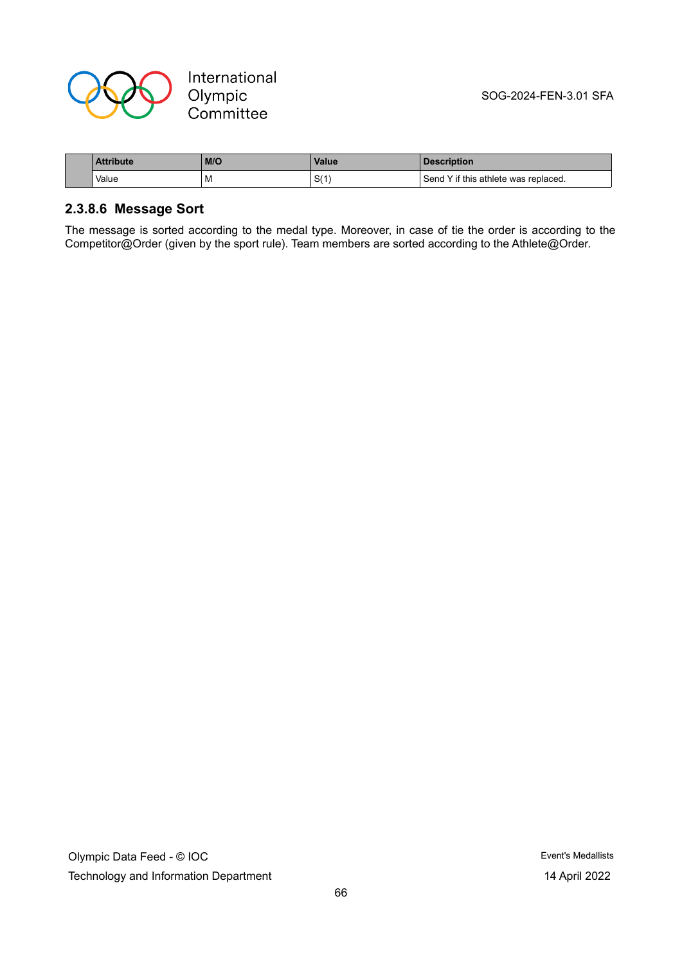

| <b>Attribute</b> | M/O | Value | <b>Description</b>                   |
|------------------|-----|-------|--------------------------------------|
| Value            | M   | S(1)  | Send Y if this athlete was replaced. |

## **2.3.8.6 Message Sort**

The message is sorted according to the medal type. Moreover, in case of tie the order is according to the Competitor@Order (given by the sport rule). Team members are sorted according to the Athlete@Order.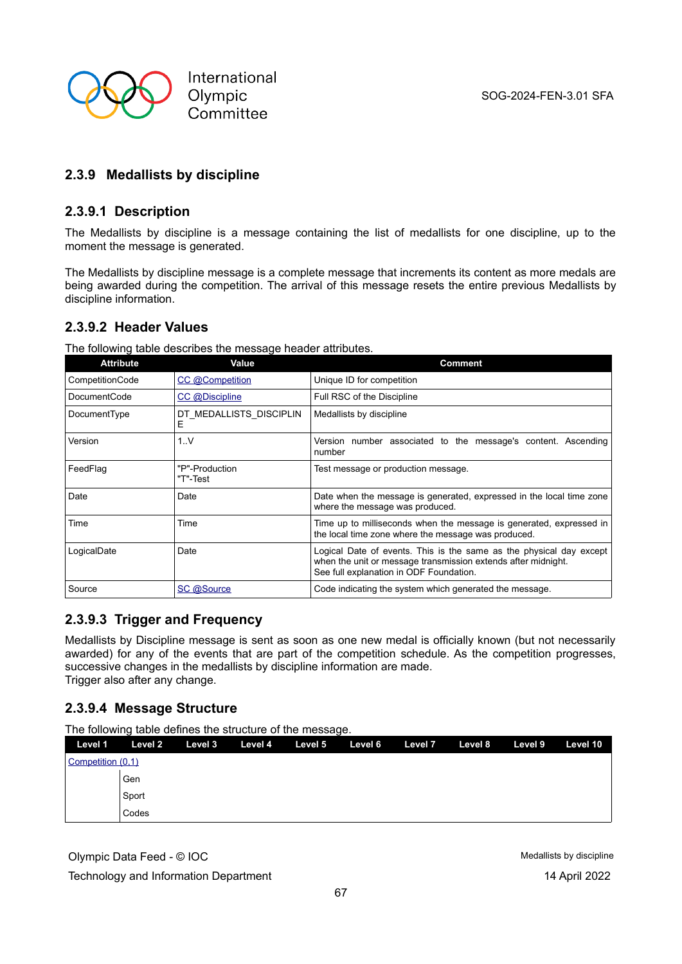## **2.3.9 Medallists by discipline**

### **2.3.9.1 Description**

The Medallists by discipline is a message containing the list of medallists for one discipline, up to the moment the message is generated.

The Medallists by discipline message is a complete message that increments its content as more medals are being awarded during the competition. The arrival of this message resets the entire previous Medallists by discipline information.

## **2.3.9.2 Header Values**

The following table describes the message header attributes.

| <b>Attribute</b> | Value                        | <b>Comment</b>                                                                                                                                                                  |
|------------------|------------------------------|---------------------------------------------------------------------------------------------------------------------------------------------------------------------------------|
| CompetitionCode  | CC @Competition              | Unique ID for competition                                                                                                                                                       |
| DocumentCode     | CC @Discipline               | Full RSC of the Discipline                                                                                                                                                      |
| DocumentType     | DT MEDALLISTS DISCIPLIN<br>E | Medallists by discipline                                                                                                                                                        |
| Version          | 1.1V                         | Version number associated to the message's content. Ascending<br>number                                                                                                         |
| FeedFlag         | "P"-Production<br>"T"-Test   | Test message or production message.                                                                                                                                             |
| Date             | Date                         | Date when the message is generated, expressed in the local time zone<br>where the message was produced.                                                                         |
| Time             | Time                         | Time up to milliseconds when the message is generated, expressed in<br>the local time zone where the message was produced.                                                      |
| LogicalDate      | Date                         | Logical Date of events. This is the same as the physical day except<br>when the unit or message transmission extends after midnight.<br>See full explanation in ODF Foundation. |
| Source           | SC @Source                   | Code indicating the system which generated the message.                                                                                                                         |

### **2.3.9.3 Trigger and Frequency**

Medallists by Discipline message is sent as soon as one new medal is officially known (but not necessarily awarded) for any of the events that are part of the competition schedule. As the competition progresses, successive changes in the medallists by discipline information are made. Trigger also after any change.

#### **2.3.9.4 Message Structure**

The following table defines the structure of the message.

| <b>Level 1</b>    |       |  | Level 2 Level 3 Level 4 Level 5 Level 6 Level 7 Level 8 Level 9 |  | Level 10 |
|-------------------|-------|--|-----------------------------------------------------------------|--|----------|
| Competition (0,1) |       |  |                                                                 |  |          |
|                   | Gen   |  |                                                                 |  |          |
|                   | Sport |  |                                                                 |  |          |
|                   | Codes |  |                                                                 |  |          |

Olympic Data Feed - © IOC **Medallists** by discipline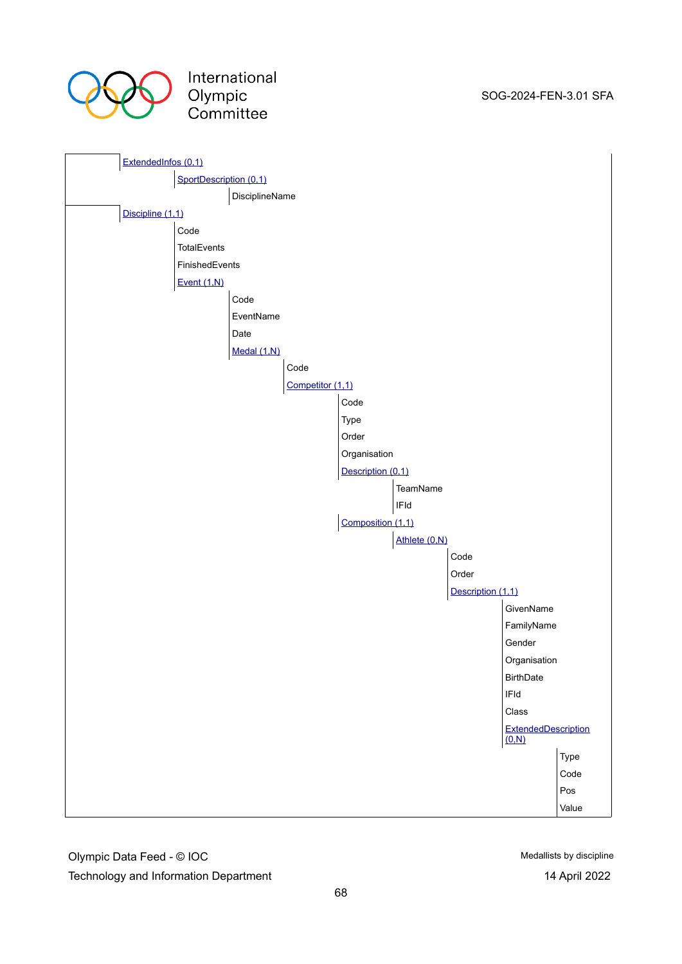

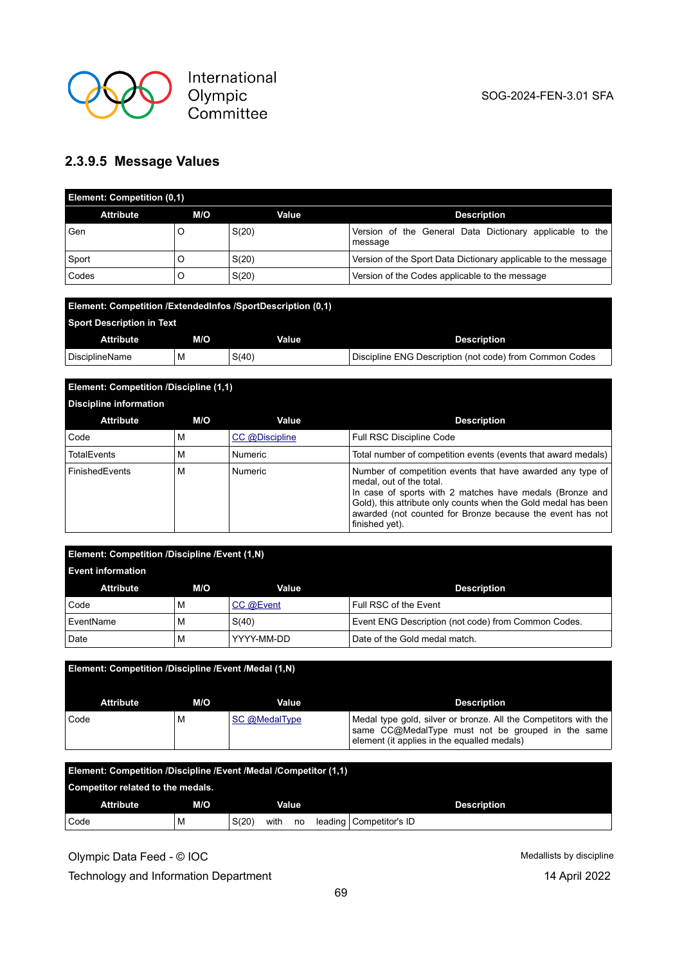

# **2.3.9.5 Message Values**

<span id="page-68-0"></span>

| <b>Element: Competition (0,1)</b> |     |       |                                                                     |  |  |  |
|-----------------------------------|-----|-------|---------------------------------------------------------------------|--|--|--|
| <b>Attribute</b>                  | M/O | Value | <b>Description</b>                                                  |  |  |  |
| Gen                               |     | S(20) | Version of the General Data Dictionary applicable to the<br>message |  |  |  |
| Sport                             |     | S(20) | Version of the Sport Data Dictionary applicable to the message      |  |  |  |
| Codes                             |     | S(20) | Version of the Codes applicable to the message                      |  |  |  |

<span id="page-68-5"></span>

| Element: Competition /ExtendedInfos /SportDescription (0,1) |     |       |                                                         |  |  |  |
|-------------------------------------------------------------|-----|-------|---------------------------------------------------------|--|--|--|
| <b>Sport Description in Text</b>                            |     |       |                                                         |  |  |  |
| <b>Attribute</b>                                            | M/O | Value | <b>Description</b>                                      |  |  |  |
| DisciplineName                                              | м   | S(40) | Discipline ENG Description (not code) from Common Codes |  |  |  |

<span id="page-68-4"></span>

| <b>Element: Competition /Discipline (1,1)</b> |     |                |                                                                                                                                                                                                                                                                                                     |  |  |  |  |
|-----------------------------------------------|-----|----------------|-----------------------------------------------------------------------------------------------------------------------------------------------------------------------------------------------------------------------------------------------------------------------------------------------------|--|--|--|--|
| Discipline information                        |     |                |                                                                                                                                                                                                                                                                                                     |  |  |  |  |
| <b>Attribute</b>                              | M/O | Value          | <b>Description</b>                                                                                                                                                                                                                                                                                  |  |  |  |  |
| Code                                          | м   | CC @Discipline | Full RSC Discipline Code                                                                                                                                                                                                                                                                            |  |  |  |  |
| <b>TotalEvents</b>                            | м   | <b>Numeric</b> | Total number of competition events (events that award medals)                                                                                                                                                                                                                                       |  |  |  |  |
| FinishedEvents                                | м   | <b>Numeric</b> | Number of competition events that have awarded any type of<br>medal, out of the total.<br>In case of sports with 2 matches have medals (Bronze and<br>Gold), this attribute only counts when the Gold medal has been<br>awarded (not counted for Bronze because the event has not<br>finished yet). |  |  |  |  |

<span id="page-68-3"></span>

| Element: Competition /Discipline /Event (1,N) |     |            |                                                     |  |  |  |  |
|-----------------------------------------------|-----|------------|-----------------------------------------------------|--|--|--|--|
| Event information                             |     |            |                                                     |  |  |  |  |
| <b>Attribute</b>                              | M/O | Value      | <b>Description</b>                                  |  |  |  |  |
| Code                                          | M   | CC @Event  | Full RSC of the Event                               |  |  |  |  |
| EventName                                     | м   | S(40)      | Event ENG Description (not code) from Common Codes. |  |  |  |  |
| Date                                          | M   | YYYY-MM-DD | Date of the Gold medal match.                       |  |  |  |  |

<span id="page-68-2"></span>

| <b>Element: Competition /Discipline /Event /Medal (1,N)</b> |     |               |                                                                                                                                                                     |  |  |  |
|-------------------------------------------------------------|-----|---------------|---------------------------------------------------------------------------------------------------------------------------------------------------------------------|--|--|--|
| <b>Attribute</b>                                            | M/O | Value         | <b>Description</b>                                                                                                                                                  |  |  |  |
| Code                                                        | M   | SC @MedalType | Medal type gold, silver or bronze. All the Competitors with the<br>same CC@MedalType must not be grouped in the same<br>element (it applies in the equalled medals) |  |  |  |

<span id="page-68-1"></span>

| Element: Competition /Discipline /Event /Medal /Competitor (1.1) |     |       |      |       |  |                           |                    |  |
|------------------------------------------------------------------|-----|-------|------|-------|--|---------------------------|--------------------|--|
| Competitor related to the medals.                                |     |       |      |       |  |                           |                    |  |
| <b>Attribute</b>                                                 | M/O |       |      | Value |  |                           | <b>Description</b> |  |
| Code                                                             | M   | S(20) | with | no    |  | leading   Competitor's ID |                    |  |

Olympic Data Feed - © IOC **Medallists** by discipline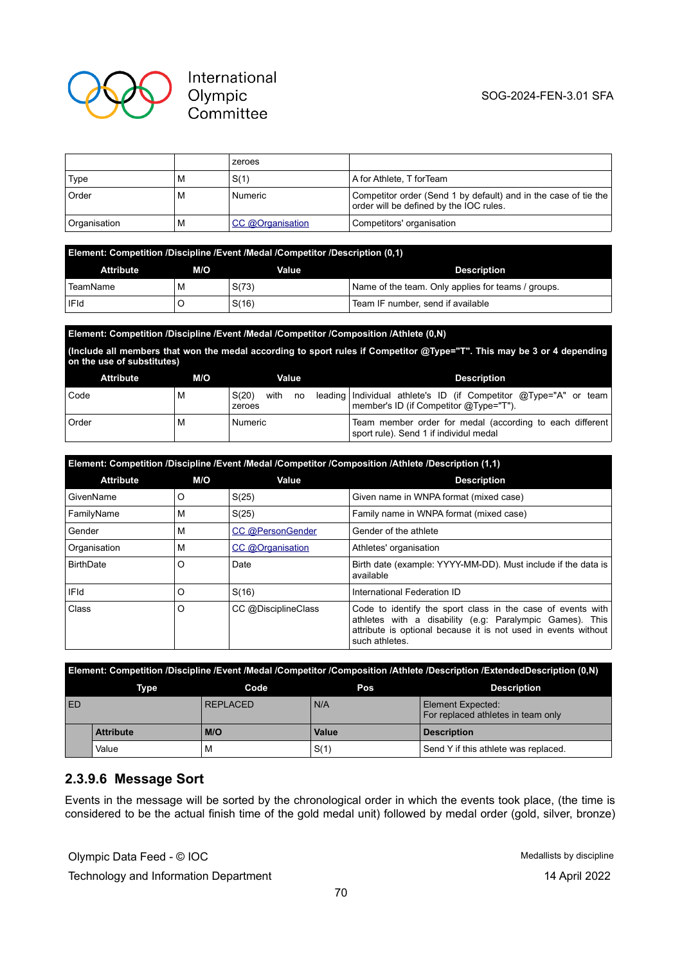

|              |   | zeroes           |                                                                                                            |
|--------------|---|------------------|------------------------------------------------------------------------------------------------------------|
| Type         | М | S(1)             | A for Athlete, T for Team                                                                                  |
| Order        | М | Numeric          | Competitor order (Send 1 by default) and in the case of tie the<br>order will be defined by the IOC rules. |
| Organisation | М | CC @Organisation | Competitors' organisation                                                                                  |

<span id="page-69-3"></span>

| Element: Competition /Discipline /Event /Medal /Competitor /Description (0,1) |   |       |                                                    |  |  |
|-------------------------------------------------------------------------------|---|-------|----------------------------------------------------|--|--|
| <b>Attribute</b><br>M/O<br>Value<br><b>Description</b>                        |   |       |                                                    |  |  |
| TeamName                                                                      | м | S(73) | Name of the team. Only applies for teams / groups. |  |  |
| IFId                                                                          |   | S(16) | Team IF number, send if available                  |  |  |

#### <span id="page-69-2"></span>**Element: Competition /Discipline /Event /Medal /Competitor /Composition /Athlete (0,N)**

**(Include all members that won the medal according to sport rules if Competitor @Type="T". This may be 3 or 4 depending on the use of substitutes)**

| <b>Attribute</b> | M/O | Value                         | <b>Description</b>                                                                                           |
|------------------|-----|-------------------------------|--------------------------------------------------------------------------------------------------------------|
| Code             | М   | S(20)<br>with<br>no<br>zeroes | leading Individual athlete's ID (if Competitor $@Type="A"$ or team<br>member's ID (if Competitor @Type="T"). |
| Order            | M   | Numeric                       | Team member order for medal (according to each different<br>sport rule). Send 1 if individul medal           |

<span id="page-69-1"></span>

| Element: Competition /Discipline /Event /Medal /Competitor /Composition /Athlete /Description (1,1) |     |                     |                                                                                                                                                                                                             |  |  |
|-----------------------------------------------------------------------------------------------------|-----|---------------------|-------------------------------------------------------------------------------------------------------------------------------------------------------------------------------------------------------------|--|--|
| <b>Attribute</b>                                                                                    | M/O | Value               | <b>Description</b>                                                                                                                                                                                          |  |  |
| GivenName                                                                                           | O   | S(25)               | Given name in WNPA format (mixed case)                                                                                                                                                                      |  |  |
| FamilyName                                                                                          | м   | S(25)               | Family name in WNPA format (mixed case)                                                                                                                                                                     |  |  |
| Gender                                                                                              | м   | CC @PersonGender    | Gender of the athlete                                                                                                                                                                                       |  |  |
| Organisation                                                                                        | м   | CC @Organisation    | Athletes' organisation                                                                                                                                                                                      |  |  |
| <b>BirthDate</b>                                                                                    | O   | Date                | Birth date (example: YYYY-MM-DD). Must include if the data is<br>available                                                                                                                                  |  |  |
| <b>IFId</b>                                                                                         | O   | S(16)               | International Federation ID                                                                                                                                                                                 |  |  |
| Class                                                                                               | O   | CC @DisciplineClass | Code to identify the sport class in the case of events with<br>athletes with a disability (e.g: Paralympic Games). This<br>attribute is optional because it is not used in events without<br>such athletes. |  |  |

<span id="page-69-0"></span>

| Element: Competition /Discipline /Event /Medal /Competitor /Composition /Athlete /Description /ExtendedDescription (0,N) |                  |                 |       |                                                                |  |  |  |
|--------------------------------------------------------------------------------------------------------------------------|------------------|-----------------|-------|----------------------------------------------------------------|--|--|--|
|                                                                                                                          | Type             | Code            | Pos   | <b>Description</b>                                             |  |  |  |
| <b>IED</b>                                                                                                               |                  | <b>REPLACED</b> | N/A   | <b>Element Expected:</b><br>For replaced athletes in team only |  |  |  |
|                                                                                                                          | <b>Attribute</b> | M/O             | Value | <b>Description</b>                                             |  |  |  |
|                                                                                                                          | Value            | M               | S(1)  | Send Y if this athlete was replaced.                           |  |  |  |

### **2.3.9.6 Message Sort**

Events in the message will be sorted by the chronological order in which the events took place, (the time is considered to be the actual finish time of the gold medal unit) followed by medal order (gold, silver, bronze)

Olympic Data Feed - © IOC **Medallists** by discipline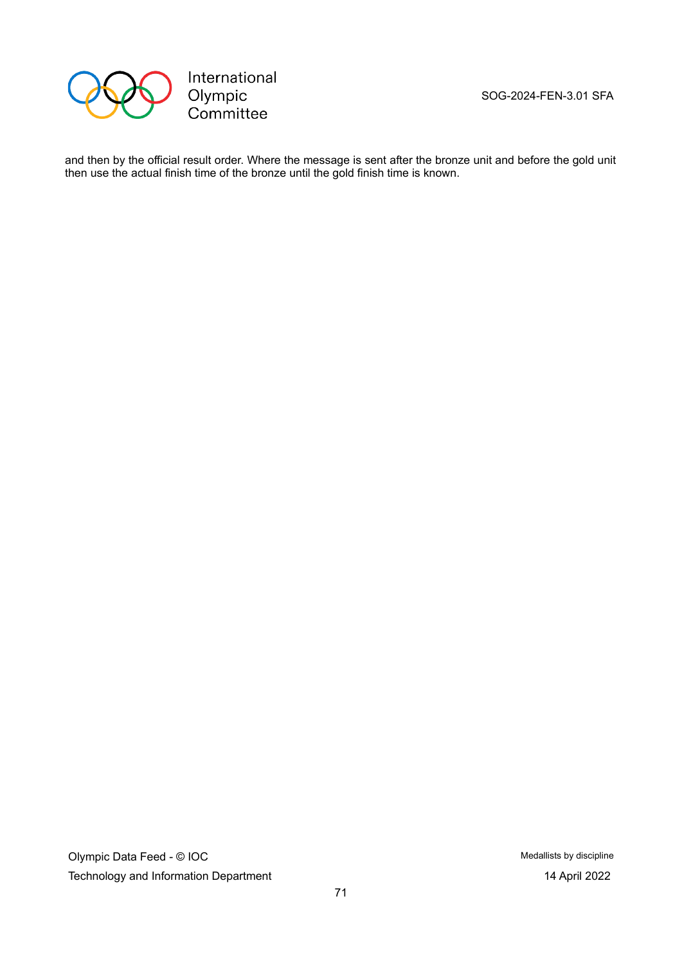

SOG-2024-FEN-3.01 SFA

and then by the official result order. Where the message is sent after the bronze unit and before the gold unit then use the actual finish time of the bronze until the gold finish time is known.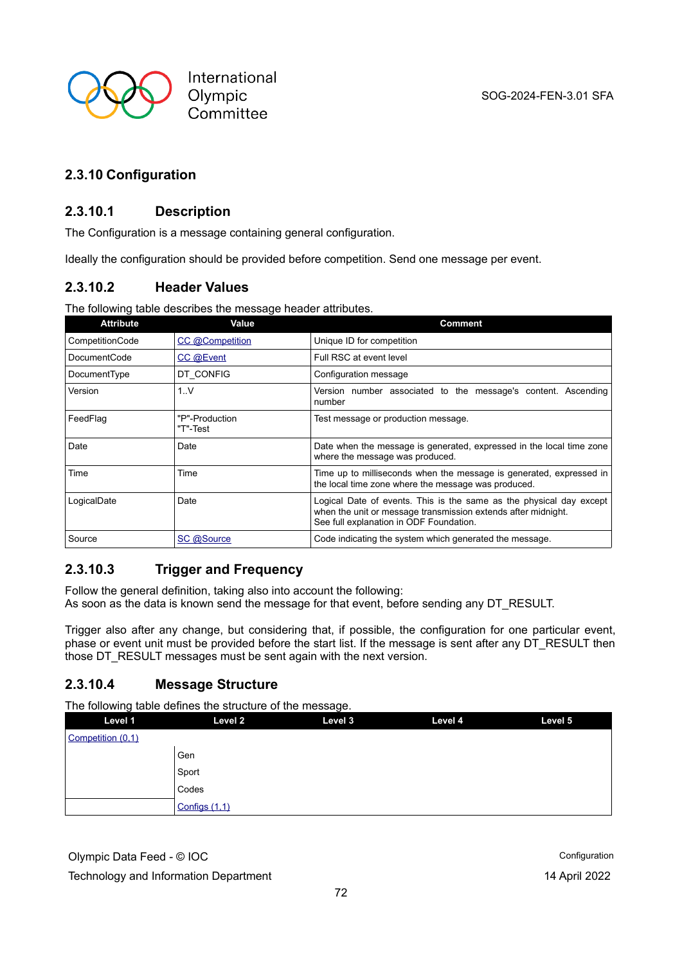

## **2.3.10 Configuration**

## **2.3.10.1 Description**

The Configuration is a message containing general configuration.

Ideally the configuration should be provided before competition. Send one message per event.

### **2.3.10.2 Header Values**

The following table describes the message header attributes.

| <b>Attribute</b> | Value                      | <b>Comment</b>                                                                                                                                                                  |  |  |
|------------------|----------------------------|---------------------------------------------------------------------------------------------------------------------------------------------------------------------------------|--|--|
| CompetitionCode  | CC @Competition            | Unique ID for competition                                                                                                                                                       |  |  |
| DocumentCode     | CC @Event                  | Full RSC at event level                                                                                                                                                         |  |  |
| DocumentType     | DT CONFIG                  | Configuration message                                                                                                                                                           |  |  |
| Version          | 1.1V                       | Version number associated to the message's content. Ascending<br>number                                                                                                         |  |  |
| FeedFlag         | "P"-Production<br>"T"-Test | Test message or production message.                                                                                                                                             |  |  |
| Date             | Date                       | Date when the message is generated, expressed in the local time zone<br>where the message was produced.                                                                         |  |  |
| Time             | Time                       | Time up to milliseconds when the message is generated, expressed in<br>the local time zone where the message was produced.                                                      |  |  |
| LogicalDate      | Date                       | Logical Date of events. This is the same as the physical day except<br>when the unit or message transmission extends after midnight.<br>See full explanation in ODF Foundation. |  |  |
| Source           | <b>SC @Source</b>          | Code indicating the system which generated the message.                                                                                                                         |  |  |

## **2.3.10.3 Trigger and Frequency**

Follow the general definition, taking also into account the following: As soon as the data is known send the message for that event, before sending any DT\_RESULT.

Trigger also after any change, but considering that, if possible, the configuration for one particular event, phase or event unit must be provided before the start list. If the message is sent after any DT\_RESULT then those DT\_RESULT messages must be sent again with the next version.

### **2.3.10.4 Message Structure**

The following table defines the structure of the message.

| Level 1           | Level 2         | Level 3 | Level 4 | Level 5 |
|-------------------|-----------------|---------|---------|---------|
| Competition (0,1) |                 |         |         |         |
|                   | Gen             |         |         |         |
|                   | Sport           |         |         |         |
|                   | Codes           |         |         |         |
|                   | Configs $(1,1)$ |         |         |         |

Olympic Data Feed - © IOC Configuration Technology and Information Department 14 April 2022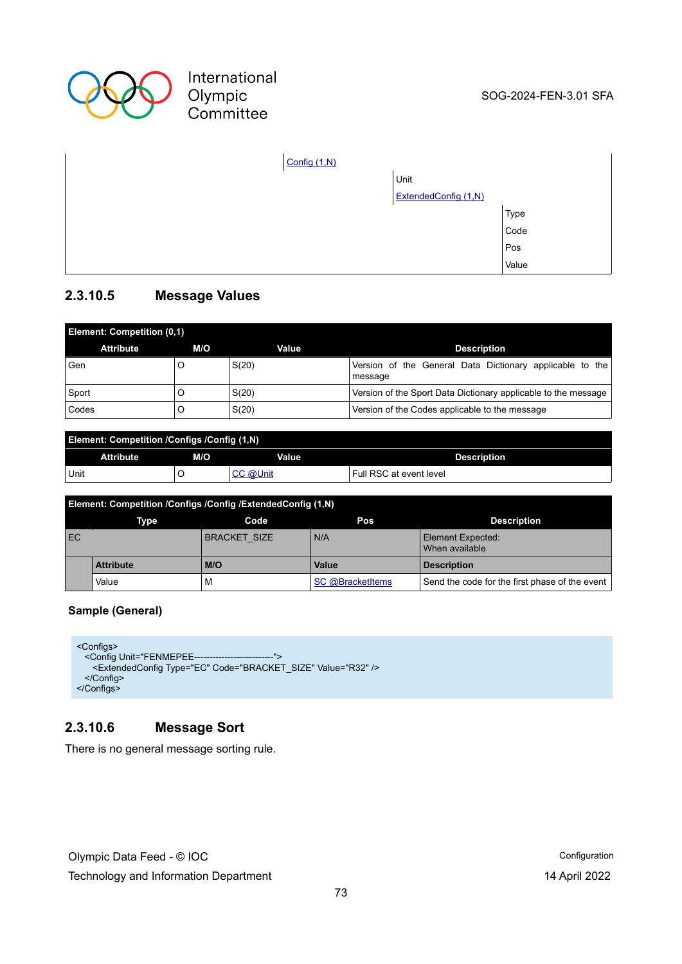

International Olympic Committee

| Config (1,N)         |       |
|----------------------|-------|
| Unit                 |       |
| ExtendedConfig (1,N) |       |
|                      | Type  |
|                      | Code  |
|                      | Pos   |
|                      | Value |

## **2.3.10.5 Message Values**

| <b>Element: Competition (0,1)</b> |     |       |                                                                     |
|-----------------------------------|-----|-------|---------------------------------------------------------------------|
| <b>Attribute</b>                  | M/O | Value | <b>Description</b>                                                  |
| Gen                               |     | S(20) | Version of the General Data Dictionary applicable to the<br>message |
| Sport                             |     | S(20) | Version of the Sport Data Dictionary applicable to the message      |
| Codes                             |     | S(20) | Version of the Codes applicable to the message                      |

<span id="page-72-1"></span>

| <b>Element: Competition Configs /Config (1,N)</b> |     |          |                         |
|---------------------------------------------------|-----|----------|-------------------------|
| <b>Attribute</b>                                  | M/O | Value    | <b>Description</b>      |
| Unit                                              |     | CC @Unit | Full RSC at event level |

<span id="page-72-0"></span>

|    | Element: Competition /Configs /Config /ExtendedConfig (1,N) |                     |                  |                                                |
|----|-------------------------------------------------------------|---------------------|------------------|------------------------------------------------|
|    | Type                                                        | Code                | Pos              | <b>Description</b>                             |
| EC |                                                             | <b>BRACKET SIZE</b> | N/A              | Element Expected:<br>When available            |
|    | <b>Attribute</b>                                            | M/O                 | <b>Value</b>     | <b>Description</b>                             |
|    | Value                                                       | м                   | SC @BracketItems | Send the code for the first phase of the event |

#### **Sample (General)**

```
<Configs>
  <Config Unit="FENMEPEE--------------------------">
   <ExtendedConfig Type="EC" Code="BRACKET_SIZE" Value="R32" />
 </Config>
</Configs>
```
### **2.3.10.6 Message Sort**

There is no general message sorting rule.

Olympic Data Feed - © IOC Configuration Technology and Information Department 14 April 2022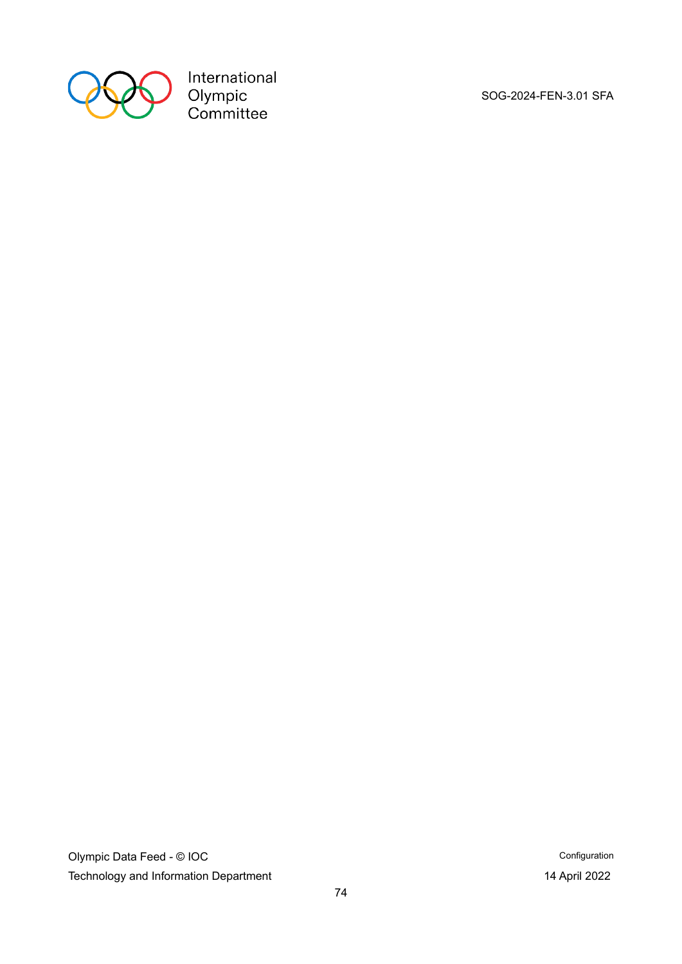

International Olympic<br>Committee

SOG-2024-FEN-3.01 SFA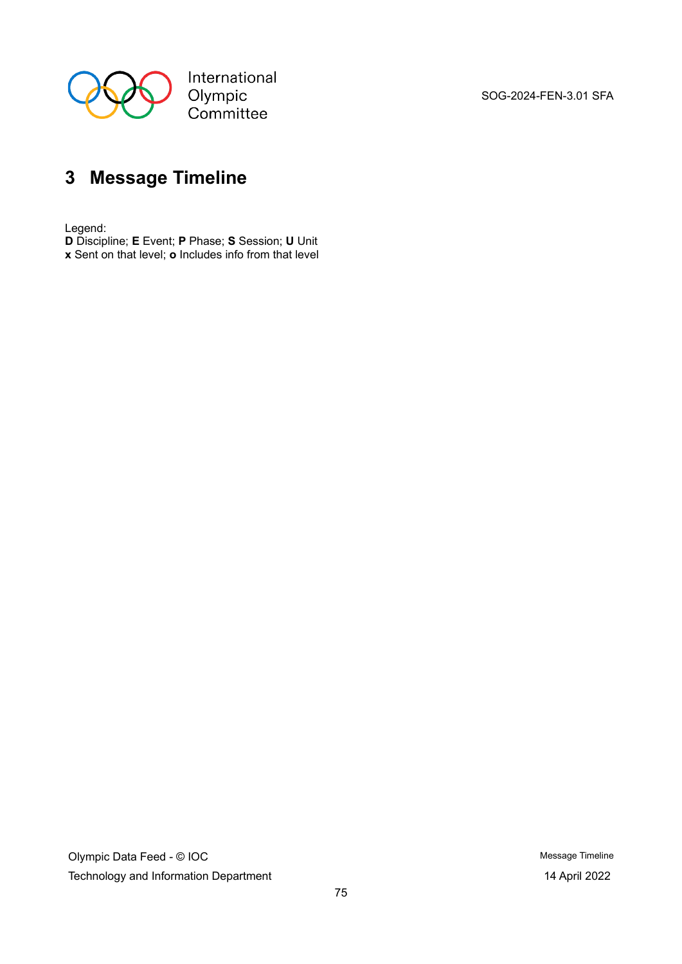

International Olympic Committee

SOG-2024-FEN-3.01 SFA

## **3 Message Timeline**

Legend:

**D** Discipline; **E** Event; **P** Phase; **S** Session; **U** Unit **x** Sent on that level; **o** Includes info from that level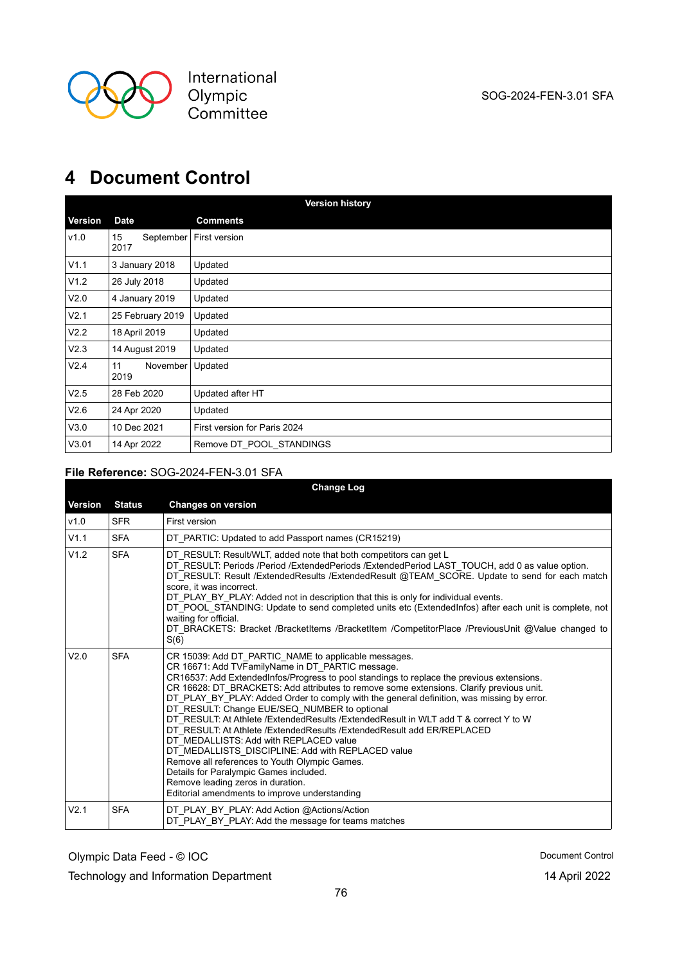

# **4 Document Control**

| <b>Version history</b> |                         |                              |  |
|------------------------|-------------------------|------------------------------|--|
| <b>Version</b>         | <b>Date</b>             | <b>Comments</b>              |  |
| v1.0                   | 15<br>September<br>2017 | First version                |  |
| V1.1                   | 3 January 2018          | Updated                      |  |
| V1.2                   | 26 July 2018            | Updated                      |  |
| V2.0                   | 4 January 2019          | Updated                      |  |
| V2.1                   | 25 February 2019        | Updated                      |  |
| V2.2                   | 18 April 2019           | Updated                      |  |
| V2.3                   | 14 August 2019          | Updated                      |  |
| V2.4                   | November<br>11<br>2019  | Updated                      |  |
| V2.5                   | 28 Feb 2020             | Updated after HT             |  |
| V2.6                   | 24 Apr 2020             | Updated                      |  |
| V3.0                   | 10 Dec 2021             | First version for Paris 2024 |  |
| V3.01                  | 14 Apr 2022             | Remove DT POOL STANDINGS     |  |

#### **File Reference:** SOG-2024-FEN-3.01 SFA

| <b>Change Log</b> |               |                                                                                                                                                                                                                                                                                                                                                                                                                                                                                                                                                                                                                                                                                                                                                                                                                                                                                                      |  |
|-------------------|---------------|------------------------------------------------------------------------------------------------------------------------------------------------------------------------------------------------------------------------------------------------------------------------------------------------------------------------------------------------------------------------------------------------------------------------------------------------------------------------------------------------------------------------------------------------------------------------------------------------------------------------------------------------------------------------------------------------------------------------------------------------------------------------------------------------------------------------------------------------------------------------------------------------------|--|
| Version           | <b>Status</b> | <b>Changes on version</b>                                                                                                                                                                                                                                                                                                                                                                                                                                                                                                                                                                                                                                                                                                                                                                                                                                                                            |  |
| v1.0              | <b>SFR</b>    | First version                                                                                                                                                                                                                                                                                                                                                                                                                                                                                                                                                                                                                                                                                                                                                                                                                                                                                        |  |
| V1.1              | <b>SFA</b>    | DT PARTIC: Updated to add Passport names (CR15219)                                                                                                                                                                                                                                                                                                                                                                                                                                                                                                                                                                                                                                                                                                                                                                                                                                                   |  |
| V1.2              | <b>SFA</b>    | DT RESULT: Result/WLT, added note that both competitors can get L<br>DT_RESULT: Periods /Period /ExtendedPeriods /ExtendedPeriod LAST_TOUCH, add 0 as value option.<br>DT_RESULT: Result /ExtendedResults /ExtendedResult @TEAM_SCORE. Update to send for each match<br>score. it was incorrect.<br>DT PLAY BY PLAY: Added not in description that this is only for individual events.<br>DT POOL STANDING: Update to send completed units etc (ExtendedInfos) after each unit is complete, not<br>waiting for official.<br>DT BRACKETS: Bracket /BracketItems /BracketItem /CompetitorPlace /PreviousUnit @Value changed to<br>S(6)                                                                                                                                                                                                                                                                 |  |
| V2.0              | <b>SFA</b>    | CR 15039: Add DT PARTIC NAME to applicable messages.<br>CR 16671: Add TVFamilyName in DT PARTIC message.<br>CR16537: Add ExtendedInfos/Progress to pool standings to replace the previous extensions.<br>CR 16628: DT BRACKETS: Add attributes to remove some extensions. Clarify previous unit.<br>DT PLAY BY PLAY: Added Order to comply with the general definition, was missing by error.<br>DT RESULT: Change EUE/SEQ NUMBER to optional<br>DT RESULT: At Athlete /ExtendedResults /ExtendedResult in WLT add T & correct Y to W<br>DT RESULT: At Athlete / Extended Results / Extended Result add ER/ REPLACED<br>DT MEDALLISTS: Add with REPLACED value<br>DT MEDALLISTS DISCIPLINE: Add with REPLACED value<br>Remove all references to Youth Olympic Games.<br>Details for Paralympic Games included.<br>Remove leading zeros in duration.<br>Editorial amendments to improve understanding |  |
| V <sub>2.1</sub>  | <b>SFA</b>    | DT PLAY BY PLAY: Add Action @Actions/Action<br>DT PLAY BY PLAY: Add the message for teams matches                                                                                                                                                                                                                                                                                                                                                                                                                                                                                                                                                                                                                                                                                                                                                                                                    |  |

Olympic Data Feed - © IOC Document Control

Technology and Information Department 14 April 2022